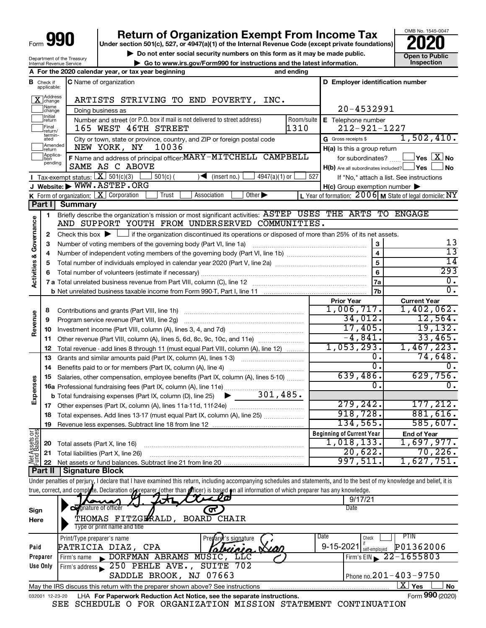Net Assets or<br>Fund Balances

032001 12-23-20

# **Return of Organization Exempt From Income Tax**<br>r section 501(c), 527, or 4947(a)(1) of the Internal Revenue Code (except private foundations)

**Under section 501(c), 527, or 4947(a)(1) of the Internal Revenue Code (except private foundations)**

**b** Do not enter social security numbers on this form as it may be made public.<br> **Go to www.irs.gov/Form990 for instructions and the latest information. This impection** 

OMB No. 1545-0047

| $F - H - A$<br>$\mathbf{A}$     |  |
|---------------------------------|--|
| <b>Internal Revenue Service</b> |  |
| Department of the Treasury      |  |

|                                |                               | Department or the ricasur<br>Internal Revenue Service |                                                                                                                                                                            | ► Go to www.irs.gov/Form990 for instructions and the latest information. |            |                                                         | Inspection                                |
|--------------------------------|-------------------------------|-------------------------------------------------------|----------------------------------------------------------------------------------------------------------------------------------------------------------------------------|--------------------------------------------------------------------------|------------|---------------------------------------------------------|-------------------------------------------|
|                                |                               |                                                       | A For the 2020 calendar year, or tax year beginning                                                                                                                        |                                                                          | and ending |                                                         |                                           |
|                                | <b>B</b> Check if applicable: |                                                       | <b>C</b> Name of organization                                                                                                                                              |                                                                          |            | D Employer identification number                        |                                           |
|                                | X Address                     |                                                       | ARTISTS STRIVING TO END POVERTY, INC.                                                                                                                                      |                                                                          |            |                                                         |                                           |
|                                | Name<br> change               |                                                       | Doing business as                                                                                                                                                          |                                                                          |            | 20-4532991                                              |                                           |
|                                | Initial<br>return             |                                                       | Number and street (or P.O. box if mail is not delivered to street address)                                                                                                 |                                                                          | Room/suite | E Telephone number                                      |                                           |
|                                | Final<br>lreturn/             |                                                       | 165 WEST 46TH STREET                                                                                                                                                       |                                                                          | 1310       | $212 - 921 - 1227$                                      |                                           |
|                                | termin-<br>ated               |                                                       | City or town, state or province, country, and ZIP or foreign postal code                                                                                                   |                                                                          |            | G Gross receipts \$                                     | 1,502,410.                                |
|                                | Amended<br>return             |                                                       | 10036<br>NEW YORK, NY                                                                                                                                                      |                                                                          |            | H(a) Is this a group return                             |                                           |
|                                | Applica-                      |                                                       | F Name and address of principal officer: MARY-MITCHELL CAMPBELL                                                                                                            |                                                                          |            | for subordinates?                                       | $\overline{\ }$ Yes $\overline{\rm X}$ No |
|                                | pending                       |                                                       | SAME AS C ABOVE                                                                                                                                                            |                                                                          |            | $H(b)$ Are all subordinates included? $\Box$ Yes        | J No                                      |
|                                |                               |                                                       | Tax-exempt status: $X \mid 501(c)(3)$<br>$501(c)$ (                                                                                                                        | $4947(a)(1)$ or<br>(insert no.)<br>$\rightarrow$                         | 527        |                                                         |                                           |
|                                |                               |                                                       | J Website: WWW.ASTEP.ORG                                                                                                                                                   |                                                                          |            |                                                         | If "No," attach a list. See instructions  |
|                                |                               |                                                       |                                                                                                                                                                            | Other $\blacktriangleright$<br>Association                               |            | $H(c)$ Group exemption number $\blacktriangleright$     |                                           |
|                                |                               |                                                       | K Form of organization: X Corporation<br>Trust                                                                                                                             |                                                                          |            | L Year of formation: 2006 M State of legal domicile: NY |                                           |
|                                |                               | Part I   Summary                                      |                                                                                                                                                                            |                                                                          |            |                                                         |                                           |
|                                | 1.                            |                                                       | Briefly describe the organization's mission or most significant activities: ASTEP USES THE ARTS TO ENGAGE                                                                  |                                                                          |            |                                                         |                                           |
| Governance                     |                               |                                                       | AND SUPPORT YOUTH FROM UNDERSERVED COMMUNITIES.                                                                                                                            |                                                                          |            |                                                         |                                           |
|                                | 2                             |                                                       | Check this box $\blacktriangleright \Box$ if the organization discontinued its operations or disposed of more than 25% of its net assets.                                  |                                                                          |            |                                                         |                                           |
|                                | З                             |                                                       | Number of voting members of the governing body (Part VI, line 1a)                                                                                                          |                                                                          |            | 3                                                       | 13                                        |
|                                | 4                             |                                                       |                                                                                                                                                                            |                                                                          |            | 4                                                       | 13                                        |
| <b>Activities &amp;</b>        | 5                             |                                                       |                                                                                                                                                                            |                                                                          |            | 5                                                       | 14                                        |
|                                | 6                             |                                                       |                                                                                                                                                                            |                                                                          |            | 6                                                       | 293                                       |
|                                |                               |                                                       |                                                                                                                                                                            |                                                                          |            | 7a                                                      | 0.                                        |
|                                |                               |                                                       |                                                                                                                                                                            |                                                                          |            | 7b                                                      | $0$ .                                     |
| Revenue                        |                               |                                                       |                                                                                                                                                                            |                                                                          |            | <b>Prior Year</b>                                       | <b>Current Year</b>                       |
|                                | 8                             |                                                       |                                                                                                                                                                            |                                                                          |            | 1,006,717.                                              | 1,402,062.                                |
|                                | 9                             |                                                       |                                                                                                                                                                            |                                                                          |            | 34,012.                                                 | 12,564.                                   |
|                                | 10                            |                                                       |                                                                                                                                                                            |                                                                          |            | 17,405.                                                 | 19, 132.                                  |
|                                | 11                            |                                                       | Other revenue (Part VIII, column (A), lines 5, 6d, 8c, 9c, 10c, and 11e)                                                                                                   |                                                                          |            | $-4,841.$                                               | 33,465.                                   |
|                                | 12                            |                                                       | Total revenue - add lines 8 through 11 (must equal Part VIII, column (A), line 12)                                                                                         |                                                                          |            | 1,053,293.                                              | 1,467,223.                                |
|                                | 13                            |                                                       | Grants and similar amounts paid (Part IX, column (A), lines 1-3)                                                                                                           |                                                                          |            | 0.                                                      | 74,648.                                   |
|                                | 14                            |                                                       |                                                                                                                                                                            |                                                                          |            | 0.                                                      | 0.                                        |
|                                | 15                            |                                                       | Salaries, other compensation, employee benefits (Part IX, column (A), lines 5-10)                                                                                          |                                                                          |            | 639,486.                                                | 629,756.                                  |
| Expenses                       |                               |                                                       |                                                                                                                                                                            |                                                                          |            | 0.                                                      | 0.                                        |
|                                |                               |                                                       | <b>b</b> Total fundraising expenses (Part IX, column (D), line 25) $\rightarrow$ 301, 485.                                                                                 |                                                                          |            |                                                         |                                           |
|                                |                               |                                                       |                                                                                                                                                                            |                                                                          |            | 279, 242.                                               | 177,212.                                  |
|                                |                               |                                                       | 18 Total expenses. Add lines 13-17 (must equal Part IX, column (A), line 25)                                                                                               |                                                                          |            | 918.728.                                                | 881,616.                                  |
|                                |                               |                                                       |                                                                                                                                                                            |                                                                          |            | 134,565.                                                | 585,607.                                  |
|                                |                               |                                                       |                                                                                                                                                                            |                                                                          |            | <b>Beginning of Current Year</b>                        | <b>End of Year</b>                        |
| Net Assets or<br>Fund Balances | 20                            |                                                       | Total assets (Part X, line 16)                                                                                                                                             |                                                                          |            | 1,018,133.                                              | 1,697,977.                                |
|                                | 21                            |                                                       | Total liabilities (Part X, line 26)                                                                                                                                        |                                                                          |            | 20,622.                                                 | 70,226.                                   |
|                                | 22                            |                                                       |                                                                                                                                                                            |                                                                          |            | 997,511.                                                | 1,627,751.                                |
|                                | <b>Part II</b>                | <b>Signature Block</b>                                |                                                                                                                                                                            |                                                                          |            |                                                         |                                           |
|                                |                               |                                                       | Under penalties of perjury, I declare that I have examined this return, including accompanying schedules and statements, and to the best of my knowledge and belief, it is |                                                                          |            |                                                         |                                           |
|                                |                               |                                                       | true, correct, and complete. Declaration of preparer (other than <i>f</i> ficer) is based on all information of which preparer has any knowledge.                          |                                                                          |            |                                                         |                                           |
|                                |                               |                                                       |                                                                                                                                                                            |                                                                          |            | 9/17/21                                                 |                                           |
|                                |                               |                                                       | <b>O</b> gnature of officer                                                                                                                                                |                                                                          |            | Date                                                    |                                           |
| Sign                           |                               |                                                       | THOMAS FITZGLAALD, BOARD CHAIR                                                                                                                                             | ᢗᡯ                                                                       |            |                                                         |                                           |
| Here                           |                               |                                                       | Type or print name and title                                                                                                                                               |                                                                          |            |                                                         |                                           |
|                                |                               |                                                       |                                                                                                                                                                            |                                                                          |            | Date                                                    | PTIN                                      |
|                                |                               |                                                       | Print/Type preparer's name                                                                                                                                                 | Prenare<br>'s si <u>ana</u> ture                                         |            | Check                                                   |                                           |
| Paid                           |                               |                                                       | PATRICIA DIAZ, CPA                                                                                                                                                         | ricia Nia                                                                |            | 9-15-2021 self-employed                                 | P01362006                                 |
|                                | Preparer                      | Firm's name                                           | DORFMAN ABRAMS MUSIC, LLC                                                                                                                                                  |                                                                          |            | Firm's $EIN \rightarrow 22$                             | $-1655803$                                |
|                                | Use Only                      |                                                       | Firm's address 250 PEHLE AVE., SUITE 702                                                                                                                                   |                                                                          |            |                                                         |                                           |
|                                |                               |                                                       | SADDLE BROOK, NJ 07663                                                                                                                                                     |                                                                          |            |                                                         | Phone no. 201 - 403 - 9750                |
|                                |                               |                                                       | May the IRS discuss this return with the preparer shown above? See instructions                                                                                            |                                                                          |            |                                                         | $\overline{\text{X}}$ Yes<br>No           |

SEE SCHEDULE O FOR ORGANIZATION MISSION STATEMENT CONTINUATION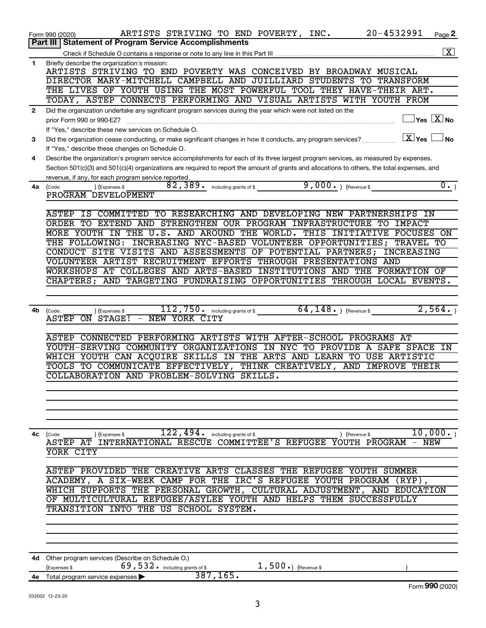|              | 20-4532991<br>ARTISTS STRIVING TO END POVERTY, INC.<br>Page 2<br>Form 990 (2020)                                                               |
|--------------|------------------------------------------------------------------------------------------------------------------------------------------------|
|              | <b>Part III Statement of Program Service Accomplishments</b>                                                                                   |
|              | $\overline{\mathbf{X}}$                                                                                                                        |
| 1            | Briefly describe the organization's mission:<br>ARTISTS STRIVING TO END POVERTY WAS CONCEIVED BY BROADWAY MUSICAL                              |
|              | DIRECTOR MARY-MITCHELL CAMPBELL AND JUILLIARD STUDENTS TO<br><b>TRANSFORM</b>                                                                  |
|              | THE LIVES OF YOUTH USING THE MOST POWERFUL TOOL THEY HAVE-THEIR ART.                                                                           |
|              | TODAY, ASTEP CONNECTS PERFORMING AND VISUAL ARTISTS WITH YOUTH FROM                                                                            |
| $\mathbf{2}$ | Did the organization undertake any significant program services during the year which were not listed on the                                   |
|              | $\Box$ Yes $[\overline{\mathrm{X}}]$ No<br>prior Form 990 or 990-EZ?                                                                           |
|              | If "Yes," describe these new services on Schedule O.                                                                                           |
| 3            | $\boxed{\text{X}}$ Yes<br>l No<br>Did the organization cease conducting, or make significant changes in how it conducts, any program services? |
|              | If "Yes," describe these changes on Schedule O.                                                                                                |
| 4            | Describe the organization's program service accomplishments for each of its three largest program services, as measured by expenses.           |
|              | Section 501(c)(3) and 501(c)(4) organizations are required to report the amount of grants and allocations to others, the total expenses, and   |
|              | revenue, if any, for each program service reported.                                                                                            |
| 4a           | 82, 389. including grants of \$ 9, 000. ) (Revenue \$<br>$\overline{0 \cdot}$<br>) (Expenses \$<br>(Code:                                      |
|              | PROGRAM DEVELOPMENT                                                                                                                            |
|              |                                                                                                                                                |
|              | IS COMMITTED TO RESEARCHING AND DEVELOPING NEW PARTNERSHIPS<br>ASTEP<br>IN                                                                     |
|              | ORDER TO EXTEND AND STRENGTHEN OUR PROGRAM INFRASTRUCTURE<br>TО<br>IMPACT                                                                      |
|              | MORE YOUTH IN THE U.S. AND AROUND THE WORLD. THIS INITIATIVE<br>FOCUSES<br><b>ON</b>                                                           |
|              | INCREASING NYC-BASED VOLUNTEER OPPORTUNITIES;<br>THE FOLLOWING:<br>TRAVEL TO<br>CONDUCT SITE VISITS AND ASSESSMENTS OF POTENTIAL PARTNERS;     |
|              | INCREASING                                                                                                                                     |
|              | VOLUNTEER ARTIST RECRUITMENT EFFORTS THROUGH PRESENTATIONS AND<br>WORKSHOPS AT COLLEGES AND ARTS-BASED INSTITUTIONS AND THE FORMATION OF       |
|              | CHAPTERS;                                                                                                                                      |
|              | AND TARGETING FUNDRAISING OPPORTUNITIES THROUGH LOCAL EVENTS.                                                                                  |
|              |                                                                                                                                                |
| 4b           | including grants of $\sqrt[6]{\frac{4}{148}}$ , $\sqrt[148]{\frac{148}{148}}$ , (Revenue \$<br>2,564.<br>112,750.                              |
|              | (Expenses \$<br>(Code:<br>- NEW YORK CITY<br>ASTEP<br>ON STAGE!                                                                                |
|              |                                                                                                                                                |
|              | ASTEP CONNECTED PERFORMING ARTISTS WITH AFTER-SCHOOL<br>PROGRAMS AT                                                                            |
|              | IN NYC TO PROVIDE<br>YOUTH-SERVING COMMUNITY ORGANIZATIONS<br>A SAFE SPACE<br>IN                                                               |
|              | WHICH YOUTH CAN ACQUIRE SKILLS IN THE ARTS AND LEARN<br>TO USE ARTISTIC                                                                        |
|              | THINK CREATIVELY, AND IMPROVE THEIR<br>TOOLS TO COMMUNICATE EFFECTIVELY,                                                                       |
|              | COLLABORATION AND PROBLEM-SOLVING SKILLS.                                                                                                      |
|              |                                                                                                                                                |
|              |                                                                                                                                                |
|              |                                                                                                                                                |
|              |                                                                                                                                                |
|              |                                                                                                                                                |
| 4c           | $\overline{122}$ , $\overline{494}$ including grants of \$<br>10,000.<br>(Code:<br>) (Expenses \$<br>) (Revenue \$                             |
|              | ASTEP AT INTERNATIONAL RESCUE COMMITTEE'S REFUGEE YOUTH PROGRAM - NEW                                                                          |
|              | YORK CITY                                                                                                                                      |
|              |                                                                                                                                                |
|              | ASTEP PROVIDED THE CREATIVE ARTS CLASSES THE REFUGEE YOUTH SUMMER                                                                              |
|              | ACADEMY, A SIX-WEEK CAMP FOR THE IRC'S REFUGEE YOUTH PROGRAM (RYP),                                                                            |
|              | WHICH SUPPORTS THE PERSONAL GROWTH, CULTURAL ADJUSTMENT, AND EDUCATION                                                                         |
|              | OF MULTICULTURAL REFUGEE/ASYLEE YOUTH AND HELPS THEM SUCCESSFULLY                                                                              |
|              | TRANSITION INTO THE US SCHOOL SYSTEM.                                                                                                          |
|              |                                                                                                                                                |
|              |                                                                                                                                                |
|              |                                                                                                                                                |
|              |                                                                                                                                                |
|              | 4d Other program services (Describe on Schedule O.)<br>69, 532. including grants of \$<br>$1,500.$ (Revenue \$)                                |
|              | (Expenses \$<br>387, 165.                                                                                                                      |
|              | 4e Total program service expenses<br>Form 990 (2020)                                                                                           |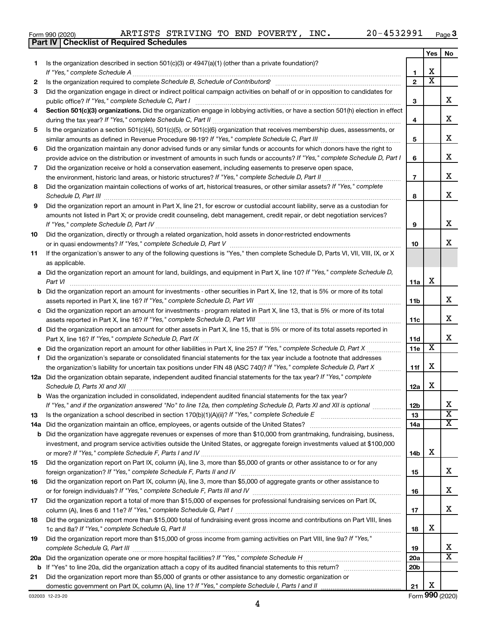**Part IV Checklist of Required Schedules**

032003 12-23-20

| Form 990 (2020) |  |  | ARTISTS STRIVING TO END POVERTY, J |  |  |  | INC. | 20-4532991 | Page |  |
|-----------------|--|--|------------------------------------|--|--|--|------|------------|------|--|
|-----------------|--|--|------------------------------------|--|--|--|------|------------|------|--|

|    |                                                                                                                                                                 |                 | Yes | No                      |
|----|-----------------------------------------------------------------------------------------------------------------------------------------------------------------|-----------------|-----|-------------------------|
| 1. | Is the organization described in section $501(c)(3)$ or $4947(a)(1)$ (other than a private foundation)?                                                         |                 |     |                         |
|    | If "Yes," complete Schedule A                                                                                                                                   | 1               | х   |                         |
| 2  | Is the organization required to complete Schedule B, Schedule of Contributors? [11] the organization required to complete Schedule B, Schedule of Contributors? | $\mathbf{2}$    | х   |                         |
| 3  | Did the organization engage in direct or indirect political campaign activities on behalf of or in opposition to candidates for                                 |                 |     |                         |
|    | public office? If "Yes," complete Schedule C, Part I                                                                                                            | з               |     | х                       |
| 4  | Section 501(c)(3) organizations. Did the organization engage in lobbying activities, or have a section 501(h) election in effect                                |                 |     |                         |
|    |                                                                                                                                                                 | 4               |     | х                       |
| 5  | Is the organization a section 501(c)(4), 501(c)(5), or 501(c)(6) organization that receives membership dues, assessments, or                                    | 5               |     | х                       |
|    | Did the organization maintain any donor advised funds or any similar funds or accounts for which donors have the right to                                       |                 |     |                         |
| 6  | provide advice on the distribution or investment of amounts in such funds or accounts? If "Yes," complete Schedule D, Part I                                    | 6               |     | х                       |
| 7  | Did the organization receive or hold a conservation easement, including easements to preserve open space,                                                       |                 |     |                         |
|    |                                                                                                                                                                 | $\overline{7}$  |     | х                       |
| 8  | Did the organization maintain collections of works of art, historical treasures, or other similar assets? If "Yes," complete                                    |                 |     |                         |
|    |                                                                                                                                                                 | 8               |     | x                       |
| 9  | Did the organization report an amount in Part X, line 21, for escrow or custodial account liability, serve as a custodian for                                   |                 |     |                         |
|    | amounts not listed in Part X; or provide credit counseling, debt management, credit repair, or debt negotiation services?                                       |                 |     |                         |
|    |                                                                                                                                                                 | 9               |     | x                       |
| 10 | Did the organization, directly or through a related organization, hold assets in donor-restricted endowments                                                    |                 |     |                         |
|    |                                                                                                                                                                 | 10              |     | x                       |
| 11 | If the organization's answer to any of the following questions is "Yes," then complete Schedule D, Parts VI, VII, VIII, IX, or X                                |                 |     |                         |
|    | as applicable.                                                                                                                                                  |                 |     |                         |
|    | a Did the organization report an amount for land, buildings, and equipment in Part X, line 10? If "Yes," complete Schedule D,                                   |                 |     |                         |
|    | Part VI                                                                                                                                                         | 11a             | х   |                         |
|    | <b>b</b> Did the organization report an amount for investments - other securities in Part X, line 12, that is 5% or more of its total                           |                 |     |                         |
|    |                                                                                                                                                                 | 11b             |     | х                       |
|    | c Did the organization report an amount for investments - program related in Part X, line 13, that is 5% or more of its total                                   |                 |     | х                       |
|    | d Did the organization report an amount for other assets in Part X, line 15, that is 5% or more of its total assets reported in                                 | 11c             |     |                         |
|    |                                                                                                                                                                 | 11d             |     | х                       |
|    |                                                                                                                                                                 | 11e             | х   |                         |
| f  | Did the organization's separate or consolidated financial statements for the tax year include a footnote that addresses                                         |                 |     |                         |
|    | the organization's liability for uncertain tax positions under FIN 48 (ASC 740)? If "Yes," complete Schedule D, Part X                                          | 11f             | х   |                         |
|    | 12a Did the organization obtain separate, independent audited financial statements for the tax year? If "Yes," complete                                         |                 |     |                         |
|    | Schedule D, Parts XI and XII                                                                                                                                    | 12a             | x   |                         |
|    | <b>b</b> Was the organization included in consolidated, independent audited financial statements for the tax year?                                              |                 |     |                         |
|    | If "Yes," and if the organization answered "No" to line 12a, then completing Schedule D, Parts XI and XII is optional www.                                      | 12b             |     | 77                      |
| 13 | Is the organization a school described in section $170(b)(1)(A)(ii)?$ If "Yes," complete Schedule E                                                             | 13              |     | $\overline{\mathbf{X}}$ |
|    | 14a Did the organization maintain an office, employees, or agents outside of the United States?                                                                 | 14a             |     | х                       |
|    | <b>b</b> Did the organization have aggregate revenues or expenses of more than \$10,000 from grantmaking, fundraising, business,                                |                 |     |                         |
|    | investment, and program service activities outside the United States, or aggregate foreign investments valued at \$100,000                                      |                 | х   |                         |
|    | Did the organization report on Part IX, column (A), line 3, more than \$5,000 of grants or other assistance to or for any                                       | 14b             |     |                         |
| 15 |                                                                                                                                                                 | 15              |     | х                       |
| 16 | Did the organization report on Part IX, column (A), line 3, more than \$5,000 of aggregate grants or other assistance to                                        |                 |     |                         |
|    |                                                                                                                                                                 | 16              |     | х                       |
| 17 | Did the organization report a total of more than \$15,000 of expenses for professional fundraising services on Part IX,                                         |                 |     |                         |
|    |                                                                                                                                                                 | 17              |     | х                       |
| 18 | Did the organization report more than \$15,000 total of fundraising event gross income and contributions on Part VIII, lines                                    |                 |     |                         |
|    |                                                                                                                                                                 | 18              | x   |                         |
| 19 | Did the organization report more than \$15,000 of gross income from gaming activities on Part VIII, line 9a? If "Yes,"                                          |                 |     |                         |
|    |                                                                                                                                                                 | 19              |     | x                       |
|    |                                                                                                                                                                 | 20a             |     | х                       |
|    |                                                                                                                                                                 | 20 <sub>b</sub> |     |                         |
| 21 | Did the organization report more than \$5,000 of grants or other assistance to any domestic organization or                                                     |                 | х   |                         |
|    |                                                                                                                                                                 | 21              |     |                         |

Form (2020) **990**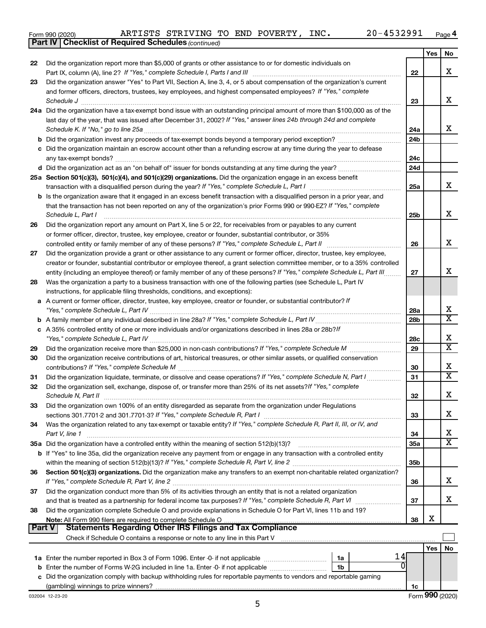|  | Form 990 (2020) |
|--|-----------------|
|  |                 |

*(continued)* **Part IV Checklist of Required Schedules**

|               |                                                                                                                                                                 |                 | Yes | No                    |
|---------------|-----------------------------------------------------------------------------------------------------------------------------------------------------------------|-----------------|-----|-----------------------|
| 22            | Did the organization report more than \$5,000 of grants or other assistance to or for domestic individuals on                                                   |                 |     |                       |
|               | Part IX, column (A), line 2? If "Yes," complete Schedule I, Parts I and III [11]] [11]] [11] [11] [11] [11] [1                                                  | 22              |     | х                     |
| 23            | Did the organization answer "Yes" to Part VII, Section A, line 3, 4, or 5 about compensation of the organization's current                                      |                 |     |                       |
|               | and former officers, directors, trustees, key employees, and highest compensated employees? If "Yes," complete                                                  |                 |     |                       |
|               | Schedule J                                                                                                                                                      | 23              |     | х                     |
|               | 24a Did the organization have a tax-exempt bond issue with an outstanding principal amount of more than \$100,000 as of the                                     |                 |     |                       |
|               | last day of the year, that was issued after December 31, 2002? If "Yes," answer lines 24b through 24d and complete                                              |                 |     |                       |
|               | Schedule K. If "No," go to line 25a                                                                                                                             | 24a             |     | x                     |
|               |                                                                                                                                                                 | 24 <sub>b</sub> |     |                       |
|               | c Did the organization maintain an escrow account other than a refunding escrow at any time during the year to defease                                          |                 |     |                       |
|               |                                                                                                                                                                 | 24c             |     |                       |
|               |                                                                                                                                                                 | 24d             |     |                       |
|               | 25a Section 501(c)(3), 501(c)(4), and 501(c)(29) organizations. Did the organization engage in an excess benefit                                                |                 |     | х                     |
|               |                                                                                                                                                                 | 25a             |     |                       |
|               | <b>b</b> Is the organization aware that it engaged in an excess benefit transaction with a disqualified person in a prior year, and                             |                 |     |                       |
|               | that the transaction has not been reported on any of the organization's prior Forms 990 or 990-EZ? If "Yes," complete<br>Schedule L, Part I                     | 25 <sub>b</sub> |     | х                     |
| 26            | Did the organization report any amount on Part X, line 5 or 22, for receivables from or payables to any current                                                 |                 |     |                       |
|               | or former officer, director, trustee, key employee, creator or founder, substantial contributor, or 35%                                                         |                 |     |                       |
|               | controlled entity or family member of any of these persons? If "Yes," complete Schedule L, Part II                                                              | 26              |     | х                     |
| 27            | Did the organization provide a grant or other assistance to any current or former officer, director, trustee, key employee,                                     |                 |     |                       |
|               | creator or founder, substantial contributor or employee thereof, a grant selection committee member, or to a 35% controlled                                     |                 |     |                       |
|               | entity (including an employee thereof) or family member of any of these persons? If "Yes," complete Schedule L, Part III                                        | 27              |     | x                     |
| 28            | Was the organization a party to a business transaction with one of the following parties (see Schedule L, Part IV                                               |                 |     |                       |
|               | instructions, for applicable filing thresholds, conditions, and exceptions):                                                                                    |                 |     |                       |
|               | a A current or former officer, director, trustee, key employee, creator or founder, or substantial contributor? If                                              |                 |     |                       |
|               |                                                                                                                                                                 | 28a             |     | х                     |
|               |                                                                                                                                                                 | 28 <sub>b</sub> |     | $\overline{\text{x}}$ |
|               | c A 35% controlled entity of one or more individuals and/or organizations described in lines 28a or 28b?/f                                                      |                 |     |                       |
|               |                                                                                                                                                                 | 28c             |     | х                     |
| 29            |                                                                                                                                                                 | 29              |     | $\overline{\text{x}}$ |
| 30            | Did the organization receive contributions of art, historical treasures, or other similar assets, or qualified conservation                                     |                 |     |                       |
|               |                                                                                                                                                                 | 30              |     | х                     |
| 31            | Did the organization liquidate, terminate, or dissolve and cease operations? If "Yes," complete Schedule N, Part I                                              | 31              |     | $\overline{\text{x}}$ |
| 32            | Did the organization sell, exchange, dispose of, or transfer more than 25% of its net assets? If "Yes," complete                                                |                 |     |                       |
|               | Schedule N, Part II                                                                                                                                             | 32              |     | х                     |
| 33            | Did the organization own 100% of an entity disregarded as separate from the organization under Regulations                                                      |                 |     |                       |
|               |                                                                                                                                                                 | 33              |     | х                     |
| 34            | Was the organization related to any tax-exempt or taxable entity? If "Yes," complete Schedule R, Part II, III, or IV, and                                       |                 |     |                       |
|               | Part V, line 1                                                                                                                                                  | 34              |     | х                     |
|               |                                                                                                                                                                 | 35a             |     | $\overline{\text{X}}$ |
|               | b If "Yes" to line 35a, did the organization receive any payment from or engage in any transaction with a controlled entity                                     |                 |     |                       |
|               |                                                                                                                                                                 | 35b             |     |                       |
| 36            | Section 501(c)(3) organizations. Did the organization make any transfers to an exempt non-charitable related organization?                                      |                 |     | x                     |
|               |                                                                                                                                                                 | 36              |     |                       |
| 37            | Did the organization conduct more than 5% of its activities through an entity that is not a related organization                                                |                 |     | X                     |
|               | and that is treated as a partnership for federal income tax purposes? If "Yes," complete Schedule R, Part VI                                                    | 37              |     |                       |
| 38            | Did the organization complete Schedule O and provide explanations in Schedule O for Part VI, lines 11b and 19?                                                  | 38              | х   |                       |
| <b>Part V</b> | Note: All Form 990 filers are required to complete Schedule O<br><b>Statements Regarding Other IRS Filings and Tax Compliance</b>                               |                 |     |                       |
|               | Check if Schedule O contains a response or note to any line in this Part V [11] [12] Check if Schedule O contains a response or note to any line in this Part V |                 |     |                       |
|               |                                                                                                                                                                 |                 | Yes | No                    |
|               | 14<br>1a                                                                                                                                                        |                 |     |                       |
|               | 0<br>1b                                                                                                                                                         |                 |     |                       |
|               | c Did the organization comply with backup withholding rules for reportable payments to vendors and reportable gaming                                            |                 |     |                       |
|               |                                                                                                                                                                 | 1c              |     |                       |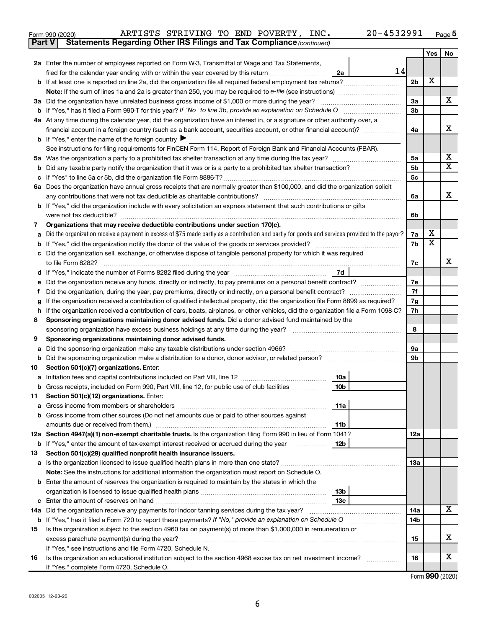| 4532991<br>۵۵۰<br>INC.<br>TO<br>POVERTY,<br>STRIVING<br>ARTISTS<br>END<br>Form 990 (2020) | Page <b>5</b> |
|-------------------------------------------------------------------------------------------|---------------|
|-------------------------------------------------------------------------------------------|---------------|

| Part V | <b>Statements Regarding Other IRS Filings and Tax Compliance (continued)</b>                                                                    |                 |     |                         |  |
|--------|-------------------------------------------------------------------------------------------------------------------------------------------------|-----------------|-----|-------------------------|--|
|        |                                                                                                                                                 |                 | Yes | No                      |  |
|        | 2a Enter the number of employees reported on Form W-3, Transmittal of Wage and Tax Statements,                                                  |                 |     |                         |  |
|        | 14<br>filed for the calendar year ending with or within the year covered by this return<br>2a                                                   |                 |     |                         |  |
|        |                                                                                                                                                 | 2 <sub>b</sub>  | х   |                         |  |
|        |                                                                                                                                                 |                 |     |                         |  |
| За     | Did the organization have unrelated business gross income of \$1,000 or more during the year?                                                   | За              |     | х                       |  |
| b      |                                                                                                                                                 | 3b              |     |                         |  |
|        | 4a At any time during the calendar year, did the organization have an interest in, or a signature or other authority over, a                    |                 |     |                         |  |
|        | financial account in a foreign country (such as a bank account, securities account, or other financial account)?                                | 4a              |     | x                       |  |
|        | <b>b</b> If "Yes," enter the name of the foreign country $\blacktriangleright$                                                                  |                 |     |                         |  |
|        | See instructions for filing requirements for FinCEN Form 114, Report of Foreign Bank and Financial Accounts (FBAR).                             |                 |     |                         |  |
| 5a     |                                                                                                                                                 | 5a              |     | x                       |  |
| b      |                                                                                                                                                 | 5b              |     | $\overline{\texttt{X}}$ |  |
| с      |                                                                                                                                                 | 5c              |     |                         |  |
| 6а     | Does the organization have annual gross receipts that are normally greater than \$100,000, and did the organization solicit                     |                 |     |                         |  |
|        |                                                                                                                                                 | 6a              |     | х                       |  |
|        | <b>b</b> If "Yes," did the organization include with every solicitation an express statement that such contributions or gifts                   |                 |     |                         |  |
|        |                                                                                                                                                 | 6b              |     |                         |  |
| 7      | Organizations that may receive deductible contributions under section 170(c).                                                                   |                 |     |                         |  |
| а      | Did the organization receive a payment in excess of \$75 made partly as a contribution and partly for goods and services provided to the payor? | 7a              | х   |                         |  |
| b      |                                                                                                                                                 | 7b              | х   |                         |  |
| с      | Did the organization sell, exchange, or otherwise dispose of tangible personal property for which it was required                               |                 |     |                         |  |
|        |                                                                                                                                                 | 7c              |     | x                       |  |
|        | 7d                                                                                                                                              |                 |     |                         |  |
| е      | Did the organization receive any funds, directly or indirectly, to pay premiums on a personal benefit contract?                                 | 7е<br>7f        |     |                         |  |
| Ť.     |                                                                                                                                                 |                 |     |                         |  |
| g      | If the organization received a contribution of qualified intellectual property, did the organization file Form 8899 as required?                | 7g              |     |                         |  |
| h      | If the organization received a contribution of cars, boats, airplanes, or other vehicles, did the organization file a Form 1098-C?              | 7h              |     |                         |  |
| 8      | Sponsoring organizations maintaining donor advised funds. Did a donor advised fund maintained by the                                            |                 |     |                         |  |
|        | sponsoring organization have excess business holdings at any time during the year?                                                              | 8               |     |                         |  |
| 9      | Sponsoring organizations maintaining donor advised funds.                                                                                       |                 |     |                         |  |
| а      | Did the sponsoring organization make any taxable distributions under section 4966?                                                              | 9а              |     |                         |  |
| b      |                                                                                                                                                 | 9b              |     |                         |  |
| 10     | Section 501(c)(7) organizations. Enter:                                                                                                         |                 |     |                         |  |
| а      | 10a                                                                                                                                             |                 |     |                         |  |
|        | <b>b</b> Gross receipts, included on Form 990, Part VIII, line 12, for public use of club facilities <i>manameron</i> .<br>10b                  |                 |     |                         |  |
| 11     | Section 501(c)(12) organizations. Enter:                                                                                                        |                 |     |                         |  |
| а      | 11a                                                                                                                                             |                 |     |                         |  |
|        | b Gross income from other sources (Do not net amounts due or paid to other sources against                                                      |                 |     |                         |  |
|        | 11b<br>12a Section 4947(a)(1) non-exempt charitable trusts. Is the organization filing Form 990 in lieu of Form 1041?                           |                 |     |                         |  |
|        | <b>b</b> If "Yes," enter the amount of tax-exempt interest received or accrued during the year<br>12 <sub>b</sub>                               | 12a             |     |                         |  |
| 13     | Section 501(c)(29) qualified nonprofit health insurance issuers.                                                                                |                 |     |                         |  |
|        | a Is the organization licensed to issue qualified health plans in more than one state?                                                          | 13a             |     |                         |  |
|        | Note: See the instructions for additional information the organization must report on Schedule O.                                               |                 |     |                         |  |
|        | <b>b</b> Enter the amount of reserves the organization is required to maintain by the states in which the                                       |                 |     |                         |  |
|        | 13b                                                                                                                                             |                 |     |                         |  |
| с      | 13c                                                                                                                                             |                 |     |                         |  |
| 14a    | Did the organization receive any payments for indoor tanning services during the tax year?                                                      | 14a             |     | X                       |  |
| b      | If "Yes," has it filed a Form 720 to report these payments? If "No," provide an explanation on Schedule O                                       | 14 <sub>b</sub> |     |                         |  |
| 15     | Is the organization subject to the section 4960 tax on payment(s) of more than \$1,000,000 in remuneration or                                   |                 |     |                         |  |
|        | excess parachute payment(s) during the year?                                                                                                    | 15              |     | x                       |  |
|        | If "Yes," see instructions and file Form 4720, Schedule N.                                                                                      |                 |     |                         |  |
| 16     | Is the organization an educational institution subject to the section 4968 excise tax on net investment income?                                 | 16              |     | x                       |  |
|        | If "Yes," complete Form 4720, Schedule O.                                                                                                       |                 |     |                         |  |
|        |                                                                                                                                                 |                 |     |                         |  |

Form (2020) **990**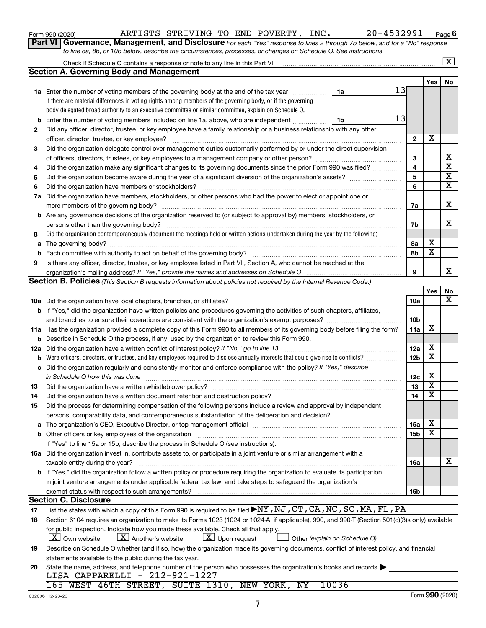| Form 990 (2020) |  |
|-----------------|--|
|-----------------|--|

## Form 990 (2020) ARTISTS STRIVING TO END POVERTY, INC. 20-4532991 Page

**6**

| Part VI   Governance, Management, and Disclosure For each "Yes" response to lines 2 through 7b below, and for a "No" response |
|-------------------------------------------------------------------------------------------------------------------------------|
| to line 8a, 8b, or 10b below, describe the circumstances, processes, or changes on Schedule O. See instructions.              |

|     |                                                                                                                                                                                                                                |                 |        | $\mathbf{X}$            |
|-----|--------------------------------------------------------------------------------------------------------------------------------------------------------------------------------------------------------------------------------|-----------------|--------|-------------------------|
|     | <b>Section A. Governing Body and Management</b>                                                                                                                                                                                |                 |        |                         |
|     |                                                                                                                                                                                                                                |                 | Yes    | No                      |
|     | 13<br><b>1a</b> Enter the number of voting members of the governing body at the end of the tax year<br>1a                                                                                                                      |                 |        |                         |
|     | If there are material differences in voting rights among members of the governing body, or if the governing                                                                                                                    |                 |        |                         |
|     | body delegated broad authority to an executive committee or similar committee, explain on Schedule O.                                                                                                                          |                 |        |                         |
| b   | 13<br>Enter the number of voting members included on line 1a, above, who are independent<br>1b                                                                                                                                 |                 |        |                         |
| 2   | Did any officer, director, trustee, or key employee have a family relationship or a business relationship with any other                                                                                                       |                 |        |                         |
|     | officer, director, trustee, or key employee?                                                                                                                                                                                   | $\mathbf{2}$    | х      |                         |
| 3   | Did the organization delegate control over management duties customarily performed by or under the direct supervision                                                                                                          |                 |        |                         |
|     |                                                                                                                                                                                                                                | 3               |        | x                       |
| 4   | Did the organization make any significant changes to its governing documents since the prior Form 990 was filed?                                                                                                               | 4               |        | $\overline{\textbf{x}}$ |
| 5   |                                                                                                                                                                                                                                | 5               |        | $\overline{\textbf{x}}$ |
| 6   |                                                                                                                                                                                                                                | 6               |        | $\overline{\textbf{x}}$ |
|     | 7a Did the organization have members, stockholders, or other persons who had the power to elect or appoint one or                                                                                                              |                 |        |                         |
|     |                                                                                                                                                                                                                                | 7a              |        | х                       |
|     | <b>b</b> Are any governance decisions of the organization reserved to (or subject to approval by) members, stockholders, or                                                                                                    |                 |        |                         |
|     | persons other than the governing body?                                                                                                                                                                                         | 7b              |        | x                       |
| 8   | Did the organization contemporaneously document the meetings held or written actions undertaken during the year by the following:                                                                                              |                 |        |                         |
| a   |                                                                                                                                                                                                                                | 8а              | х      |                         |
| b   |                                                                                                                                                                                                                                | 8b              | х      |                         |
| 9   | Is there any officer, director, trustee, or key employee listed in Part VII, Section A, who cannot be reached at the                                                                                                           |                 |        |                         |
|     |                                                                                                                                                                                                                                | 9               |        | x                       |
|     | <b>Section B. Policies</b> (This Section B requests information about policies not required by the Internal Revenue Code.)                                                                                                     |                 |        |                         |
|     |                                                                                                                                                                                                                                |                 | Yes    | No                      |
|     |                                                                                                                                                                                                                                | 10a             |        | x                       |
|     | <b>b</b> If "Yes," did the organization have written policies and procedures governing the activities of such chapters, affiliates,                                                                                            |                 |        |                         |
|     | and branches to ensure their operations are consistent with the organization's exempt purposes? www.www.www.www.                                                                                                               | 10b             |        |                         |
|     | 11a Has the organization provided a complete copy of this Form 990 to all members of its governing body before filing the form?                                                                                                | 11a             | X      |                         |
|     | <b>b</b> Describe in Schedule O the process, if any, used by the organization to review this Form 990.                                                                                                                         |                 |        |                         |
| 12a |                                                                                                                                                                                                                                | 12a             | X      |                         |
| b   | Were officers, directors, or trustees, and key employees required to disclose annually interests that could give rise to conflicts?                                                                                            | 12 <sub>b</sub> | X      |                         |
| с   | Did the organization regularly and consistently monitor and enforce compliance with the policy? If "Yes," describe                                                                                                             |                 |        |                         |
|     | in Schedule O how this was done                                                                                                                                                                                                | 12c             | X      |                         |
| 13  |                                                                                                                                                                                                                                | 13              | х      |                         |
| 14  |                                                                                                                                                                                                                                | 14              | X      |                         |
| 15  | Did the process for determining compensation of the following persons include a review and approval by independent                                                                                                             |                 |        |                         |
|     | persons, comparability data, and contemporaneous substantiation of the deliberation and decision?                                                                                                                              |                 |        |                         |
| а   | The organization's CEO, Executive Director, or top management official manufactured content of the organization's CEO, Executive Director, or top management official manufactured content of the organization's CEO, Executiv | 15a             | х<br>X |                         |
|     |                                                                                                                                                                                                                                | <b>15b</b>      |        |                         |
|     | If "Yes" to line 15a or 15b, describe the process in Schedule O (see instructions).                                                                                                                                            |                 |        |                         |
|     | 16a Did the organization invest in, contribute assets to, or participate in a joint venture or similar arrangement with a                                                                                                      |                 |        |                         |
|     | taxable entity during the year?                                                                                                                                                                                                | 16a             |        | x                       |
|     | <b>b</b> If "Yes," did the organization follow a written policy or procedure requiring the organization to evaluate its participation                                                                                          |                 |        |                         |
|     | in joint venture arrangements under applicable federal tax law, and take steps to safeguard the organization's                                                                                                                 |                 |        |                         |
|     | exempt status with respect to such arrangements?                                                                                                                                                                               | 16b             |        |                         |
|     | <b>Section C. Disclosure</b><br>List the states with which a copy of this Form 990 is required to be filed <b>&gt;NY, NJ, CT, CA, NC, SC, MA, FL, PA</b>                                                                       |                 |        |                         |
| 17  | Section 6104 requires an organization to make its Forms 1023 (1024 or 1024-A, if applicable), 990, and 990-T (Section 501(c)(3)s only) available                                                                               |                 |        |                         |
| 18  | for public inspection. Indicate how you made these available. Check all that apply.                                                                                                                                            |                 |        |                         |
|     | $\lfloor x \rfloor$ Upon request<br>  X   Own website<br>$\lfloor X \rfloor$ Another's website<br>Other (explain on Schedule O)                                                                                                |                 |        |                         |
|     | Describe on Schedule O whether (and if so, how) the organization made its governing documents, conflict of interest policy, and financial                                                                                      |                 |        |                         |
| 19  | statements available to the public during the tax year.                                                                                                                                                                        |                 |        |                         |
| 20  | State the name, address, and telephone number of the person who possesses the organization's books and records                                                                                                                 |                 |        |                         |
|     |                                                                                                                                                                                                                                |                 |        |                         |

LISA CAPPARELLI - 212-921-1227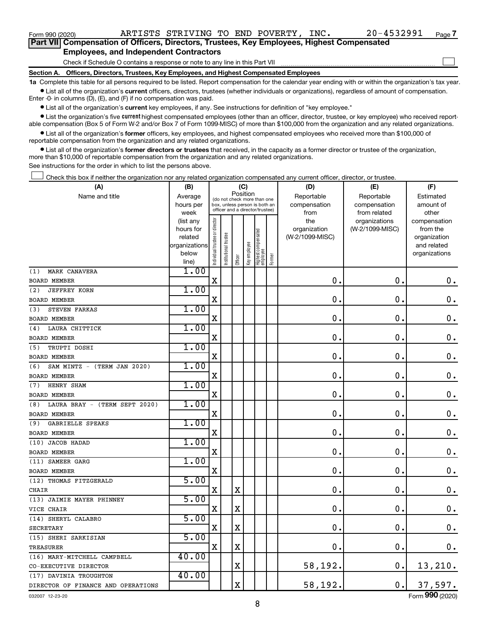| Form 990 (2020)                                                                                   |                                                                                                                | ARTISTS STRIVING TO END POVERTY, INC. |  |  | 20-4532991 | Page |
|---------------------------------------------------------------------------------------------------|----------------------------------------------------------------------------------------------------------------|---------------------------------------|--|--|------------|------|
| <b>Part VII</b> Compensation of Officers, Directors, Trustees, Key Employees, Highest Compensated |                                                                                                                |                                       |  |  |            |      |
|                                                                                                   | ■ considered a considered to change of the Line Constantine of the constant of the constant of the constant of |                                       |  |  |            |      |

## **Employees, and Independent Contractors**

Check if Schedule O contains a response or note to any line in this Part VII

**Section A. Officers, Directors, Trustees, Key Employees, and Highest Compensated Employees**

**1a**  Complete this table for all persons required to be listed. Report compensation for the calendar year ending with or within the organization's tax year.  $\bullet$  List all of the organization's current officers, directors, trustees (whether individuals or organizations), regardless of amount of compensation.

Enter -0- in columns (D), (E), and (F) if no compensation was paid.

**•** List all of the organization's current key employees, if any. See instructions for definition of "key employee."

• List the organization's five *current* highest compensated employees (other than an officer, director, trustee, or key employee) who received reportable compensation (Box 5 of Form W-2 and/or Box 7 of Form 1099-MISC) of more than \$100,000 from the organization and any related organizations.

 $\bullet$  List all of the organization's former officers, key employees, and highest compensated employees who received more than \$100,000 of reportable compensation from the organization and any related organizations.

**•** List all of the organization's former directors or trustees that received, in the capacity as a former director or trustee of the organization, more than \$10,000 of reportable compensation from the organization and any related organizations.

See instructions for the order in which to list the persons above.

Check this box if neither the organization nor any related organization compensated any current officer, director, or trustee.  $\overline{a}$ 

| Position<br>Name and title<br>Reportable<br>Reportable<br>Estimated<br>Average<br>(do not check more than one<br>compensation<br>hours per<br>box, unless person is both an<br>compensation<br>amount of<br>officer and a director/trustee)<br>from related<br>other<br>week<br>from<br>Individual trustee or director<br>the<br>(list any<br>organizations<br>compensation<br>(W-2/1099-MISC)<br>hours for<br>organization<br>from the<br>Highest compensated<br>employee<br>nstitutional trustee<br>(W-2/1099-MISC)<br>related<br>organization<br>Key employee<br>organizations<br>and related<br>below<br>organizations<br>Former<br>Officer<br>line)<br>1.00<br>MARK CANAVERA<br>(1)<br>$\mathbf X$<br>$\mathbf 0$<br>$\mathbf 0$ .<br>$\mathbf 0$ .<br><b>BOARD MEMBER</b><br>1.00<br>(2)<br><b>JEFFREY KORN</b><br>X<br>$\mathbf 0$<br>0<br>0.<br>BOARD MEMBER<br>1.00<br>STEVEN FARKAS<br>(3)<br>X<br>0<br>$\mathbf 0$<br>$\mathbf 0$ .<br><b>BOARD MEMBER</b><br>1.00<br>LAURA CHITTICK<br>(4)<br>$\mathbf X$<br>$\mathbf 0$<br>$\mathbf 0$ .<br>$\mathbf 0$ .<br><b>BOARD MEMBER</b><br>1.00<br>TRUPTI DOSHI<br>(5)<br>X<br>$\mathbf 0$<br>$\mathbf 0$<br>$\mathbf 0$ .<br>BOARD MEMBER<br>1.00<br>SAM MINTZ - (TERM JAN 2020)<br>(6)<br>$\mathbf 0$<br>$\mathbf 0$<br>X<br>$0$ .<br><b>BOARD MEMBER</b><br>1.00<br>HENRY SHAM<br>(7)<br>0<br>$\mathbf 0$<br>X<br>$\mathbf 0$ .<br><b>BOARD MEMBER</b><br>1.00<br>LAURA BRAY - (TERM SEPT 2020)<br>(8)<br>$\mathbf 0$ .<br>X<br>$\mathbf 0$<br>$\mathbf 0$<br>BOARD MEMBER<br>1.00<br><b>GABRIELLE SPEAKS</b><br>(9)<br>0.<br>X<br>0<br>$\mathbf 0$ .<br><b>BOARD MEMBER</b><br>1.00<br>(10) JACOB HADAD<br>$\mathbf 0$<br>$\mathbf 0$<br>$0$ .<br>$\mathbf X$<br><b>BOARD MEMBER</b><br>1.00<br>(11) SAMEER GARG<br>X<br>0<br>$\mathbf 0$ .<br>$\mathbf 0$ .<br><b>BOARD MEMBER</b><br>5.00<br>(12) THOMAS FITZGERALD<br>$\mathbf{0}$ .<br>$\mathbf 0$ .<br>$0$ .<br>$\mathbf X$<br>$\mathbf X$<br><b>CHAIR</b><br>5.00<br>(13) JAIMIE MAYER PHINNEY<br>X<br>$\mathbf X$<br>$\mathbf 0$ .<br>0<br>0.<br>VICE CHAIR<br>5.00<br>(14) SHERYL CALABRO<br>$\mathbf X$<br>$\mathbf 0$ .<br>$\mathbf 0$ .<br>$\mathbf X$<br>$\mathbf 0$ .<br><b>SECRETARY</b><br>5.00<br>(15) SHERI SARKISIAN<br>$\rm X$<br>$\mathbf 0$ .<br>$\mathbf X$<br>$\mathbf 0$ .<br>0.<br><b>TREASURER</b><br>40.00<br>(16) MARY-MITCHELL CAMPBELL<br>58,192.<br>$\mathbf X$<br>0.<br>13,210.<br>CO-EXECUTIVE DIRECTOR<br>40.00<br>(17) DAVINIA TROUGHTON<br>$\mathbf X$<br>58,192.<br>$\mathbf 0$ .<br>37,597.<br>DIRECTOR OF FINANCE AND OPERATIONS | (A) | (C)<br>(B) |  |  |  |  |  | (D) | (E) | (F) |
|-----------------------------------------------------------------------------------------------------------------------------------------------------------------------------------------------------------------------------------------------------------------------------------------------------------------------------------------------------------------------------------------------------------------------------------------------------------------------------------------------------------------------------------------------------------------------------------------------------------------------------------------------------------------------------------------------------------------------------------------------------------------------------------------------------------------------------------------------------------------------------------------------------------------------------------------------------------------------------------------------------------------------------------------------------------------------------------------------------------------------------------------------------------------------------------------------------------------------------------------------------------------------------------------------------------------------------------------------------------------------------------------------------------------------------------------------------------------------------------------------------------------------------------------------------------------------------------------------------------------------------------------------------------------------------------------------------------------------------------------------------------------------------------------------------------------------------------------------------------------------------------------------------------------------------------------------------------------------------------------------------------------------------------------------------------------------------------------------------------------------------------------------------------------------------------------------------------------------------------------------------------------------------------------------------------------------------------------------------------------------------------------------------------------------------------------------------------------------------------------------------------------------------------------------------------------------------------|-----|------------|--|--|--|--|--|-----|-----|-----|
|                                                                                                                                                                                                                                                                                                                                                                                                                                                                                                                                                                                                                                                                                                                                                                                                                                                                                                                                                                                                                                                                                                                                                                                                                                                                                                                                                                                                                                                                                                                                                                                                                                                                                                                                                                                                                                                                                                                                                                                                                                                                                                                                                                                                                                                                                                                                                                                                                                                                                                                                                                                   |     |            |  |  |  |  |  |     |     |     |
|                                                                                                                                                                                                                                                                                                                                                                                                                                                                                                                                                                                                                                                                                                                                                                                                                                                                                                                                                                                                                                                                                                                                                                                                                                                                                                                                                                                                                                                                                                                                                                                                                                                                                                                                                                                                                                                                                                                                                                                                                                                                                                                                                                                                                                                                                                                                                                                                                                                                                                                                                                                   |     |            |  |  |  |  |  |     |     |     |
|                                                                                                                                                                                                                                                                                                                                                                                                                                                                                                                                                                                                                                                                                                                                                                                                                                                                                                                                                                                                                                                                                                                                                                                                                                                                                                                                                                                                                                                                                                                                                                                                                                                                                                                                                                                                                                                                                                                                                                                                                                                                                                                                                                                                                                                                                                                                                                                                                                                                                                                                                                                   |     |            |  |  |  |  |  |     |     |     |
|                                                                                                                                                                                                                                                                                                                                                                                                                                                                                                                                                                                                                                                                                                                                                                                                                                                                                                                                                                                                                                                                                                                                                                                                                                                                                                                                                                                                                                                                                                                                                                                                                                                                                                                                                                                                                                                                                                                                                                                                                                                                                                                                                                                                                                                                                                                                                                                                                                                                                                                                                                                   |     |            |  |  |  |  |  |     |     |     |
|                                                                                                                                                                                                                                                                                                                                                                                                                                                                                                                                                                                                                                                                                                                                                                                                                                                                                                                                                                                                                                                                                                                                                                                                                                                                                                                                                                                                                                                                                                                                                                                                                                                                                                                                                                                                                                                                                                                                                                                                                                                                                                                                                                                                                                                                                                                                                                                                                                                                                                                                                                                   |     |            |  |  |  |  |  |     |     |     |
|                                                                                                                                                                                                                                                                                                                                                                                                                                                                                                                                                                                                                                                                                                                                                                                                                                                                                                                                                                                                                                                                                                                                                                                                                                                                                                                                                                                                                                                                                                                                                                                                                                                                                                                                                                                                                                                                                                                                                                                                                                                                                                                                                                                                                                                                                                                                                                                                                                                                                                                                                                                   |     |            |  |  |  |  |  |     |     |     |
|                                                                                                                                                                                                                                                                                                                                                                                                                                                                                                                                                                                                                                                                                                                                                                                                                                                                                                                                                                                                                                                                                                                                                                                                                                                                                                                                                                                                                                                                                                                                                                                                                                                                                                                                                                                                                                                                                                                                                                                                                                                                                                                                                                                                                                                                                                                                                                                                                                                                                                                                                                                   |     |            |  |  |  |  |  |     |     |     |
|                                                                                                                                                                                                                                                                                                                                                                                                                                                                                                                                                                                                                                                                                                                                                                                                                                                                                                                                                                                                                                                                                                                                                                                                                                                                                                                                                                                                                                                                                                                                                                                                                                                                                                                                                                                                                                                                                                                                                                                                                                                                                                                                                                                                                                                                                                                                                                                                                                                                                                                                                                                   |     |            |  |  |  |  |  |     |     |     |
|                                                                                                                                                                                                                                                                                                                                                                                                                                                                                                                                                                                                                                                                                                                                                                                                                                                                                                                                                                                                                                                                                                                                                                                                                                                                                                                                                                                                                                                                                                                                                                                                                                                                                                                                                                                                                                                                                                                                                                                                                                                                                                                                                                                                                                                                                                                                                                                                                                                                                                                                                                                   |     |            |  |  |  |  |  |     |     |     |
|                                                                                                                                                                                                                                                                                                                                                                                                                                                                                                                                                                                                                                                                                                                                                                                                                                                                                                                                                                                                                                                                                                                                                                                                                                                                                                                                                                                                                                                                                                                                                                                                                                                                                                                                                                                                                                                                                                                                                                                                                                                                                                                                                                                                                                                                                                                                                                                                                                                                                                                                                                                   |     |            |  |  |  |  |  |     |     |     |
|                                                                                                                                                                                                                                                                                                                                                                                                                                                                                                                                                                                                                                                                                                                                                                                                                                                                                                                                                                                                                                                                                                                                                                                                                                                                                                                                                                                                                                                                                                                                                                                                                                                                                                                                                                                                                                                                                                                                                                                                                                                                                                                                                                                                                                                                                                                                                                                                                                                                                                                                                                                   |     |            |  |  |  |  |  |     |     |     |
|                                                                                                                                                                                                                                                                                                                                                                                                                                                                                                                                                                                                                                                                                                                                                                                                                                                                                                                                                                                                                                                                                                                                                                                                                                                                                                                                                                                                                                                                                                                                                                                                                                                                                                                                                                                                                                                                                                                                                                                                                                                                                                                                                                                                                                                                                                                                                                                                                                                                                                                                                                                   |     |            |  |  |  |  |  |     |     |     |
|                                                                                                                                                                                                                                                                                                                                                                                                                                                                                                                                                                                                                                                                                                                                                                                                                                                                                                                                                                                                                                                                                                                                                                                                                                                                                                                                                                                                                                                                                                                                                                                                                                                                                                                                                                                                                                                                                                                                                                                                                                                                                                                                                                                                                                                                                                                                                                                                                                                                                                                                                                                   |     |            |  |  |  |  |  |     |     |     |
|                                                                                                                                                                                                                                                                                                                                                                                                                                                                                                                                                                                                                                                                                                                                                                                                                                                                                                                                                                                                                                                                                                                                                                                                                                                                                                                                                                                                                                                                                                                                                                                                                                                                                                                                                                                                                                                                                                                                                                                                                                                                                                                                                                                                                                                                                                                                                                                                                                                                                                                                                                                   |     |            |  |  |  |  |  |     |     |     |
|                                                                                                                                                                                                                                                                                                                                                                                                                                                                                                                                                                                                                                                                                                                                                                                                                                                                                                                                                                                                                                                                                                                                                                                                                                                                                                                                                                                                                                                                                                                                                                                                                                                                                                                                                                                                                                                                                                                                                                                                                                                                                                                                                                                                                                                                                                                                                                                                                                                                                                                                                                                   |     |            |  |  |  |  |  |     |     |     |
|                                                                                                                                                                                                                                                                                                                                                                                                                                                                                                                                                                                                                                                                                                                                                                                                                                                                                                                                                                                                                                                                                                                                                                                                                                                                                                                                                                                                                                                                                                                                                                                                                                                                                                                                                                                                                                                                                                                                                                                                                                                                                                                                                                                                                                                                                                                                                                                                                                                                                                                                                                                   |     |            |  |  |  |  |  |     |     |     |
|                                                                                                                                                                                                                                                                                                                                                                                                                                                                                                                                                                                                                                                                                                                                                                                                                                                                                                                                                                                                                                                                                                                                                                                                                                                                                                                                                                                                                                                                                                                                                                                                                                                                                                                                                                                                                                                                                                                                                                                                                                                                                                                                                                                                                                                                                                                                                                                                                                                                                                                                                                                   |     |            |  |  |  |  |  |     |     |     |
|                                                                                                                                                                                                                                                                                                                                                                                                                                                                                                                                                                                                                                                                                                                                                                                                                                                                                                                                                                                                                                                                                                                                                                                                                                                                                                                                                                                                                                                                                                                                                                                                                                                                                                                                                                                                                                                                                                                                                                                                                                                                                                                                                                                                                                                                                                                                                                                                                                                                                                                                                                                   |     |            |  |  |  |  |  |     |     |     |
|                                                                                                                                                                                                                                                                                                                                                                                                                                                                                                                                                                                                                                                                                                                                                                                                                                                                                                                                                                                                                                                                                                                                                                                                                                                                                                                                                                                                                                                                                                                                                                                                                                                                                                                                                                                                                                                                                                                                                                                                                                                                                                                                                                                                                                                                                                                                                                                                                                                                                                                                                                                   |     |            |  |  |  |  |  |     |     |     |
|                                                                                                                                                                                                                                                                                                                                                                                                                                                                                                                                                                                                                                                                                                                                                                                                                                                                                                                                                                                                                                                                                                                                                                                                                                                                                                                                                                                                                                                                                                                                                                                                                                                                                                                                                                                                                                                                                                                                                                                                                                                                                                                                                                                                                                                                                                                                                                                                                                                                                                                                                                                   |     |            |  |  |  |  |  |     |     |     |
|                                                                                                                                                                                                                                                                                                                                                                                                                                                                                                                                                                                                                                                                                                                                                                                                                                                                                                                                                                                                                                                                                                                                                                                                                                                                                                                                                                                                                                                                                                                                                                                                                                                                                                                                                                                                                                                                                                                                                                                                                                                                                                                                                                                                                                                                                                                                                                                                                                                                                                                                                                                   |     |            |  |  |  |  |  |     |     |     |
|                                                                                                                                                                                                                                                                                                                                                                                                                                                                                                                                                                                                                                                                                                                                                                                                                                                                                                                                                                                                                                                                                                                                                                                                                                                                                                                                                                                                                                                                                                                                                                                                                                                                                                                                                                                                                                                                                                                                                                                                                                                                                                                                                                                                                                                                                                                                                                                                                                                                                                                                                                                   |     |            |  |  |  |  |  |     |     |     |
|                                                                                                                                                                                                                                                                                                                                                                                                                                                                                                                                                                                                                                                                                                                                                                                                                                                                                                                                                                                                                                                                                                                                                                                                                                                                                                                                                                                                                                                                                                                                                                                                                                                                                                                                                                                                                                                                                                                                                                                                                                                                                                                                                                                                                                                                                                                                                                                                                                                                                                                                                                                   |     |            |  |  |  |  |  |     |     |     |
|                                                                                                                                                                                                                                                                                                                                                                                                                                                                                                                                                                                                                                                                                                                                                                                                                                                                                                                                                                                                                                                                                                                                                                                                                                                                                                                                                                                                                                                                                                                                                                                                                                                                                                                                                                                                                                                                                                                                                                                                                                                                                                                                                                                                                                                                                                                                                                                                                                                                                                                                                                                   |     |            |  |  |  |  |  |     |     |     |
|                                                                                                                                                                                                                                                                                                                                                                                                                                                                                                                                                                                                                                                                                                                                                                                                                                                                                                                                                                                                                                                                                                                                                                                                                                                                                                                                                                                                                                                                                                                                                                                                                                                                                                                                                                                                                                                                                                                                                                                                                                                                                                                                                                                                                                                                                                                                                                                                                                                                                                                                                                                   |     |            |  |  |  |  |  |     |     |     |
|                                                                                                                                                                                                                                                                                                                                                                                                                                                                                                                                                                                                                                                                                                                                                                                                                                                                                                                                                                                                                                                                                                                                                                                                                                                                                                                                                                                                                                                                                                                                                                                                                                                                                                                                                                                                                                                                                                                                                                                                                                                                                                                                                                                                                                                                                                                                                                                                                                                                                                                                                                                   |     |            |  |  |  |  |  |     |     |     |
|                                                                                                                                                                                                                                                                                                                                                                                                                                                                                                                                                                                                                                                                                                                                                                                                                                                                                                                                                                                                                                                                                                                                                                                                                                                                                                                                                                                                                                                                                                                                                                                                                                                                                                                                                                                                                                                                                                                                                                                                                                                                                                                                                                                                                                                                                                                                                                                                                                                                                                                                                                                   |     |            |  |  |  |  |  |     |     |     |
|                                                                                                                                                                                                                                                                                                                                                                                                                                                                                                                                                                                                                                                                                                                                                                                                                                                                                                                                                                                                                                                                                                                                                                                                                                                                                                                                                                                                                                                                                                                                                                                                                                                                                                                                                                                                                                                                                                                                                                                                                                                                                                                                                                                                                                                                                                                                                                                                                                                                                                                                                                                   |     |            |  |  |  |  |  |     |     |     |
|                                                                                                                                                                                                                                                                                                                                                                                                                                                                                                                                                                                                                                                                                                                                                                                                                                                                                                                                                                                                                                                                                                                                                                                                                                                                                                                                                                                                                                                                                                                                                                                                                                                                                                                                                                                                                                                                                                                                                                                                                                                                                                                                                                                                                                                                                                                                                                                                                                                                                                                                                                                   |     |            |  |  |  |  |  |     |     |     |
|                                                                                                                                                                                                                                                                                                                                                                                                                                                                                                                                                                                                                                                                                                                                                                                                                                                                                                                                                                                                                                                                                                                                                                                                                                                                                                                                                                                                                                                                                                                                                                                                                                                                                                                                                                                                                                                                                                                                                                                                                                                                                                                                                                                                                                                                                                                                                                                                                                                                                                                                                                                   |     |            |  |  |  |  |  |     |     |     |
|                                                                                                                                                                                                                                                                                                                                                                                                                                                                                                                                                                                                                                                                                                                                                                                                                                                                                                                                                                                                                                                                                                                                                                                                                                                                                                                                                                                                                                                                                                                                                                                                                                                                                                                                                                                                                                                                                                                                                                                                                                                                                                                                                                                                                                                                                                                                                                                                                                                                                                                                                                                   |     |            |  |  |  |  |  |     |     |     |
|                                                                                                                                                                                                                                                                                                                                                                                                                                                                                                                                                                                                                                                                                                                                                                                                                                                                                                                                                                                                                                                                                                                                                                                                                                                                                                                                                                                                                                                                                                                                                                                                                                                                                                                                                                                                                                                                                                                                                                                                                                                                                                                                                                                                                                                                                                                                                                                                                                                                                                                                                                                   |     |            |  |  |  |  |  |     |     |     |
|                                                                                                                                                                                                                                                                                                                                                                                                                                                                                                                                                                                                                                                                                                                                                                                                                                                                                                                                                                                                                                                                                                                                                                                                                                                                                                                                                                                                                                                                                                                                                                                                                                                                                                                                                                                                                                                                                                                                                                                                                                                                                                                                                                                                                                                                                                                                                                                                                                                                                                                                                                                   |     |            |  |  |  |  |  |     |     |     |
|                                                                                                                                                                                                                                                                                                                                                                                                                                                                                                                                                                                                                                                                                                                                                                                                                                                                                                                                                                                                                                                                                                                                                                                                                                                                                                                                                                                                                                                                                                                                                                                                                                                                                                                                                                                                                                                                                                                                                                                                                                                                                                                                                                                                                                                                                                                                                                                                                                                                                                                                                                                   |     |            |  |  |  |  |  |     |     |     |
|                                                                                                                                                                                                                                                                                                                                                                                                                                                                                                                                                                                                                                                                                                                                                                                                                                                                                                                                                                                                                                                                                                                                                                                                                                                                                                                                                                                                                                                                                                                                                                                                                                                                                                                                                                                                                                                                                                                                                                                                                                                                                                                                                                                                                                                                                                                                                                                                                                                                                                                                                                                   |     |            |  |  |  |  |  |     |     |     |
|                                                                                                                                                                                                                                                                                                                                                                                                                                                                                                                                                                                                                                                                                                                                                                                                                                                                                                                                                                                                                                                                                                                                                                                                                                                                                                                                                                                                                                                                                                                                                                                                                                                                                                                                                                                                                                                                                                                                                                                                                                                                                                                                                                                                                                                                                                                                                                                                                                                                                                                                                                                   |     |            |  |  |  |  |  |     |     |     |
|                                                                                                                                                                                                                                                                                                                                                                                                                                                                                                                                                                                                                                                                                                                                                                                                                                                                                                                                                                                                                                                                                                                                                                                                                                                                                                                                                                                                                                                                                                                                                                                                                                                                                                                                                                                                                                                                                                                                                                                                                                                                                                                                                                                                                                                                                                                                                                                                                                                                                                                                                                                   |     |            |  |  |  |  |  |     |     |     |
|                                                                                                                                                                                                                                                                                                                                                                                                                                                                                                                                                                                                                                                                                                                                                                                                                                                                                                                                                                                                                                                                                                                                                                                                                                                                                                                                                                                                                                                                                                                                                                                                                                                                                                                                                                                                                                                                                                                                                                                                                                                                                                                                                                                                                                                                                                                                                                                                                                                                                                                                                                                   |     |            |  |  |  |  |  |     |     |     |
|                                                                                                                                                                                                                                                                                                                                                                                                                                                                                                                                                                                                                                                                                                                                                                                                                                                                                                                                                                                                                                                                                                                                                                                                                                                                                                                                                                                                                                                                                                                                                                                                                                                                                                                                                                                                                                                                                                                                                                                                                                                                                                                                                                                                                                                                                                                                                                                                                                                                                                                                                                                   |     |            |  |  |  |  |  |     |     |     |
|                                                                                                                                                                                                                                                                                                                                                                                                                                                                                                                                                                                                                                                                                                                                                                                                                                                                                                                                                                                                                                                                                                                                                                                                                                                                                                                                                                                                                                                                                                                                                                                                                                                                                                                                                                                                                                                                                                                                                                                                                                                                                                                                                                                                                                                                                                                                                                                                                                                                                                                                                                                   |     |            |  |  |  |  |  |     |     |     |
|                                                                                                                                                                                                                                                                                                                                                                                                                                                                                                                                                                                                                                                                                                                                                                                                                                                                                                                                                                                                                                                                                                                                                                                                                                                                                                                                                                                                                                                                                                                                                                                                                                                                                                                                                                                                                                                                                                                                                                                                                                                                                                                                                                                                                                                                                                                                                                                                                                                                                                                                                                                   |     |            |  |  |  |  |  |     |     |     |
|                                                                                                                                                                                                                                                                                                                                                                                                                                                                                                                                                                                                                                                                                                                                                                                                                                                                                                                                                                                                                                                                                                                                                                                                                                                                                                                                                                                                                                                                                                                                                                                                                                                                                                                                                                                                                                                                                                                                                                                                                                                                                                                                                                                                                                                                                                                                                                                                                                                                                                                                                                                   |     |            |  |  |  |  |  |     |     |     |

Form (2020) **990**

**7**

 $\Box$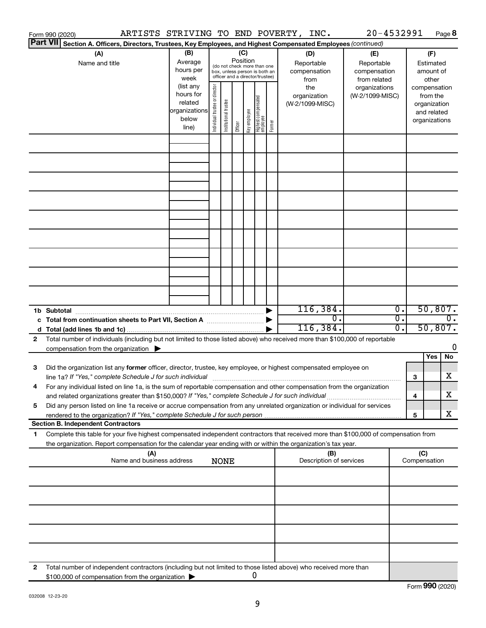|    | ARTISTS STRIVING TO END POVERTY, INC.<br>Form 990 (2020)                                                                             |                        |                                |                       |          |                                                   |        |                         | 20-4532991      |                  |                             | Page 8           |
|----|--------------------------------------------------------------------------------------------------------------------------------------|------------------------|--------------------------------|-----------------------|----------|---------------------------------------------------|--------|-------------------------|-----------------|------------------|-----------------------------|------------------|
|    | <b>Part VII</b><br>Section A. Officers, Directors, Trustees, Key Employees, and Highest Compensated Employees (continued)            |                        |                                |                       |          |                                                   |        |                         |                 |                  |                             |                  |
|    | (A)                                                                                                                                  | (B)                    |                                |                       | (C)      |                                                   |        | (D)                     | (E)             |                  | (F)                         |                  |
|    | Name and title                                                                                                                       | Average                |                                |                       | Position | (do not check more than one                       |        | Reportable              | Reportable      |                  | Estimated                   |                  |
|    |                                                                                                                                      | hours per              |                                |                       |          | box, unless person is both an                     |        | compensation            | compensation    |                  | amount of                   |                  |
|    |                                                                                                                                      | week                   |                                |                       |          | officer and a director/trustee)                   |        | from                    | from related    |                  | other                       |                  |
|    |                                                                                                                                      | (list any<br>hours for |                                |                       |          |                                                   |        | the                     | organizations   |                  | compensation                |                  |
|    |                                                                                                                                      | related                |                                |                       |          |                                                   |        | organization            | (W-2/1099-MISC) |                  | from the                    |                  |
|    |                                                                                                                                      | organizations          |                                |                       |          |                                                   |        | (W-2/1099-MISC)         |                 |                  | organization<br>and related |                  |
|    |                                                                                                                                      | below                  |                                |                       |          |                                                   |        |                         |                 |                  | organizations               |                  |
|    |                                                                                                                                      | line)                  | Individual trustee or director | Institutional trustee | Officer  | Highest compensated<br>  employee<br>Key employee | Former |                         |                 |                  |                             |                  |
|    |                                                                                                                                      |                        |                                |                       |          |                                                   |        |                         |                 |                  |                             |                  |
|    |                                                                                                                                      |                        |                                |                       |          |                                                   |        |                         |                 |                  |                             |                  |
|    |                                                                                                                                      |                        |                                |                       |          |                                                   |        |                         |                 |                  |                             |                  |
|    |                                                                                                                                      |                        |                                |                       |          |                                                   |        |                         |                 |                  |                             |                  |
|    |                                                                                                                                      |                        |                                |                       |          |                                                   |        |                         |                 |                  |                             |                  |
|    |                                                                                                                                      |                        |                                |                       |          |                                                   |        |                         |                 |                  |                             |                  |
|    |                                                                                                                                      |                        |                                |                       |          |                                                   |        |                         |                 |                  |                             |                  |
|    |                                                                                                                                      |                        |                                |                       |          |                                                   |        |                         |                 |                  |                             |                  |
|    |                                                                                                                                      |                        |                                |                       |          |                                                   |        |                         |                 |                  |                             |                  |
|    |                                                                                                                                      |                        |                                |                       |          |                                                   |        |                         |                 |                  |                             |                  |
|    |                                                                                                                                      |                        |                                |                       |          |                                                   |        |                         |                 |                  |                             |                  |
|    |                                                                                                                                      |                        |                                |                       |          |                                                   |        |                         |                 |                  |                             |                  |
|    |                                                                                                                                      |                        |                                |                       |          |                                                   |        |                         |                 |                  |                             |                  |
|    |                                                                                                                                      |                        |                                |                       |          |                                                   |        |                         |                 |                  |                             |                  |
|    |                                                                                                                                      |                        |                                |                       |          |                                                   |        |                         |                 |                  |                             |                  |
|    |                                                                                                                                      |                        |                                |                       |          |                                                   |        |                         |                 |                  |                             |                  |
|    |                                                                                                                                      |                        |                                |                       |          |                                                   |        |                         |                 |                  |                             |                  |
|    |                                                                                                                                      |                        |                                |                       |          |                                                   |        |                         |                 |                  |                             |                  |
|    |                                                                                                                                      |                        |                                |                       |          |                                                   |        |                         |                 | $\overline{0}$ . | 50,807.                     |                  |
|    |                                                                                                                                      |                        |                                |                       |          |                                                   |        |                         |                 |                  |                             |                  |
|    |                                                                                                                                      |                        |                                |                       |          |                                                   |        | 116, 384.               |                 |                  |                             |                  |
|    | c Total from continuation sheets to Part VII, Section A manufactured by                                                              |                        |                                |                       |          |                                                   |        | $\overline{0}$ .        |                 | $\overline{0}$ . |                             | $\overline{0}$ . |
|    |                                                                                                                                      |                        |                                |                       |          |                                                   |        | 116,384.                |                 | $\overline{0}$ . | 50,807.                     |                  |
| 2  | Total number of individuals (including but not limited to those listed above) who received more than \$100,000 of reportable         |                        |                                |                       |          |                                                   |        |                         |                 |                  |                             |                  |
|    | compensation from the organization $\blacktriangleright$                                                                             |                        |                                |                       |          |                                                   |        |                         |                 |                  |                             | 0                |
|    |                                                                                                                                      |                        |                                |                       |          |                                                   |        |                         |                 |                  | Yes                         | No               |
| 3  | Did the organization list any former officer, director, trustee, key employee, or highest compensated employee on                    |                        |                                |                       |          |                                                   |        |                         |                 |                  |                             |                  |
|    | line 1a? If "Yes," complete Schedule J for such individual [11] manufacture manufacture in the set of the set o                      |                        |                                |                       |          |                                                   |        |                         |                 | 3                |                             | х                |
|    | For any individual listed on line 1a, is the sum of reportable compensation and other compensation from the organization             |                        |                                |                       |          |                                                   |        |                         |                 |                  |                             |                  |
|    | and related organizations greater than \$150,000? If "Yes," complete Schedule J for such individual                                  |                        |                                |                       |          |                                                   |        |                         |                 | 4                |                             | x                |
| 5  | Did any person listed on line 1a receive or accrue compensation from any unrelated organization or individual for services           |                        |                                |                       |          |                                                   |        |                         |                 |                  |                             |                  |
|    |                                                                                                                                      |                        |                                |                       |          |                                                   |        |                         |                 | 5                |                             | х                |
|    | <b>Section B. Independent Contractors</b>                                                                                            |                        |                                |                       |          |                                                   |        |                         |                 |                  |                             |                  |
| 1. | Complete this table for your five highest compensated independent contractors that received more than \$100,000 of compensation from |                        |                                |                       |          |                                                   |        |                         |                 |                  |                             |                  |
|    | the organization. Report compensation for the calendar year ending with or within the organization's tax year.                       |                        |                                |                       |          |                                                   |        |                         |                 |                  |                             |                  |
|    | (A)                                                                                                                                  |                        |                                |                       |          |                                                   |        | (B)                     |                 |                  | (C)                         |                  |
|    | Name and business address                                                                                                            |                        |                                | <b>NONE</b>           |          |                                                   |        | Description of services |                 |                  | Compensation                |                  |
|    |                                                                                                                                      |                        |                                |                       |          |                                                   |        |                         |                 |                  |                             |                  |
|    |                                                                                                                                      |                        |                                |                       |          |                                                   |        |                         |                 |                  |                             |                  |
|    |                                                                                                                                      |                        |                                |                       |          |                                                   |        |                         |                 |                  |                             |                  |
|    |                                                                                                                                      |                        |                                |                       |          |                                                   |        |                         |                 |                  |                             |                  |
|    |                                                                                                                                      |                        |                                |                       |          |                                                   |        |                         |                 |                  |                             |                  |
|    |                                                                                                                                      |                        |                                |                       |          |                                                   |        |                         |                 |                  |                             |                  |
|    |                                                                                                                                      |                        |                                |                       |          |                                                   |        |                         |                 |                  |                             |                  |
|    |                                                                                                                                      |                        |                                |                       |          |                                                   |        |                         |                 |                  |                             |                  |
|    |                                                                                                                                      |                        |                                |                       |          |                                                   |        |                         |                 |                  |                             |                  |
|    |                                                                                                                                      |                        |                                |                       |          |                                                   |        |                         |                 |                  |                             |                  |
| 2  | Total number of independent contractors (including but not limited to those listed above) who received more than                     |                        |                                |                       |          |                                                   |        |                         |                 |                  |                             |                  |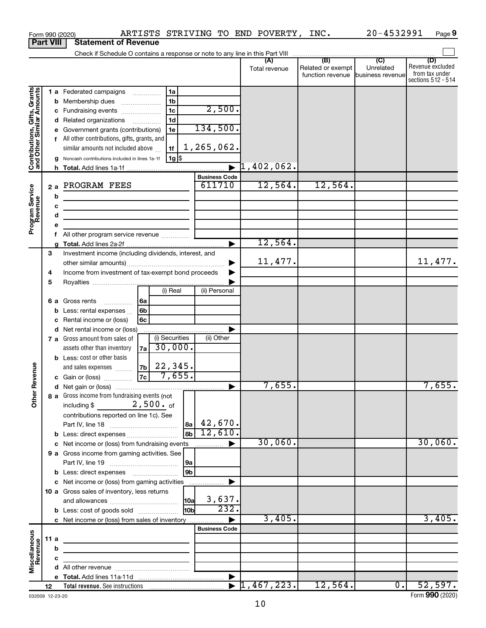|                                                           |                  |   | Form 990 (2020)                                                                                                      |                |                |                 |                      | ARTISTS STRIVING TO END POVERTY, INC. |                                              | 20-4532991                           | Page 9                                                          |
|-----------------------------------------------------------|------------------|---|----------------------------------------------------------------------------------------------------------------------|----------------|----------------|-----------------|----------------------|---------------------------------------|----------------------------------------------|--------------------------------------|-----------------------------------------------------------------|
|                                                           | <b>Part VIII</b> |   | <b>Statement of Revenue</b>                                                                                          |                |                |                 |                      |                                       |                                              |                                      |                                                                 |
|                                                           |                  |   |                                                                                                                      |                |                |                 |                      |                                       |                                              |                                      |                                                                 |
|                                                           |                  |   |                                                                                                                      |                |                |                 |                      | (A)<br>Total revenue                  | (B)<br>Related or exempt<br>function revenue | (C)<br>Unrelated<br>business revenue | (D)<br>Revenue excluded<br>from tax under<br>sections 512 - 514 |
|                                                           |                  |   | 1 a Federated campaigns                                                                                              |                | 1a             |                 |                      |                                       |                                              |                                      |                                                                 |
| Contributions, Gifts, Grants<br>and Other Similar Amounts |                  |   | <b>b</b> Membership dues                                                                                             |                | 1 <sub>b</sub> |                 |                      |                                       |                                              |                                      |                                                                 |
|                                                           |                  |   | c Fundraising events                                                                                                 |                | 1 <sub>c</sub> |                 | 2,500.               |                                       |                                              |                                      |                                                                 |
|                                                           |                  |   | d Related organizations                                                                                              |                | 1 <sub>d</sub> |                 |                      |                                       |                                              |                                      |                                                                 |
|                                                           |                  |   | e Government grants (contributions)                                                                                  |                | 1e             |                 | 134,500.             |                                       |                                              |                                      |                                                                 |
|                                                           |                  |   | f All other contributions, gifts, grants, and                                                                        |                |                |                 |                      |                                       |                                              |                                      |                                                                 |
|                                                           |                  |   | similar amounts not included above                                                                                   |                | 1f             |                 | 1,265,062.           |                                       |                                              |                                      |                                                                 |
|                                                           |                  |   | g Noncash contributions included in lines 1a-1f                                                                      |                | 1g   \$        |                 |                      |                                       |                                              |                                      |                                                                 |
|                                                           |                  |   |                                                                                                                      |                |                |                 |                      | $\blacktriangleright$ 1,402,062.      |                                              |                                      |                                                                 |
|                                                           |                  |   |                                                                                                                      |                |                |                 | <b>Business Code</b> | 12,564.                               |                                              |                                      |                                                                 |
|                                                           |                  |   | 2 a PROGRAM FEES                                                                                                     |                |                |                 | 611710               |                                       | 12,564.                                      |                                      |                                                                 |
|                                                           |                  | b |                                                                                                                      |                |                |                 |                      |                                       |                                              |                                      |                                                                 |
|                                                           |                  | c | <u> 1989 - Johann John Stein, markin fan it ferstjer fan it ferstjer fan it ferstjer fan it ferstjer fan it fers</u> |                |                |                 |                      |                                       |                                              |                                      |                                                                 |
| Program Service<br>Revenue                                |                  | d | the control of the control of the control of the control of the control of                                           |                |                |                 |                      |                                       |                                              |                                      |                                                                 |
|                                                           |                  |   |                                                                                                                      |                |                |                 |                      |                                       |                                              |                                      |                                                                 |
|                                                           |                  | a |                                                                                                                      |                |                |                 |                      | 12,564.                               |                                              |                                      |                                                                 |
|                                                           | 3                |   | Investment income (including dividends, interest, and                                                                |                |                |                 |                      |                                       |                                              |                                      |                                                                 |
|                                                           |                  |   |                                                                                                                      |                |                |                 |                      | 11,477.                               |                                              |                                      | 11,477.                                                         |
|                                                           | 4                |   | Income from investment of tax-exempt bond proceeds                                                                   |                |                |                 |                      |                                       |                                              |                                      |                                                                 |
|                                                           | 5                |   |                                                                                                                      |                |                |                 |                      |                                       |                                              |                                      |                                                                 |
|                                                           |                  |   |                                                                                                                      |                | (i) Real       |                 | (ii) Personal        |                                       |                                              |                                      |                                                                 |
|                                                           |                  |   | <b>6 a</b> Gross rents                                                                                               | 6a             |                |                 |                      |                                       |                                              |                                      |                                                                 |
|                                                           |                  | b | Less: rental expenses                                                                                                | 6 <sub>b</sub> |                |                 |                      |                                       |                                              |                                      |                                                                 |
|                                                           |                  | с | Rental income or (loss)                                                                                              | 6c             |                |                 |                      |                                       |                                              |                                      |                                                                 |
|                                                           |                  |   | d Net rental income or (loss)<br>7 a Gross amount from sales of                                                      |                | (i) Securities |                 | (ii) Other           |                                       |                                              |                                      |                                                                 |
|                                                           |                  |   | assets other than inventory                                                                                          | 7a             | 30,000.        |                 |                      |                                       |                                              |                                      |                                                                 |
|                                                           |                  |   | <b>b</b> Less: cost or other basis                                                                                   |                |                |                 |                      |                                       |                                              |                                      |                                                                 |
|                                                           |                  |   | and sales expenses                                                                                                   | 7b             | 22,345.        |                 |                      |                                       |                                              |                                      |                                                                 |
| evenue                                                    |                  |   | c Gain or (loss)                                                                                                     | 7c             | 7,655.         |                 |                      |                                       |                                              |                                      |                                                                 |
|                                                           |                  |   |                                                                                                                      |                |                |                 |                      | 7,655.                                |                                              |                                      | 7,655.                                                          |
| Other R                                                   |                  |   | 8 a Gross income from fundraising events (not                                                                        |                |                |                 |                      |                                       |                                              |                                      |                                                                 |
|                                                           |                  |   | $2$ , $500$ $\cdot$ of<br>including \$                                                                               |                |                |                 |                      |                                       |                                              |                                      |                                                                 |
|                                                           |                  |   | contributions reported on line 1c). See                                                                              |                |                |                 |                      |                                       |                                              |                                      |                                                                 |
|                                                           |                  |   |                                                                                                                      |                |                | l 8a l          | 42,670.              |                                       |                                              |                                      |                                                                 |
|                                                           |                  |   |                                                                                                                      |                |                | 8 <sub>b</sub>  | 12,610.              | 30,060.                               |                                              |                                      | 30,060.                                                         |
|                                                           |                  |   | c Net income or (loss) from fundraising events<br>9 a Gross income from gaming activities. See                       |                |                |                 |                      |                                       |                                              |                                      |                                                                 |
|                                                           |                  |   |                                                                                                                      |                |                | 9a              |                      |                                       |                                              |                                      |                                                                 |
|                                                           |                  |   |                                                                                                                      |                |                | 9b              |                      |                                       |                                              |                                      |                                                                 |
|                                                           |                  |   | c Net income or (loss) from gaming activities                                                                        |                |                |                 |                      |                                       |                                              |                                      |                                                                 |
|                                                           |                  |   | 10 a Gross sales of inventory, less returns                                                                          |                |                |                 |                      |                                       |                                              |                                      |                                                                 |
|                                                           |                  |   |                                                                                                                      |                |                | 10a             | 3,637.               |                                       |                                              |                                      |                                                                 |
|                                                           |                  |   | <b>b</b> Less: cost of goods sold                                                                                    |                |                | 10 <sub>b</sub> | 232.                 |                                       |                                              |                                      |                                                                 |
|                                                           |                  |   | c Net income or (loss) from sales of inventory                                                                       |                |                |                 |                      | 3,405.                                |                                              |                                      | 3,405.                                                          |
|                                                           |                  |   |                                                                                                                      |                |                |                 | <b>Business Code</b> |                                       |                                              |                                      |                                                                 |
|                                                           | 11a              |   |                                                                                                                      |                |                |                 |                      |                                       |                                              |                                      |                                                                 |
|                                                           |                  | b |                                                                                                                      |                |                |                 |                      |                                       |                                              |                                      |                                                                 |
| Miscellaneous<br>Revenue                                  |                  | c |                                                                                                                      |                |                |                 |                      |                                       |                                              |                                      |                                                                 |
|                                                           |                  |   |                                                                                                                      |                |                |                 |                      |                                       |                                              |                                      |                                                                 |
|                                                           | 12               |   |                                                                                                                      |                |                |                 |                      | $\blacktriangleright$ 1,467,223.      | 12,564.                                      | $\overline{0}$ .                     | 52,597.                                                         |

032009 12-23-20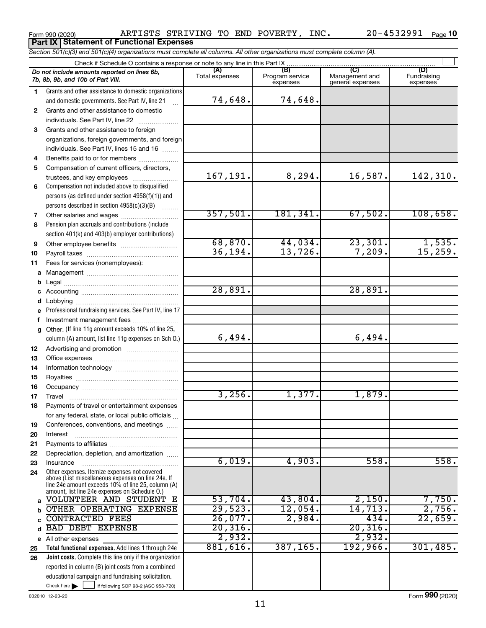*Section 501(c)(3) and 501(c)(4) organizations must complete all columns. All other organizations must complete column (A).*

|              | Do not include amounts reported on lines 6b,<br>7b, 8b, 9b, and 10b of Part VIII.                    | (A)<br>Total expenses | (B)<br>Program service<br>expenses | (C)<br>Management and<br>general expenses | (D)<br>Fundraising<br>expenses |
|--------------|------------------------------------------------------------------------------------------------------|-----------------------|------------------------------------|-------------------------------------------|--------------------------------|
| 1.           | Grants and other assistance to domestic organizations                                                |                       |                                    |                                           |                                |
|              | and domestic governments. See Part IV, line 21                                                       | 74,648.               | 74,648.                            |                                           |                                |
| $\mathbf{2}$ | Grants and other assistance to domestic                                                              |                       |                                    |                                           |                                |
|              | individuals. See Part IV, line 22                                                                    |                       |                                    |                                           |                                |
| 3            | Grants and other assistance to foreign                                                               |                       |                                    |                                           |                                |
|              | organizations, foreign governments, and foreign                                                      |                       |                                    |                                           |                                |
|              | individuals. See Part IV, lines 15 and 16                                                            |                       |                                    |                                           |                                |
| 4            | Benefits paid to or for members                                                                      |                       |                                    |                                           |                                |
| 5            | Compensation of current officers, directors,                                                         |                       |                                    |                                           |                                |
|              | trustees, and key employees                                                                          | 167,191.              | 8,294.                             | 16,587.                                   | 142,310.                       |
| 6            | Compensation not included above to disqualified                                                      |                       |                                    |                                           |                                |
|              | persons (as defined under section 4958(f)(1)) and                                                    |                       |                                    |                                           |                                |
|              | persons described in section 4958(c)(3)(B)                                                           | 357,501.              | 181,341.                           | 67,502.                                   | 108,658.                       |
| 7<br>8       | Other salaries and wages<br>Pension plan accruals and contributions (include                         |                       |                                    |                                           |                                |
|              | section 401(k) and 403(b) employer contributions)                                                    |                       |                                    |                                           |                                |
| 9            | Other employee benefits                                                                              | 68,870.               | 44,034.                            | 23,301.                                   |                                |
| 10           |                                                                                                      | 36, 194.              | 13,726.                            | 7,209.                                    | $\frac{1,535}{15,259}$         |
| 11           | Fees for services (nonemployees):                                                                    |                       |                                    |                                           |                                |
| a            |                                                                                                      |                       |                                    |                                           |                                |
| b            |                                                                                                      |                       |                                    |                                           |                                |
| с            |                                                                                                      | 28,891.               |                                    | 28,891.                                   |                                |
| d            |                                                                                                      |                       |                                    |                                           |                                |
| e            | Professional fundraising services. See Part IV, line 17                                              |                       |                                    |                                           |                                |
| f            | Investment management fees                                                                           |                       |                                    |                                           |                                |
| g            | Other. (If line 11g amount exceeds 10% of line 25,                                                   |                       |                                    |                                           |                                |
|              | column (A) amount, list line 11g expenses on Sch O.)                                                 | 6,494.                |                                    | 6,494.                                    |                                |
| 12           |                                                                                                      |                       |                                    |                                           |                                |
| 13           |                                                                                                      |                       |                                    |                                           |                                |
| 14           |                                                                                                      |                       |                                    |                                           |                                |
| 15           |                                                                                                      |                       |                                    |                                           |                                |
| 16           |                                                                                                      |                       | 1,377.                             |                                           |                                |
| 17           | Travel                                                                                               | 3,256.                |                                    | 1,879.                                    |                                |
| 18           | Payments of travel or entertainment expenses                                                         |                       |                                    |                                           |                                |
|              | for any federal, state, or local public officials                                                    |                       |                                    |                                           |                                |
| 19<br>20     | Conferences, conventions, and meetings<br>Interest                                                   |                       |                                    |                                           |                                |
|              |                                                                                                      |                       |                                    |                                           |                                |
| 21<br>22     | Depreciation, depletion, and amortization                                                            |                       |                                    |                                           |                                |
| 23           | Insurance                                                                                            | 6,019.                | 4,903.                             | 558.                                      | 558.                           |
| 24           | Other expenses. Itemize expenses not covered                                                         |                       |                                    |                                           |                                |
|              | above (List miscellaneous expenses on line 24e. If                                                   |                       |                                    |                                           |                                |
|              | line 24e amount exceeds 10% of line 25, column (A)<br>amount, list line 24e expenses on Schedule O.) |                       |                                    |                                           |                                |
| a            | VOLUNTEER AND STUDENT<br>Е                                                                           | 53,704.               | 43,804.                            | 2,150.                                    | 7,750.                         |
| b            | OTHER OPERATING EXPENSE                                                                              | 29,523.               | 12,054.                            | 14,713.                                   | 2,756.                         |
| C            | <b>CONTRACTED FEES</b>                                                                               | 26,077.               | 2,984.                             | 434.                                      | 22,659.                        |
| d            | <b>BAD DEBT EXPENSE</b>                                                                              | 20, 316.              |                                    | 20,316.                                   |                                |
| е            | All other expenses                                                                                   | 2,932.                |                                    | 2,932.                                    |                                |
| 25           | Total functional expenses. Add lines 1 through 24e                                                   | 881,616.              | 387, 165.                          | 192,966.                                  | 301,485.                       |
| 26           | <b>Joint costs.</b> Complete this line only if the organization                                      |                       |                                    |                                           |                                |
|              | reported in column (B) joint costs from a combined                                                   |                       |                                    |                                           |                                |
|              | educational campaign and fundraising solicitation.                                                   |                       |                                    |                                           |                                |
|              | Check here<br>if following SOP 98-2 (ASC 958-720)                                                    |                       |                                    |                                           |                                |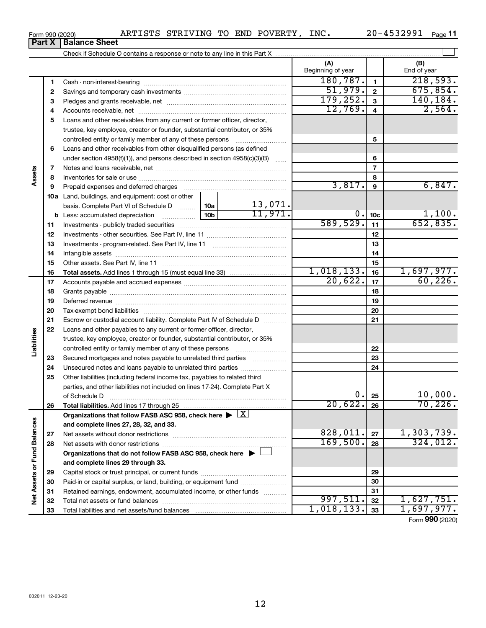| Form 990 (2020) |                             | ARTISTS STRIVING TO END POVERTY, |  | INC. | 20-4532991 | Page 11 |
|-----------------|-----------------------------|----------------------------------|--|------|------------|---------|
|                 | <b>Part X Balance Sheet</b> |                                  |  |      |            |         |

|                             |    |                                                                                                        |                 |                           | (A)<br>Beginning of year |                 | (B)<br>End of year            |
|-----------------------------|----|--------------------------------------------------------------------------------------------------------|-----------------|---------------------------|--------------------------|-----------------|-------------------------------|
|                             | 1  |                                                                                                        |                 |                           | 180,787.                 | $\mathbf{1}$    | 218,593.                      |
|                             | 2  |                                                                                                        |                 |                           | 51,979.                  | $\mathbf{2}$    | 675,854.                      |
|                             | З  |                                                                                                        |                 |                           | 179, 252.                | $\mathbf{3}$    | 140,184.                      |
|                             | 4  |                                                                                                        |                 |                           | 12,769.                  | 4               | 2,564.                        |
|                             | 5  | Loans and other receivables from any current or former officer, director,                              |                 |                           |                          |                 |                               |
|                             |    | trustee, key employee, creator or founder, substantial contributor, or 35%                             |                 |                           |                          |                 |                               |
|                             |    | controlled entity or family member of any of these persons                                             |                 |                           |                          | 5               |                               |
|                             | 6  | Loans and other receivables from other disqualified persons (as defined                                |                 |                           |                          |                 |                               |
|                             |    | under section $4958(f)(1)$ , and persons described in section $4958(c)(3)(B)$                          |                 | $\sim$                    |                          | 6               |                               |
|                             | 7  |                                                                                                        |                 |                           |                          | $\overline{7}$  |                               |
| Assets                      | 8  |                                                                                                        |                 |                           |                          | 8               |                               |
|                             | 9  | Prepaid expenses and deferred charges                                                                  |                 |                           | 3,817.                   | 9               | 6,847.                        |
|                             |    | 10a Land, buildings, and equipment: cost or other                                                      |                 |                           |                          |                 |                               |
|                             |    | basis. Complete Part VI of Schedule D  10a                                                             |                 | $\frac{13,071.}{11,971.}$ |                          |                 |                               |
|                             |    | <b>b</b> Less: accumulated depreciation                                                                | 10 <sub>b</sub> |                           | $0$ .                    | 10 <sub>c</sub> | 1,100.                        |
|                             | 11 |                                                                                                        |                 |                           | 589,529.                 | 11              | 652,835.                      |
|                             | 12 |                                                                                                        |                 |                           |                          | 12              |                               |
|                             | 13 |                                                                                                        |                 |                           |                          | 13              |                               |
|                             | 14 |                                                                                                        |                 |                           |                          | 14              |                               |
|                             | 15 |                                                                                                        |                 |                           |                          | 15              |                               |
|                             | 16 |                                                                                                        |                 |                           | 1,018,133.               | 16              | 1,697,977.                    |
|                             | 17 |                                                                                                        |                 |                           | 20,622.                  | 17              | 60, 226.                      |
|                             | 18 |                                                                                                        |                 |                           |                          | 18              |                               |
|                             | 19 |                                                                                                        |                 |                           |                          | 19              |                               |
|                             | 20 |                                                                                                        |                 |                           |                          | 20              |                               |
|                             | 21 | Escrow or custodial account liability. Complete Part IV of Schedule D                                  |                 |                           |                          | 21              |                               |
|                             | 22 | Loans and other payables to any current or former officer, director,                                   |                 |                           |                          |                 |                               |
| Liabilities                 |    | trustee, key employee, creator or founder, substantial contributor, or 35%                             |                 |                           |                          |                 |                               |
|                             |    | controlled entity or family member of any of these persons [                                           |                 |                           |                          | 22              |                               |
|                             | 23 | Secured mortgages and notes payable to unrelated third parties                                         |                 |                           |                          | 23              |                               |
|                             | 24 | Unsecured notes and loans payable to unrelated third parties                                           |                 |                           |                          | 24              |                               |
|                             | 25 | Other liabilities (including federal income tax, payables to related third                             |                 |                           |                          |                 |                               |
|                             |    | parties, and other liabilities not included on lines 17-24). Complete Part X                           |                 |                           |                          |                 |                               |
|                             |    | of Schedule D                                                                                          |                 |                           | 0.                       | 25              | 10,000.                       |
|                             | 26 | Total liabilities. Add lines 17 through 25                                                             |                 |                           | $\overline{20,622.}$     | 26              | 70, 226.                      |
|                             |    | Organizations that follow FASB ASC 958, check here $\blacktriangleright \lfloor \underline{X} \rfloor$ |                 |                           |                          |                 |                               |
|                             |    | and complete lines 27, 28, 32, and 33.                                                                 |                 |                           |                          |                 |                               |
|                             | 27 |                                                                                                        |                 |                           | 828,011.                 | 27              | $\frac{1,303,739.}{324,012.}$ |
|                             | 28 |                                                                                                        |                 |                           | 169,500.                 | 28              |                               |
|                             |    | Organizations that do not follow FASB ASC 958, check here $\blacktriangleright$                        |                 |                           |                          |                 |                               |
| Net Assets or Fund Balances |    | and complete lines 29 through 33.                                                                      |                 |                           |                          |                 |                               |
|                             | 29 |                                                                                                        |                 |                           |                          | 29              |                               |
|                             | 30 | Paid-in or capital surplus, or land, building, or equipment fund                                       |                 |                           |                          | 30              |                               |
|                             | 31 | Retained earnings, endowment, accumulated income, or other funds                                       |                 |                           |                          | 31              |                               |
|                             | 32 |                                                                                                        |                 |                           | 997,511.                 | 32              | 1,627,751.                    |
|                             | 33 |                                                                                                        |                 |                           | 1,018,133.               | 33              | 1,697,977.                    |

Form (2020) **990**

| Form 990 (2020) |                         |
|-----------------|-------------------------|
|                 | <b>Part X   Balance</b> |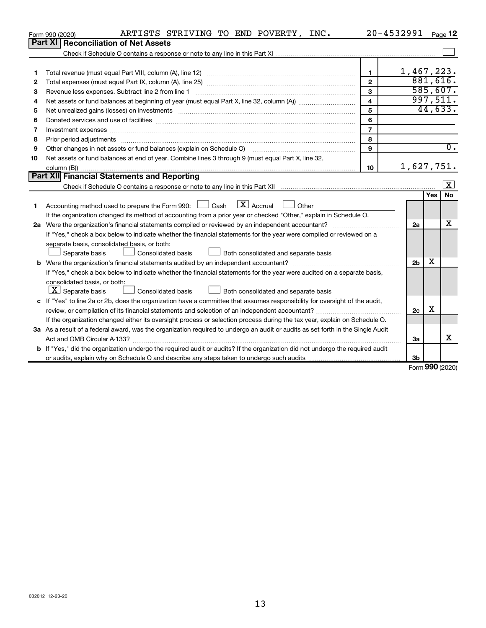|    | ARTISTS STRIVING TO END POVERTY, INC.<br>Form 990 (2020)                                                                                                                                                                       |                | 20-4532991     |     | Page $12$               |
|----|--------------------------------------------------------------------------------------------------------------------------------------------------------------------------------------------------------------------------------|----------------|----------------|-----|-------------------------|
|    | Part XI<br><b>Reconciliation of Net Assets</b>                                                                                                                                                                                 |                |                |     |                         |
|    |                                                                                                                                                                                                                                |                |                |     |                         |
|    |                                                                                                                                                                                                                                |                |                |     |                         |
| 1  |                                                                                                                                                                                                                                | 1              | 1,467,223.     |     |                         |
| 2  |                                                                                                                                                                                                                                | $\overline{2}$ |                |     | 881,616.                |
| 3  | Revenue less expenses. Subtract line 2 from line 1                                                                                                                                                                             | 3              |                |     | 585,607.                |
| 4  |                                                                                                                                                                                                                                | 4              |                |     | 997,511.                |
| 5  | Net unrealized gains (losses) on investments [111] www.marting.community.community.community.community.communi                                                                                                                 | 5              |                |     | 44,633.                 |
| 6  |                                                                                                                                                                                                                                | 6              |                |     |                         |
| 7  | Investment expenses [[11] has a series and a series of the series of the series and series and series and series and series and series and series and series and series and series and series and series and series and series | $\overline{7}$ |                |     |                         |
| 8  | Prior period adjustments www.communication.communication.communication.com/                                                                                                                                                    | 8              |                |     |                         |
| 9  |                                                                                                                                                                                                                                | 9              |                |     | $\overline{0}$ .        |
| 10 | Net assets or fund balances at end of year. Combine lines 3 through 9 (must equal Part X, line 32,                                                                                                                             |                |                |     |                         |
|    |                                                                                                                                                                                                                                | 10             | 1,627,751.     |     |                         |
|    | Part XII Financial Statements and Reporting                                                                                                                                                                                    |                |                |     |                         |
|    |                                                                                                                                                                                                                                |                |                |     | $\overline{\mathbf{x}}$ |
|    |                                                                                                                                                                                                                                |                |                | Yes | <b>No</b>               |
| 1  | $\boxed{\mathbf{X}}$ Accrual $\boxed{\phantom{0}}$ Other<br>Accounting method used to prepare the Form 990: [130] Cash                                                                                                         |                |                |     |                         |
|    | If the organization changed its method of accounting from a prior year or checked "Other," explain in Schedule O.                                                                                                              |                |                |     |                         |
|    | 2a Were the organization's financial statements compiled or reviewed by an independent accountant?                                                                                                                             |                | 2a             |     | x                       |
|    | If "Yes," check a box below to indicate whether the financial statements for the year were compiled or reviewed on a                                                                                                           |                |                |     |                         |
|    | separate basis, consolidated basis, or both:                                                                                                                                                                                   |                |                |     |                         |
|    | Separate basis<br>Consolidated basis<br>Both consolidated and separate basis                                                                                                                                                   |                |                |     |                         |
|    |                                                                                                                                                                                                                                |                | 2 <sub>b</sub> | X   |                         |
|    | If "Yes," check a box below to indicate whether the financial statements for the year were audited on a separate basis,                                                                                                        |                |                |     |                         |
|    | consolidated basis, or both:                                                                                                                                                                                                   |                |                |     |                         |
|    | $\lfloor \underline{X} \rfloor$ Separate basis<br><b>Consolidated basis</b><br>Both consolidated and separate basis                                                                                                            |                |                |     |                         |
|    | c If "Yes" to line 2a or 2b, does the organization have a committee that assumes responsibility for oversight of the audit,                                                                                                    |                |                |     |                         |
|    | review, or compilation of its financial statements and selection of an independent accountant?                                                                                                                                 |                | 2c             | х   |                         |
|    | If the organization changed either its oversight process or selection process during the tax year, explain on Schedule O.                                                                                                      |                |                |     |                         |
|    | 3a As a result of a federal award, was the organization required to undergo an audit or audits as set forth in the Single Audit                                                                                                |                |                |     |                         |
|    |                                                                                                                                                                                                                                |                | 3a             |     | х                       |
|    | b If "Yes," did the organization undergo the required audit or audits? If the organization did not undergo the required audit                                                                                                  |                |                |     |                         |
|    |                                                                                                                                                                                                                                |                | 3 <sub>b</sub> |     |                         |

Form (2020) **990**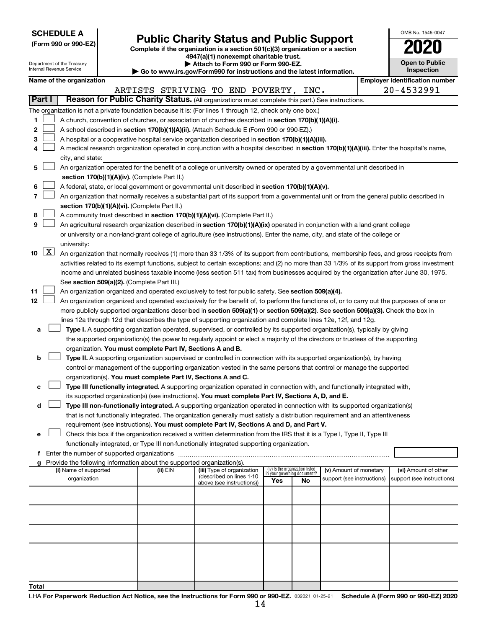**SCHEDULE A**

Form 990 or 990-EZ) **Public Charity Status and Public Support**<br>
Complete if the organization is a section 501(c)(3) organization or a section<br> **2020 4947(a)(1) nonexempt charitable trust.**

**| Attach to Form 990 or Form 990-EZ.** 

| OMB No. 1545-0047                   |
|-------------------------------------|
| 020                                 |
| <b>Open to Public</b><br>Inspection |

|       |                      | Department of the Treasury<br>▶ Attach to Form 990 or Form 990-EZ.<br>Internal Revenue Service                                              |  |                                                                          |                                                                                                                                              |                             |                                 | <b>Open to Public</b><br><b>Inspection</b> |  |                            |
|-------|----------------------|---------------------------------------------------------------------------------------------------------------------------------------------|--|--------------------------------------------------------------------------|----------------------------------------------------------------------------------------------------------------------------------------------|-----------------------------|---------------------------------|--------------------------------------------|--|----------------------------|
|       |                      | Go to www.irs.gov/Form990 for instructions and the latest information.<br><b>Employer identification number</b><br>Name of the organization |  |                                                                          |                                                                                                                                              |                             |                                 |                                            |  |                            |
|       |                      |                                                                                                                                             |  |                                                                          | ARTISTS STRIVING TO END POVERTY, INC.                                                                                                        |                             |                                 |                                            |  | 20-4532991                 |
|       | Part I               |                                                                                                                                             |  |                                                                          | Reason for Public Charity Status. (All organizations must complete this part.) See instructions.                                             |                             |                                 |                                            |  |                            |
|       |                      |                                                                                                                                             |  |                                                                          | The organization is not a private foundation because it is: (For lines 1 through 12, check only one box.)                                    |                             |                                 |                                            |  |                            |
| 1     |                      |                                                                                                                                             |  |                                                                          | A church, convention of churches, or association of churches described in section 170(b)(1)(A)(i).                                           |                             |                                 |                                            |  |                            |
| 2     |                      |                                                                                                                                             |  |                                                                          | A school described in section 170(b)(1)(A)(ii). (Attach Schedule E (Form 990 or 990-EZ).)                                                    |                             |                                 |                                            |  |                            |
| 3     |                      |                                                                                                                                             |  |                                                                          | A hospital or a cooperative hospital service organization described in section 170(b)(1)(A)(iii).                                            |                             |                                 |                                            |  |                            |
| 4     |                      |                                                                                                                                             |  |                                                                          | A medical research organization operated in conjunction with a hospital described in section 170(b)(1)(A)(iii). Enter the hospital's name,   |                             |                                 |                                            |  |                            |
|       |                      | city, and state:                                                                                                                            |  |                                                                          |                                                                                                                                              |                             |                                 |                                            |  |                            |
| 5     |                      |                                                                                                                                             |  |                                                                          | An organization operated for the benefit of a college or university owned or operated by a governmental unit described in                    |                             |                                 |                                            |  |                            |
|       |                      |                                                                                                                                             |  | section 170(b)(1)(A)(iv). (Complete Part II.)                            |                                                                                                                                              |                             |                                 |                                            |  |                            |
| 6     |                      |                                                                                                                                             |  |                                                                          | A federal, state, or local government or governmental unit described in section 170(b)(1)(A)(v).                                             |                             |                                 |                                            |  |                            |
| 7     |                      |                                                                                                                                             |  |                                                                          | An organization that normally receives a substantial part of its support from a governmental unit or from the general public described in    |                             |                                 |                                            |  |                            |
|       |                      |                                                                                                                                             |  | section 170(b)(1)(A)(vi). (Complete Part II.)                            |                                                                                                                                              |                             |                                 |                                            |  |                            |
| 8     |                      |                                                                                                                                             |  |                                                                          | A community trust described in section 170(b)(1)(A)(vi). (Complete Part II.)                                                                 |                             |                                 |                                            |  |                            |
| 9     |                      |                                                                                                                                             |  |                                                                          | An agricultural research organization described in section 170(b)(1)(A)(ix) operated in conjunction with a land-grant college                |                             |                                 |                                            |  |                            |
|       |                      |                                                                                                                                             |  |                                                                          | or university or a non-land-grant college of agriculture (see instructions). Enter the name, city, and state of the college or               |                             |                                 |                                            |  |                            |
|       |                      | university:                                                                                                                                 |  |                                                                          |                                                                                                                                              |                             |                                 |                                            |  |                            |
| 10    | $\boxed{\mathbf{X}}$ |                                                                                                                                             |  |                                                                          | An organization that normally receives (1) more than 33 1/3% of its support from contributions, membership fees, and gross receipts from     |                             |                                 |                                            |  |                            |
|       |                      |                                                                                                                                             |  |                                                                          | activities related to its exempt functions, subject to certain exceptions; and (2) no more than 33 1/3% of its support from gross investment |                             |                                 |                                            |  |                            |
|       |                      |                                                                                                                                             |  |                                                                          | income and unrelated business taxable income (less section 511 tax) from businesses acquired by the organization after June 30, 1975.        |                             |                                 |                                            |  |                            |
| 11    |                      |                                                                                                                                             |  | See section 509(a)(2). (Complete Part III.)                              | An organization organized and operated exclusively to test for public safety. See section 509(a)(4).                                         |                             |                                 |                                            |  |                            |
| 12    |                      |                                                                                                                                             |  |                                                                          | An organization organized and operated exclusively for the benefit of, to perform the functions of, or to carry out the purposes of one or   |                             |                                 |                                            |  |                            |
|       |                      |                                                                                                                                             |  |                                                                          | more publicly supported organizations described in section 509(a)(1) or section 509(a)(2). See section 509(a)(3). Check the box in           |                             |                                 |                                            |  |                            |
|       |                      |                                                                                                                                             |  |                                                                          | lines 12a through 12d that describes the type of supporting organization and complete lines 12e, 12f, and 12g.                               |                             |                                 |                                            |  |                            |
| а     |                      |                                                                                                                                             |  |                                                                          | Type I. A supporting organization operated, supervised, or controlled by its supported organization(s), typically by giving                  |                             |                                 |                                            |  |                            |
|       |                      |                                                                                                                                             |  |                                                                          | the supported organization(s) the power to regularly appoint or elect a majority of the directors or trustees of the supporting              |                             |                                 |                                            |  |                            |
|       |                      |                                                                                                                                             |  | organization. You must complete Part IV, Sections A and B.               |                                                                                                                                              |                             |                                 |                                            |  |                            |
| b     |                      |                                                                                                                                             |  |                                                                          | Type II. A supporting organization supervised or controlled in connection with its supported organization(s), by having                      |                             |                                 |                                            |  |                            |
|       |                      |                                                                                                                                             |  |                                                                          | control or management of the supporting organization vested in the same persons that control or manage the supported                         |                             |                                 |                                            |  |                            |
|       |                      |                                                                                                                                             |  | organization(s). You must complete Part IV, Sections A and C.            |                                                                                                                                              |                             |                                 |                                            |  |                            |
| с     |                      |                                                                                                                                             |  |                                                                          | Type III functionally integrated. A supporting organization operated in connection with, and functionally integrated with,                   |                             |                                 |                                            |  |                            |
|       |                      |                                                                                                                                             |  |                                                                          | its supported organization(s) (see instructions). You must complete Part IV, Sections A, D, and E.                                           |                             |                                 |                                            |  |                            |
| d     |                      |                                                                                                                                             |  |                                                                          | Type III non-functionally integrated. A supporting organization operated in connection with its supported organization(s)                    |                             |                                 |                                            |  |                            |
|       |                      |                                                                                                                                             |  |                                                                          | that is not functionally integrated. The organization generally must satisfy a distribution requirement and an attentiveness                 |                             |                                 |                                            |  |                            |
|       |                      |                                                                                                                                             |  |                                                                          | requirement (see instructions). You must complete Part IV, Sections A and D, and Part V.                                                     |                             |                                 |                                            |  |                            |
| е     |                      |                                                                                                                                             |  |                                                                          | Check this box if the organization received a written determination from the IRS that it is a Type I, Type II, Type III                      |                             |                                 |                                            |  |                            |
|       |                      |                                                                                                                                             |  |                                                                          | functionally integrated, or Type III non-functionally integrated supporting organization.                                                    |                             |                                 |                                            |  |                            |
|       |                      |                                                                                                                                             |  | g Provide the following information about the supported organization(s). |                                                                                                                                              |                             |                                 |                                            |  |                            |
|       |                      | (i) Name of supported                                                                                                                       |  | (ii) EIN                                                                 | (iii) Type of organization                                                                                                                   | in your governing document? | (iv) Is the organization listed | (v) Amount of monetary                     |  | (vi) Amount of other       |
|       |                      | organization                                                                                                                                |  |                                                                          | (described on lines 1-10<br>above (see instructions))                                                                                        | Yes                         | No                              | support (see instructions)                 |  | support (see instructions) |
|       |                      |                                                                                                                                             |  |                                                                          |                                                                                                                                              |                             |                                 |                                            |  |                            |
|       |                      |                                                                                                                                             |  |                                                                          |                                                                                                                                              |                             |                                 |                                            |  |                            |
|       |                      |                                                                                                                                             |  |                                                                          |                                                                                                                                              |                             |                                 |                                            |  |                            |
|       |                      |                                                                                                                                             |  |                                                                          |                                                                                                                                              |                             |                                 |                                            |  |                            |
|       |                      |                                                                                                                                             |  |                                                                          |                                                                                                                                              |                             |                                 |                                            |  |                            |
|       |                      |                                                                                                                                             |  |                                                                          |                                                                                                                                              |                             |                                 |                                            |  |                            |
|       |                      |                                                                                                                                             |  |                                                                          |                                                                                                                                              |                             |                                 |                                            |  |                            |
|       |                      |                                                                                                                                             |  |                                                                          |                                                                                                                                              |                             |                                 |                                            |  |                            |
|       |                      |                                                                                                                                             |  |                                                                          |                                                                                                                                              |                             |                                 |                                            |  |                            |
| Total |                      |                                                                                                                                             |  |                                                                          |                                                                                                                                              |                             |                                 |                                            |  |                            |
|       |                      |                                                                                                                                             |  |                                                                          |                                                                                                                                              |                             |                                 |                                            |  |                            |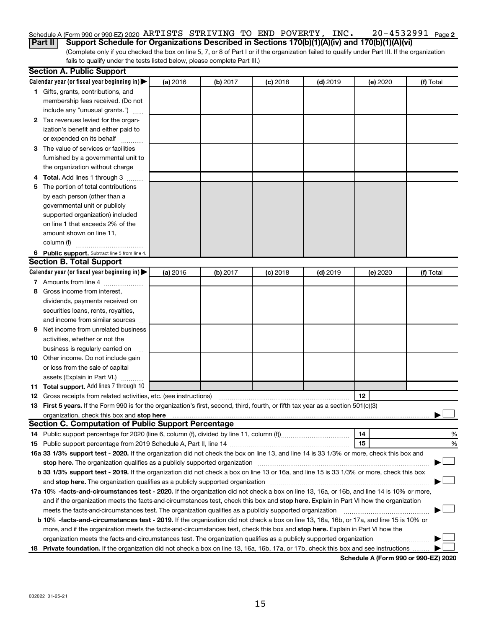## 20-4532991 Page 2 Schedule A (Form 990 or 990-EZ) 2020 Page ARTISTS STRIVING TO END POVERTY, INC. 20-4532991

(Complete only if you checked the box on line 5, 7, or 8 of Part I or if the organization failed to qualify under Part III. If the organization **Part II Support Schedule for Organizations Described in Sections 170(b)(1)(A)(iv) and 170(b)(1)(A)(vi)**

fails to qualify under the tests listed below, please complete Part III.)

| Calendar year (or fiscal year beginning in)<br>(a) 2016<br>(b) 2017<br>$(c)$ 2018<br>$(d)$ 2019<br>(e) 2020<br>(f) Total<br>1 Gifts, grants, contributions, and<br>membership fees received. (Do not<br>include any "unusual grants.")<br>2 Tax revenues levied for the organ-<br>ization's benefit and either paid to<br>or expended on its behalf<br>3 The value of services or facilities<br>furnished by a governmental unit to<br>the organization without charge<br>4 Total. Add lines 1 through 3<br>The portion of total contributions<br>5<br>by each person (other than a<br>governmental unit or publicly<br>supported organization) included<br>on line 1 that exceeds 2% of the<br>amount shown on line 11,<br>column (f)<br>6 Public support. Subtract line 5 from line 4.<br><b>Section B. Total Support</b><br>Calendar year (or fiscal year beginning in)<br>(a) 2016<br>(b) 2017<br>$(c)$ 2018<br>$(d)$ 2019<br>(f) Total<br>(e) 2020<br>7 Amounts from line 4<br>Gross income from interest,<br>8<br>dividends, payments received on<br>securities loans, rents, royalties,<br>and income from similar sources<br>Net income from unrelated business<br>9<br>activities, whether or not the<br>business is regularly carried on<br>10 Other income. Do not include gain<br>or loss from the sale of capital<br>assets (Explain in Part VI.)<br>11 Total support. Add lines 7 through 10<br>12<br><b>12</b> Gross receipts from related activities, etc. (see instructions)<br>13 First 5 years. If the Form 990 is for the organization's first, second, third, fourth, or fifth tax year as a section 501(c)(3)<br><b>Section C. Computation of Public Support Percentage</b><br>14<br>%<br>15<br>%<br>16a 33 1/3% support test - 2020. If the organization did not check the box on line 13, and line 14 is 33 1/3% or more, check this box and<br>b 33 1/3% support test - 2019. If the organization did not check a box on line 13 or 16a, and line 15 is 33 1/3% or more, check this box<br>17a 10% -facts-and-circumstances test - 2020. If the organization did not check a box on line 13, 16a, or 16b, and line 14 is 10% or more,<br>and if the organization meets the facts-and-circumstances test, check this box and stop here. Explain in Part VI how the organization<br>meets the facts-and-circumstances test. The organization qualifies as a publicly supported organization<br>b 10% -facts-and-circumstances test - 2019. If the organization did not check a box on line 13, 16a, 16b, or 17a, and line 15 is 10% or | <b>Section A. Public Support</b> |  |  |  |
|---------------------------------------------------------------------------------------------------------------------------------------------------------------------------------------------------------------------------------------------------------------------------------------------------------------------------------------------------------------------------------------------------------------------------------------------------------------------------------------------------------------------------------------------------------------------------------------------------------------------------------------------------------------------------------------------------------------------------------------------------------------------------------------------------------------------------------------------------------------------------------------------------------------------------------------------------------------------------------------------------------------------------------------------------------------------------------------------------------------------------------------------------------------------------------------------------------------------------------------------------------------------------------------------------------------------------------------------------------------------------------------------------------------------------------------------------------------------------------------------------------------------------------------------------------------------------------------------------------------------------------------------------------------------------------------------------------------------------------------------------------------------------------------------------------------------------------------------------------------------------------------------------------------------------------------------------------------------------------------------------------------------------------------------------------------------------------------------------------------------------------------------------------------------------------------------------------------------------------------------------------------------------------------------------------------------------------------------------------------------------------------------------------------------------------------------------------------------------------------------------------------------------------------------------------------|----------------------------------|--|--|--|
|                                                                                                                                                                                                                                                                                                                                                                                                                                                                                                                                                                                                                                                                                                                                                                                                                                                                                                                                                                                                                                                                                                                                                                                                                                                                                                                                                                                                                                                                                                                                                                                                                                                                                                                                                                                                                                                                                                                                                                                                                                                                                                                                                                                                                                                                                                                                                                                                                                                                                                                                                               |                                  |  |  |  |
|                                                                                                                                                                                                                                                                                                                                                                                                                                                                                                                                                                                                                                                                                                                                                                                                                                                                                                                                                                                                                                                                                                                                                                                                                                                                                                                                                                                                                                                                                                                                                                                                                                                                                                                                                                                                                                                                                                                                                                                                                                                                                                                                                                                                                                                                                                                                                                                                                                                                                                                                                               |                                  |  |  |  |
|                                                                                                                                                                                                                                                                                                                                                                                                                                                                                                                                                                                                                                                                                                                                                                                                                                                                                                                                                                                                                                                                                                                                                                                                                                                                                                                                                                                                                                                                                                                                                                                                                                                                                                                                                                                                                                                                                                                                                                                                                                                                                                                                                                                                                                                                                                                                                                                                                                                                                                                                                               |                                  |  |  |  |
|                                                                                                                                                                                                                                                                                                                                                                                                                                                                                                                                                                                                                                                                                                                                                                                                                                                                                                                                                                                                                                                                                                                                                                                                                                                                                                                                                                                                                                                                                                                                                                                                                                                                                                                                                                                                                                                                                                                                                                                                                                                                                                                                                                                                                                                                                                                                                                                                                                                                                                                                                               |                                  |  |  |  |
|                                                                                                                                                                                                                                                                                                                                                                                                                                                                                                                                                                                                                                                                                                                                                                                                                                                                                                                                                                                                                                                                                                                                                                                                                                                                                                                                                                                                                                                                                                                                                                                                                                                                                                                                                                                                                                                                                                                                                                                                                                                                                                                                                                                                                                                                                                                                                                                                                                                                                                                                                               |                                  |  |  |  |
|                                                                                                                                                                                                                                                                                                                                                                                                                                                                                                                                                                                                                                                                                                                                                                                                                                                                                                                                                                                                                                                                                                                                                                                                                                                                                                                                                                                                                                                                                                                                                                                                                                                                                                                                                                                                                                                                                                                                                                                                                                                                                                                                                                                                                                                                                                                                                                                                                                                                                                                                                               |                                  |  |  |  |
|                                                                                                                                                                                                                                                                                                                                                                                                                                                                                                                                                                                                                                                                                                                                                                                                                                                                                                                                                                                                                                                                                                                                                                                                                                                                                                                                                                                                                                                                                                                                                                                                                                                                                                                                                                                                                                                                                                                                                                                                                                                                                                                                                                                                                                                                                                                                                                                                                                                                                                                                                               |                                  |  |  |  |
|                                                                                                                                                                                                                                                                                                                                                                                                                                                                                                                                                                                                                                                                                                                                                                                                                                                                                                                                                                                                                                                                                                                                                                                                                                                                                                                                                                                                                                                                                                                                                                                                                                                                                                                                                                                                                                                                                                                                                                                                                                                                                                                                                                                                                                                                                                                                                                                                                                                                                                                                                               |                                  |  |  |  |
|                                                                                                                                                                                                                                                                                                                                                                                                                                                                                                                                                                                                                                                                                                                                                                                                                                                                                                                                                                                                                                                                                                                                                                                                                                                                                                                                                                                                                                                                                                                                                                                                                                                                                                                                                                                                                                                                                                                                                                                                                                                                                                                                                                                                                                                                                                                                                                                                                                                                                                                                                               |                                  |  |  |  |
|                                                                                                                                                                                                                                                                                                                                                                                                                                                                                                                                                                                                                                                                                                                                                                                                                                                                                                                                                                                                                                                                                                                                                                                                                                                                                                                                                                                                                                                                                                                                                                                                                                                                                                                                                                                                                                                                                                                                                                                                                                                                                                                                                                                                                                                                                                                                                                                                                                                                                                                                                               |                                  |  |  |  |
|                                                                                                                                                                                                                                                                                                                                                                                                                                                                                                                                                                                                                                                                                                                                                                                                                                                                                                                                                                                                                                                                                                                                                                                                                                                                                                                                                                                                                                                                                                                                                                                                                                                                                                                                                                                                                                                                                                                                                                                                                                                                                                                                                                                                                                                                                                                                                                                                                                                                                                                                                               |                                  |  |  |  |
|                                                                                                                                                                                                                                                                                                                                                                                                                                                                                                                                                                                                                                                                                                                                                                                                                                                                                                                                                                                                                                                                                                                                                                                                                                                                                                                                                                                                                                                                                                                                                                                                                                                                                                                                                                                                                                                                                                                                                                                                                                                                                                                                                                                                                                                                                                                                                                                                                                                                                                                                                               |                                  |  |  |  |
|                                                                                                                                                                                                                                                                                                                                                                                                                                                                                                                                                                                                                                                                                                                                                                                                                                                                                                                                                                                                                                                                                                                                                                                                                                                                                                                                                                                                                                                                                                                                                                                                                                                                                                                                                                                                                                                                                                                                                                                                                                                                                                                                                                                                                                                                                                                                                                                                                                                                                                                                                               |                                  |  |  |  |
|                                                                                                                                                                                                                                                                                                                                                                                                                                                                                                                                                                                                                                                                                                                                                                                                                                                                                                                                                                                                                                                                                                                                                                                                                                                                                                                                                                                                                                                                                                                                                                                                                                                                                                                                                                                                                                                                                                                                                                                                                                                                                                                                                                                                                                                                                                                                                                                                                                                                                                                                                               |                                  |  |  |  |
|                                                                                                                                                                                                                                                                                                                                                                                                                                                                                                                                                                                                                                                                                                                                                                                                                                                                                                                                                                                                                                                                                                                                                                                                                                                                                                                                                                                                                                                                                                                                                                                                                                                                                                                                                                                                                                                                                                                                                                                                                                                                                                                                                                                                                                                                                                                                                                                                                                                                                                                                                               |                                  |  |  |  |
|                                                                                                                                                                                                                                                                                                                                                                                                                                                                                                                                                                                                                                                                                                                                                                                                                                                                                                                                                                                                                                                                                                                                                                                                                                                                                                                                                                                                                                                                                                                                                                                                                                                                                                                                                                                                                                                                                                                                                                                                                                                                                                                                                                                                                                                                                                                                                                                                                                                                                                                                                               |                                  |  |  |  |
|                                                                                                                                                                                                                                                                                                                                                                                                                                                                                                                                                                                                                                                                                                                                                                                                                                                                                                                                                                                                                                                                                                                                                                                                                                                                                                                                                                                                                                                                                                                                                                                                                                                                                                                                                                                                                                                                                                                                                                                                                                                                                                                                                                                                                                                                                                                                                                                                                                                                                                                                                               |                                  |  |  |  |
|                                                                                                                                                                                                                                                                                                                                                                                                                                                                                                                                                                                                                                                                                                                                                                                                                                                                                                                                                                                                                                                                                                                                                                                                                                                                                                                                                                                                                                                                                                                                                                                                                                                                                                                                                                                                                                                                                                                                                                                                                                                                                                                                                                                                                                                                                                                                                                                                                                                                                                                                                               |                                  |  |  |  |
|                                                                                                                                                                                                                                                                                                                                                                                                                                                                                                                                                                                                                                                                                                                                                                                                                                                                                                                                                                                                                                                                                                                                                                                                                                                                                                                                                                                                                                                                                                                                                                                                                                                                                                                                                                                                                                                                                                                                                                                                                                                                                                                                                                                                                                                                                                                                                                                                                                                                                                                                                               |                                  |  |  |  |
|                                                                                                                                                                                                                                                                                                                                                                                                                                                                                                                                                                                                                                                                                                                                                                                                                                                                                                                                                                                                                                                                                                                                                                                                                                                                                                                                                                                                                                                                                                                                                                                                                                                                                                                                                                                                                                                                                                                                                                                                                                                                                                                                                                                                                                                                                                                                                                                                                                                                                                                                                               |                                  |  |  |  |
|                                                                                                                                                                                                                                                                                                                                                                                                                                                                                                                                                                                                                                                                                                                                                                                                                                                                                                                                                                                                                                                                                                                                                                                                                                                                                                                                                                                                                                                                                                                                                                                                                                                                                                                                                                                                                                                                                                                                                                                                                                                                                                                                                                                                                                                                                                                                                                                                                                                                                                                                                               |                                  |  |  |  |
|                                                                                                                                                                                                                                                                                                                                                                                                                                                                                                                                                                                                                                                                                                                                                                                                                                                                                                                                                                                                                                                                                                                                                                                                                                                                                                                                                                                                                                                                                                                                                                                                                                                                                                                                                                                                                                                                                                                                                                                                                                                                                                                                                                                                                                                                                                                                                                                                                                                                                                                                                               |                                  |  |  |  |
|                                                                                                                                                                                                                                                                                                                                                                                                                                                                                                                                                                                                                                                                                                                                                                                                                                                                                                                                                                                                                                                                                                                                                                                                                                                                                                                                                                                                                                                                                                                                                                                                                                                                                                                                                                                                                                                                                                                                                                                                                                                                                                                                                                                                                                                                                                                                                                                                                                                                                                                                                               |                                  |  |  |  |
|                                                                                                                                                                                                                                                                                                                                                                                                                                                                                                                                                                                                                                                                                                                                                                                                                                                                                                                                                                                                                                                                                                                                                                                                                                                                                                                                                                                                                                                                                                                                                                                                                                                                                                                                                                                                                                                                                                                                                                                                                                                                                                                                                                                                                                                                                                                                                                                                                                                                                                                                                               |                                  |  |  |  |
|                                                                                                                                                                                                                                                                                                                                                                                                                                                                                                                                                                                                                                                                                                                                                                                                                                                                                                                                                                                                                                                                                                                                                                                                                                                                                                                                                                                                                                                                                                                                                                                                                                                                                                                                                                                                                                                                                                                                                                                                                                                                                                                                                                                                                                                                                                                                                                                                                                                                                                                                                               |                                  |  |  |  |
|                                                                                                                                                                                                                                                                                                                                                                                                                                                                                                                                                                                                                                                                                                                                                                                                                                                                                                                                                                                                                                                                                                                                                                                                                                                                                                                                                                                                                                                                                                                                                                                                                                                                                                                                                                                                                                                                                                                                                                                                                                                                                                                                                                                                                                                                                                                                                                                                                                                                                                                                                               |                                  |  |  |  |
|                                                                                                                                                                                                                                                                                                                                                                                                                                                                                                                                                                                                                                                                                                                                                                                                                                                                                                                                                                                                                                                                                                                                                                                                                                                                                                                                                                                                                                                                                                                                                                                                                                                                                                                                                                                                                                                                                                                                                                                                                                                                                                                                                                                                                                                                                                                                                                                                                                                                                                                                                               |                                  |  |  |  |
|                                                                                                                                                                                                                                                                                                                                                                                                                                                                                                                                                                                                                                                                                                                                                                                                                                                                                                                                                                                                                                                                                                                                                                                                                                                                                                                                                                                                                                                                                                                                                                                                                                                                                                                                                                                                                                                                                                                                                                                                                                                                                                                                                                                                                                                                                                                                                                                                                                                                                                                                                               |                                  |  |  |  |
|                                                                                                                                                                                                                                                                                                                                                                                                                                                                                                                                                                                                                                                                                                                                                                                                                                                                                                                                                                                                                                                                                                                                                                                                                                                                                                                                                                                                                                                                                                                                                                                                                                                                                                                                                                                                                                                                                                                                                                                                                                                                                                                                                                                                                                                                                                                                                                                                                                                                                                                                                               |                                  |  |  |  |
|                                                                                                                                                                                                                                                                                                                                                                                                                                                                                                                                                                                                                                                                                                                                                                                                                                                                                                                                                                                                                                                                                                                                                                                                                                                                                                                                                                                                                                                                                                                                                                                                                                                                                                                                                                                                                                                                                                                                                                                                                                                                                                                                                                                                                                                                                                                                                                                                                                                                                                                                                               |                                  |  |  |  |
|                                                                                                                                                                                                                                                                                                                                                                                                                                                                                                                                                                                                                                                                                                                                                                                                                                                                                                                                                                                                                                                                                                                                                                                                                                                                                                                                                                                                                                                                                                                                                                                                                                                                                                                                                                                                                                                                                                                                                                                                                                                                                                                                                                                                                                                                                                                                                                                                                                                                                                                                                               |                                  |  |  |  |
|                                                                                                                                                                                                                                                                                                                                                                                                                                                                                                                                                                                                                                                                                                                                                                                                                                                                                                                                                                                                                                                                                                                                                                                                                                                                                                                                                                                                                                                                                                                                                                                                                                                                                                                                                                                                                                                                                                                                                                                                                                                                                                                                                                                                                                                                                                                                                                                                                                                                                                                                                               |                                  |  |  |  |
|                                                                                                                                                                                                                                                                                                                                                                                                                                                                                                                                                                                                                                                                                                                                                                                                                                                                                                                                                                                                                                                                                                                                                                                                                                                                                                                                                                                                                                                                                                                                                                                                                                                                                                                                                                                                                                                                                                                                                                                                                                                                                                                                                                                                                                                                                                                                                                                                                                                                                                                                                               |                                  |  |  |  |
|                                                                                                                                                                                                                                                                                                                                                                                                                                                                                                                                                                                                                                                                                                                                                                                                                                                                                                                                                                                                                                                                                                                                                                                                                                                                                                                                                                                                                                                                                                                                                                                                                                                                                                                                                                                                                                                                                                                                                                                                                                                                                                                                                                                                                                                                                                                                                                                                                                                                                                                                                               |                                  |  |  |  |
|                                                                                                                                                                                                                                                                                                                                                                                                                                                                                                                                                                                                                                                                                                                                                                                                                                                                                                                                                                                                                                                                                                                                                                                                                                                                                                                                                                                                                                                                                                                                                                                                                                                                                                                                                                                                                                                                                                                                                                                                                                                                                                                                                                                                                                                                                                                                                                                                                                                                                                                                                               |                                  |  |  |  |
|                                                                                                                                                                                                                                                                                                                                                                                                                                                                                                                                                                                                                                                                                                                                                                                                                                                                                                                                                                                                                                                                                                                                                                                                                                                                                                                                                                                                                                                                                                                                                                                                                                                                                                                                                                                                                                                                                                                                                                                                                                                                                                                                                                                                                                                                                                                                                                                                                                                                                                                                                               |                                  |  |  |  |
|                                                                                                                                                                                                                                                                                                                                                                                                                                                                                                                                                                                                                                                                                                                                                                                                                                                                                                                                                                                                                                                                                                                                                                                                                                                                                                                                                                                                                                                                                                                                                                                                                                                                                                                                                                                                                                                                                                                                                                                                                                                                                                                                                                                                                                                                                                                                                                                                                                                                                                                                                               |                                  |  |  |  |
|                                                                                                                                                                                                                                                                                                                                                                                                                                                                                                                                                                                                                                                                                                                                                                                                                                                                                                                                                                                                                                                                                                                                                                                                                                                                                                                                                                                                                                                                                                                                                                                                                                                                                                                                                                                                                                                                                                                                                                                                                                                                                                                                                                                                                                                                                                                                                                                                                                                                                                                                                               |                                  |  |  |  |
|                                                                                                                                                                                                                                                                                                                                                                                                                                                                                                                                                                                                                                                                                                                                                                                                                                                                                                                                                                                                                                                                                                                                                                                                                                                                                                                                                                                                                                                                                                                                                                                                                                                                                                                                                                                                                                                                                                                                                                                                                                                                                                                                                                                                                                                                                                                                                                                                                                                                                                                                                               |                                  |  |  |  |
|                                                                                                                                                                                                                                                                                                                                                                                                                                                                                                                                                                                                                                                                                                                                                                                                                                                                                                                                                                                                                                                                                                                                                                                                                                                                                                                                                                                                                                                                                                                                                                                                                                                                                                                                                                                                                                                                                                                                                                                                                                                                                                                                                                                                                                                                                                                                                                                                                                                                                                                                                               |                                  |  |  |  |
|                                                                                                                                                                                                                                                                                                                                                                                                                                                                                                                                                                                                                                                                                                                                                                                                                                                                                                                                                                                                                                                                                                                                                                                                                                                                                                                                                                                                                                                                                                                                                                                                                                                                                                                                                                                                                                                                                                                                                                                                                                                                                                                                                                                                                                                                                                                                                                                                                                                                                                                                                               |                                  |  |  |  |
|                                                                                                                                                                                                                                                                                                                                                                                                                                                                                                                                                                                                                                                                                                                                                                                                                                                                                                                                                                                                                                                                                                                                                                                                                                                                                                                                                                                                                                                                                                                                                                                                                                                                                                                                                                                                                                                                                                                                                                                                                                                                                                                                                                                                                                                                                                                                                                                                                                                                                                                                                               |                                  |  |  |  |
|                                                                                                                                                                                                                                                                                                                                                                                                                                                                                                                                                                                                                                                                                                                                                                                                                                                                                                                                                                                                                                                                                                                                                                                                                                                                                                                                                                                                                                                                                                                                                                                                                                                                                                                                                                                                                                                                                                                                                                                                                                                                                                                                                                                                                                                                                                                                                                                                                                                                                                                                                               |                                  |  |  |  |
|                                                                                                                                                                                                                                                                                                                                                                                                                                                                                                                                                                                                                                                                                                                                                                                                                                                                                                                                                                                                                                                                                                                                                                                                                                                                                                                                                                                                                                                                                                                                                                                                                                                                                                                                                                                                                                                                                                                                                                                                                                                                                                                                                                                                                                                                                                                                                                                                                                                                                                                                                               |                                  |  |  |  |
|                                                                                                                                                                                                                                                                                                                                                                                                                                                                                                                                                                                                                                                                                                                                                                                                                                                                                                                                                                                                                                                                                                                                                                                                                                                                                                                                                                                                                                                                                                                                                                                                                                                                                                                                                                                                                                                                                                                                                                                                                                                                                                                                                                                                                                                                                                                                                                                                                                                                                                                                                               |                                  |  |  |  |
|                                                                                                                                                                                                                                                                                                                                                                                                                                                                                                                                                                                                                                                                                                                                                                                                                                                                                                                                                                                                                                                                                                                                                                                                                                                                                                                                                                                                                                                                                                                                                                                                                                                                                                                                                                                                                                                                                                                                                                                                                                                                                                                                                                                                                                                                                                                                                                                                                                                                                                                                                               |                                  |  |  |  |
|                                                                                                                                                                                                                                                                                                                                                                                                                                                                                                                                                                                                                                                                                                                                                                                                                                                                                                                                                                                                                                                                                                                                                                                                                                                                                                                                                                                                                                                                                                                                                                                                                                                                                                                                                                                                                                                                                                                                                                                                                                                                                                                                                                                                                                                                                                                                                                                                                                                                                                                                                               |                                  |  |  |  |
| more, and if the organization meets the facts-and-circumstances test, check this box and stop here. Explain in Part VI how the                                                                                                                                                                                                                                                                                                                                                                                                                                                                                                                                                                                                                                                                                                                                                                                                                                                                                                                                                                                                                                                                                                                                                                                                                                                                                                                                                                                                                                                                                                                                                                                                                                                                                                                                                                                                                                                                                                                                                                                                                                                                                                                                                                                                                                                                                                                                                                                                                                |                                  |  |  |  |
| organization meets the facts-and-circumstances test. The organization qualifies as a publicly supported organization                                                                                                                                                                                                                                                                                                                                                                                                                                                                                                                                                                                                                                                                                                                                                                                                                                                                                                                                                                                                                                                                                                                                                                                                                                                                                                                                                                                                                                                                                                                                                                                                                                                                                                                                                                                                                                                                                                                                                                                                                                                                                                                                                                                                                                                                                                                                                                                                                                          |                                  |  |  |  |
| 18 Private foundation. If the organization did not check a box on line 13, 16a, 16b, 17a, or 17b, check this box and see instructions                                                                                                                                                                                                                                                                                                                                                                                                                                                                                                                                                                                                                                                                                                                                                                                                                                                                                                                                                                                                                                                                                                                                                                                                                                                                                                                                                                                                                                                                                                                                                                                                                                                                                                                                                                                                                                                                                                                                                                                                                                                                                                                                                                                                                                                                                                                                                                                                                         |                                  |  |  |  |

**Schedule A (Form 990 or 990-EZ) 2020**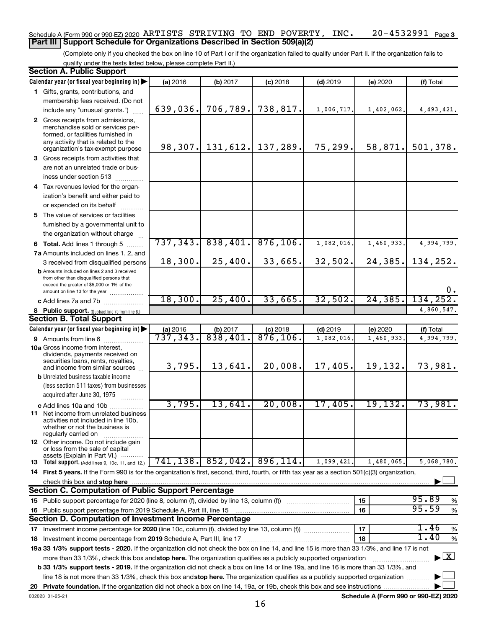## 20-4532991 Page 3 Schedule A (Form 990 or 990-EZ) 2020 Page ARTISTS STRIVING TO END POVERTY, INC. 20-4532991 **Part III Support Schedule for Organizations Described in Section 509(a)(2)**

(Complete only if you checked the box on line 10 of Part I or if the organization failed to qualify under Part II. If the organization fails to qualify under the tests listed below, please complete Part II.)

| <b>Section A. Public Support</b>                                                                                                                 |           |                              |            |            |            |                                    |
|--------------------------------------------------------------------------------------------------------------------------------------------------|-----------|------------------------------|------------|------------|------------|------------------------------------|
| Calendar year (or fiscal year beginning in)                                                                                                      | (a) 2016  | (b) 2017                     | $(c)$ 2018 | $(d)$ 2019 | (e) 2020   | (f) Total                          |
| 1 Gifts, grants, contributions, and                                                                                                              |           |                              |            |            |            |                                    |
| membership fees received. (Do not                                                                                                                |           |                              |            |            |            |                                    |
| include any "unusual grants.")                                                                                                                   | 639,036.  | 706, 789.                    | 738,817.   | 1,006,717. | 1,402,062. | 4,493,421.                         |
| 2 Gross receipts from admissions,                                                                                                                |           |                              |            |            |            |                                    |
| merchandise sold or services per-                                                                                                                |           |                              |            |            |            |                                    |
| formed, or facilities furnished in<br>any activity that is related to the                                                                        |           |                              |            |            |            |                                    |
| organization's tax-exempt purpose                                                                                                                |           | 98, 307. 131, 612. 137, 289. |            | 75,299.    | 58,871.    | 501,378.                           |
| 3 Gross receipts from activities that                                                                                                            |           |                              |            |            |            |                                    |
| are not an unrelated trade or bus-                                                                                                               |           |                              |            |            |            |                                    |
| iness under section 513                                                                                                                          |           |                              |            |            |            |                                    |
| 4 Tax revenues levied for the organ-                                                                                                             |           |                              |            |            |            |                                    |
| ization's benefit and either paid to                                                                                                             |           |                              |            |            |            |                                    |
| or expended on its behalf                                                                                                                        |           |                              |            |            |            |                                    |
| 5 The value of services or facilities                                                                                                            |           |                              |            |            |            |                                    |
| furnished by a governmental unit to                                                                                                              |           |                              |            |            |            |                                    |
| the organization without charge                                                                                                                  |           |                              |            |            |            |                                    |
| 6 Total. Add lines 1 through 5                                                                                                                   | 737, 343. | 838,401.                     | 876, 106.  | 1,082,016  | 1,460,933  | 4,994,799.                         |
| 7a Amounts included on lines 1, 2, and                                                                                                           |           |                              |            |            |            |                                    |
| 3 received from disqualified persons                                                                                                             | 18,300.   | 25,400.                      | 33,665.    | 32,502.    | 24, 385.   | 134,252.                           |
| <b>b</b> Amounts included on lines 2 and 3 received                                                                                              |           |                              |            |            |            |                                    |
| from other than disqualified persons that                                                                                                        |           |                              |            |            |            |                                    |
| exceed the greater of \$5,000 or 1% of the<br>amount on line 13 for the year                                                                     |           |                              |            |            |            | 0.                                 |
| c Add lines 7a and 7b                                                                                                                            | 18,300.   | 25,400.                      | 33,665.    | 32,502.    | 24, 385.   | 134,252.                           |
| 8 Public support. (Subtract line 7c from line 6.)                                                                                                |           |                              |            |            |            | 4,860,547.                         |
| <b>Section B. Total Support</b>                                                                                                                  |           |                              |            |            |            |                                    |
| Calendar year (or fiscal year beginning in)                                                                                                      | (a) 2016  | (b) 2017                     | $(c)$ 2018 | $(d)$ 2019 | (e) 2020   | (f) Total                          |
| 9 Amounts from line 6                                                                                                                            | 737, 343. | 838,401.                     | 876, 106.  | 1,082,016  | 1,460,933  | 4,994,799.                         |
| <b>10a</b> Gross income from interest,                                                                                                           |           |                              |            |            |            |                                    |
| dividends, payments received on                                                                                                                  |           |                              |            |            |            |                                    |
| securities loans, rents, royalties,<br>and income from similar sources                                                                           | 3,795.    | 13,641.                      | 20,008.    | 17,405.    | 19,132.    | 73,981.                            |
| <b>b</b> Unrelated business taxable income                                                                                                       |           |                              |            |            |            |                                    |
| (less section 511 taxes) from businesses                                                                                                         |           |                              |            |            |            |                                    |
| acquired after June 30, 1975                                                                                                                     |           |                              |            |            |            |                                    |
|                                                                                                                                                  | 3,795.    | 13,641.                      | 20,008.    | 17,405.    | 19,132.    | 73,981.                            |
| c Add lines 10a and 10b<br><b>11</b> Net income from unrelated business                                                                          |           |                              |            |            |            |                                    |
| activities not included in line 10b,                                                                                                             |           |                              |            |            |            |                                    |
| whether or not the business is                                                                                                                   |           |                              |            |            |            |                                    |
| regularly carried on<br>12 Other income. Do not include gain                                                                                     |           |                              |            |            |            |                                    |
| or loss from the sale of capital                                                                                                                 |           |                              |            |            |            |                                    |
| assets (Explain in Part VI.)                                                                                                                     |           | $741, 138.$ 852, 042.        | 896, 114.  |            |            |                                    |
| <b>13</b> Total support. (Add lines 9, 10c, 11, and 12.)                                                                                         |           |                              |            | 1,099,421. | 1,480,065. | 5,068,780.                         |
| 14 First 5 years. If the Form 990 is for the organization's first, second, third, fourth, or fifth tax year as a section 501(c)(3) organization, |           |                              |            |            |            |                                    |
| check this box and stop here                                                                                                                     |           |                              |            |            |            |                                    |
| <b>Section C. Computation of Public Support Percentage</b>                                                                                       |           |                              |            |            |            | 95.89                              |
| 15 Public support percentage for 2020 (line 8, column (f), divided by line 13, column (f))                                                       |           |                              |            |            | 15         | %<br>95.59                         |
| 16 Public support percentage from 2019 Schedule A, Part III, line 15                                                                             |           |                              |            |            | 16         | $\%$                               |
| Section D. Computation of Investment Income Percentage                                                                                           |           |                              |            |            |            |                                    |
| 17 Investment income percentage for 2020 (line 10c, column (f), divided by line 13, column (f))                                                  |           |                              |            |            | 17         | 1.46<br>$\%$                       |
| 18 Investment income percentage from 2019 Schedule A, Part III, line 17                                                                          |           |                              |            |            | 18         | 1.40<br>%                          |
| 19a 33 1/3% support tests - 2020. If the organization did not check the box on line 14, and line 15 is more than 33 1/3%, and line 17 is not     |           |                              |            |            |            |                                    |
| more than 33 1/3%, check this box and stop here. The organization qualifies as a publicly supported organization                                 |           |                              |            |            |            | $\blacktriangleright$ $\mathbf{X}$ |
| b 33 1/3% support tests - 2019. If the organization did not check a box on line 14 or line 19a, and line 16 is more than 33 1/3%, and            |           |                              |            |            |            |                                    |
| line 18 is not more than 33 1/3%, check this box and stop here. The organization qualifies as a publicly supported organization                  |           |                              |            |            |            |                                    |
|                                                                                                                                                  |           |                              |            |            |            |                                    |

**Schedule A (Form 990 or 990-EZ) 2020**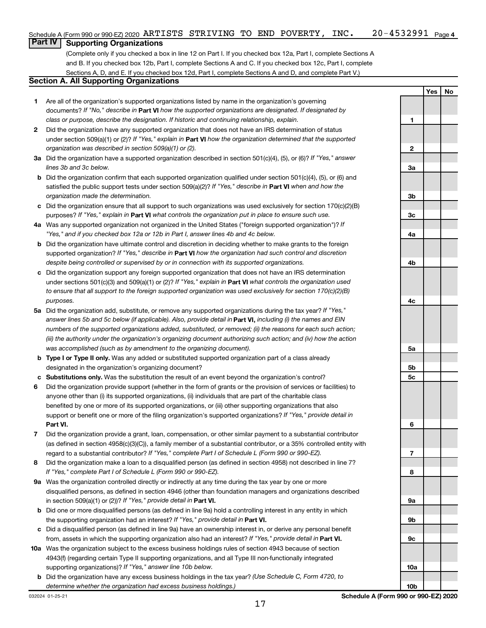## **Part IV Supporting Organizations**

(Complete only if you checked a box in line 12 on Part I. If you checked box 12a, Part I, complete Sections A and B. If you checked box 12b, Part I, complete Sections A and C. If you checked box 12c, Part I, complete Sections A, D, and E. If you checked box 12d, Part I, complete Sections A and D, and complete Part V.)

## **Section A. All Supporting Organizations**

- **1** Are all of the organization's supported organizations listed by name in the organization's governing documents? If "No," describe in Part VI how the supported organizations are designated. If designated by *class or purpose, describe the designation. If historic and continuing relationship, explain.*
- **2** Did the organization have any supported organization that does not have an IRS determination of status under section 509(a)(1) or (2)? If "Yes," explain in Part **VI** how the organization determined that the supported *organization was described in section 509(a)(1) or (2).*
- **3a** Did the organization have a supported organization described in section 501(c)(4), (5), or (6)? If "Yes," answer *lines 3b and 3c below.*
- **b** Did the organization confirm that each supported organization qualified under section 501(c)(4), (5), or (6) and satisfied the public support tests under section 509(a)(2)? If "Yes," describe in Part VI when and how the *organization made the determination.*
- **c** Did the organization ensure that all support to such organizations was used exclusively for section 170(c)(2)(B) purposes? If "Yes," explain in Part VI what controls the organization put in place to ensure such use.
- **4 a** *If* Was any supported organization not organized in the United States ("foreign supported organization")? *"Yes," and if you checked box 12a or 12b in Part I, answer lines 4b and 4c below.*
- **b** Did the organization have ultimate control and discretion in deciding whether to make grants to the foreign supported organization? If "Yes," describe in Part VI how the organization had such control and discretion *despite being controlled or supervised by or in connection with its supported organizations.*
- **c** Did the organization support any foreign supported organization that does not have an IRS determination under sections 501(c)(3) and 509(a)(1) or (2)? If "Yes," explain in Part VI what controls the organization used *to ensure that all support to the foreign supported organization was used exclusively for section 170(c)(2)(B) purposes.*
- **5a** Did the organization add, substitute, or remove any supported organizations during the tax year? If "Yes," answer lines 5b and 5c below (if applicable). Also, provide detail in **Part VI,** including (i) the names and EIN *numbers of the supported organizations added, substituted, or removed; (ii) the reasons for each such action; (iii) the authority under the organization's organizing document authorizing such action; and (iv) how the action was accomplished (such as by amendment to the organizing document).*
- **b Type I or Type II only.** Was any added or substituted supported organization part of a class already designated in the organization's organizing document?
- **c Substitutions only.**  Was the substitution the result of an event beyond the organization's control?
- **6** Did the organization provide support (whether in the form of grants or the provision of services or facilities) to **Part VI.** support or benefit one or more of the filing organization's supported organizations? If "Yes," provide detail in anyone other than (i) its supported organizations, (ii) individuals that are part of the charitable class benefited by one or more of its supported organizations, or (iii) other supporting organizations that also
- **7** Did the organization provide a grant, loan, compensation, or other similar payment to a substantial contributor regard to a substantial contributor? If "Yes," complete Part I of Schedule L (Form 990 or 990-EZ). (as defined in section 4958(c)(3)(C)), a family member of a substantial contributor, or a 35% controlled entity with
- **8** Did the organization make a loan to a disqualified person (as defined in section 4958) not described in line 7? *If "Yes," complete Part I of Schedule L (Form 990 or 990-EZ).*
- **9 a** Was the organization controlled directly or indirectly at any time during the tax year by one or more in section 509(a)(1) or (2))? If "Yes," provide detail in **Part VI.** disqualified persons, as defined in section 4946 (other than foundation managers and organizations described
- **b** Did one or more disqualified persons (as defined in line 9a) hold a controlling interest in any entity in which the supporting organization had an interest? If "Yes," provide detail in Part VI.
- **c** Did a disqualified person (as defined in line 9a) have an ownership interest in, or derive any personal benefit from, assets in which the supporting organization also had an interest? If "Yes," provide detail in Part VI.
- **10 a** Was the organization subject to the excess business holdings rules of section 4943 because of section supporting organizations)? If "Yes," answer line 10b below. 4943(f) (regarding certain Type II supporting organizations, and all Type III non-functionally integrated
	- **b** Did the organization have any excess business holdings in the tax year? (Use Schedule C, Form 4720, to *determine whether the organization had excess business holdings.)*

**1 2 3a 3b 3c 4a 4b 4c 5a 5b 5c 6 7 8 9a 9b 9c 10a**

**Yes No**

**10b**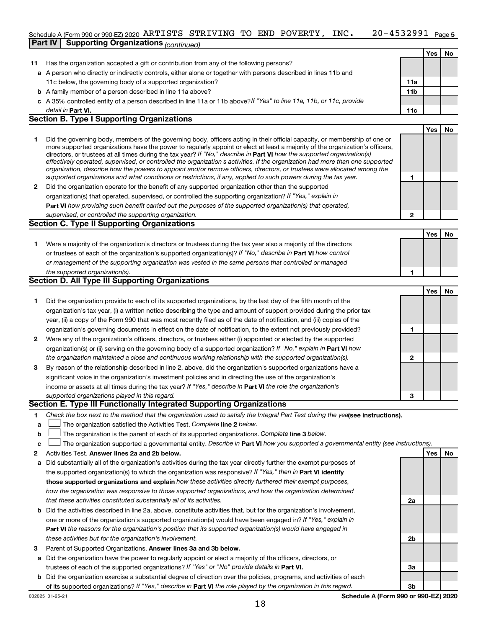## 20-4532991 <sub>Page 5</sub> Schedule A (Form 990 or 990-EZ) 2020 Page ARTISTS STRIVING TO END POVERTY, INC. 20-4532991 **Part IV Supporting Organizations** *(continued)*

|              |                                                                                                                                                                                                                                                                                                                                                                                                                                                                                                                                                                                                                                                                                                                                                                          |                 | Yes        | <b>No</b> |
|--------------|--------------------------------------------------------------------------------------------------------------------------------------------------------------------------------------------------------------------------------------------------------------------------------------------------------------------------------------------------------------------------------------------------------------------------------------------------------------------------------------------------------------------------------------------------------------------------------------------------------------------------------------------------------------------------------------------------------------------------------------------------------------------------|-----------------|------------|-----------|
| 11.          | Has the organization accepted a gift or contribution from any of the following persons?                                                                                                                                                                                                                                                                                                                                                                                                                                                                                                                                                                                                                                                                                  |                 |            |           |
|              | a A person who directly or indirectly controls, either alone or together with persons described in lines 11b and                                                                                                                                                                                                                                                                                                                                                                                                                                                                                                                                                                                                                                                         |                 |            |           |
|              | 11c below, the governing body of a supported organization?                                                                                                                                                                                                                                                                                                                                                                                                                                                                                                                                                                                                                                                                                                               | 11a             |            |           |
|              | <b>b</b> A family member of a person described in line 11a above?                                                                                                                                                                                                                                                                                                                                                                                                                                                                                                                                                                                                                                                                                                        | 11 <sub>b</sub> |            |           |
|              | c A 35% controlled entity of a person described in line 11a or 11b above?If "Yes" to line 11a, 11b, or 11c, provide                                                                                                                                                                                                                                                                                                                                                                                                                                                                                                                                                                                                                                                      |                 |            |           |
|              | detail in Part VI.                                                                                                                                                                                                                                                                                                                                                                                                                                                                                                                                                                                                                                                                                                                                                       | 11c             |            |           |
|              | <b>Section B. Type I Supporting Organizations</b>                                                                                                                                                                                                                                                                                                                                                                                                                                                                                                                                                                                                                                                                                                                        |                 |            |           |
|              |                                                                                                                                                                                                                                                                                                                                                                                                                                                                                                                                                                                                                                                                                                                                                                          |                 | <b>Yes</b> | No        |
| 1            | Did the governing body, members of the governing body, officers acting in their official capacity, or membership of one or<br>more supported organizations have the power to regularly appoint or elect at least a majority of the organization's officers,<br>directors, or trustees at all times during the tax year? If "No," describe in Part VI how the supported organization(s)<br>effectively operated, supervised, or controlled the organization's activities. If the organization had more than one supported<br>organization, describe how the powers to appoint and/or remove officers, directors, or trustees were allocated among the<br>supported organizations and what conditions or restrictions, if any, applied to such powers during the tax year. | 1               |            |           |
| $\mathbf{2}$ | Did the organization operate for the benefit of any supported organization other than the supported                                                                                                                                                                                                                                                                                                                                                                                                                                                                                                                                                                                                                                                                      |                 |            |           |
|              | organization(s) that operated, supervised, or controlled the supporting organization? If "Yes," explain in                                                                                                                                                                                                                                                                                                                                                                                                                                                                                                                                                                                                                                                               |                 |            |           |
|              | Part VI how providing such benefit carried out the purposes of the supported organization(s) that operated,                                                                                                                                                                                                                                                                                                                                                                                                                                                                                                                                                                                                                                                              |                 |            |           |
|              | supervised, or controlled the supporting organization.                                                                                                                                                                                                                                                                                                                                                                                                                                                                                                                                                                                                                                                                                                                   | 2               |            |           |
|              | <b>Section C. Type II Supporting Organizations</b>                                                                                                                                                                                                                                                                                                                                                                                                                                                                                                                                                                                                                                                                                                                       |                 |            |           |
|              |                                                                                                                                                                                                                                                                                                                                                                                                                                                                                                                                                                                                                                                                                                                                                                          |                 | Yes        | No        |
| 1            | Were a majority of the organization's directors or trustees during the tax year also a majority of the directors                                                                                                                                                                                                                                                                                                                                                                                                                                                                                                                                                                                                                                                         |                 |            |           |
|              | or trustees of each of the organization's supported organization(s)? If "No," describe in Part VI how control                                                                                                                                                                                                                                                                                                                                                                                                                                                                                                                                                                                                                                                            |                 |            |           |
|              | or management of the supporting organization was vested in the same persons that controlled or managed                                                                                                                                                                                                                                                                                                                                                                                                                                                                                                                                                                                                                                                                   |                 |            |           |
|              | the supported organization(s).                                                                                                                                                                                                                                                                                                                                                                                                                                                                                                                                                                                                                                                                                                                                           | 1               |            |           |
|              | Section D. All Type III Supporting Organizations                                                                                                                                                                                                                                                                                                                                                                                                                                                                                                                                                                                                                                                                                                                         |                 |            |           |
|              |                                                                                                                                                                                                                                                                                                                                                                                                                                                                                                                                                                                                                                                                                                                                                                          |                 | <b>Yes</b> | No        |
| 1            | Did the organization provide to each of its supported organizations, by the last day of the fifth month of the                                                                                                                                                                                                                                                                                                                                                                                                                                                                                                                                                                                                                                                           |                 |            |           |
|              | organization's tax year, (i) a written notice describing the type and amount of support provided during the prior tax                                                                                                                                                                                                                                                                                                                                                                                                                                                                                                                                                                                                                                                    |                 |            |           |
|              | year, (ii) a copy of the Form 990 that was most recently filed as of the date of notification, and (iii) copies of the                                                                                                                                                                                                                                                                                                                                                                                                                                                                                                                                                                                                                                                   |                 |            |           |
|              |                                                                                                                                                                                                                                                                                                                                                                                                                                                                                                                                                                                                                                                                                                                                                                          | 1               |            |           |
|              | organization's governing documents in effect on the date of notification, to the extent not previously provided?                                                                                                                                                                                                                                                                                                                                                                                                                                                                                                                                                                                                                                                         |                 |            |           |
| 2            | Were any of the organization's officers, directors, or trustees either (i) appointed or elected by the supported                                                                                                                                                                                                                                                                                                                                                                                                                                                                                                                                                                                                                                                         |                 |            |           |
|              | organization(s) or (ii) serving on the governing body of a supported organization? If "No," explain in Part VI how                                                                                                                                                                                                                                                                                                                                                                                                                                                                                                                                                                                                                                                       |                 |            |           |
|              | the organization maintained a close and continuous working relationship with the supported organization(s).                                                                                                                                                                                                                                                                                                                                                                                                                                                                                                                                                                                                                                                              | $\mathbf{2}$    |            |           |
| 3            | By reason of the relationship described in line 2, above, did the organization's supported organizations have a                                                                                                                                                                                                                                                                                                                                                                                                                                                                                                                                                                                                                                                          |                 |            |           |
|              | significant voice in the organization's investment policies and in directing the use of the organization's                                                                                                                                                                                                                                                                                                                                                                                                                                                                                                                                                                                                                                                               |                 |            |           |
|              | income or assets at all times during the tax year? If "Yes," describe in Part VI the role the organization's                                                                                                                                                                                                                                                                                                                                                                                                                                                                                                                                                                                                                                                             |                 |            |           |
|              | supported organizations played in this regard.                                                                                                                                                                                                                                                                                                                                                                                                                                                                                                                                                                                                                                                                                                                           | 3               |            |           |
|              | Section E. Type III Functionally Integrated Supporting Organizations                                                                                                                                                                                                                                                                                                                                                                                                                                                                                                                                                                                                                                                                                                     |                 |            |           |
| 1.           | Check the box next to the method that the organization used to satisfy the Integral Part Test during the yealsee instructions).                                                                                                                                                                                                                                                                                                                                                                                                                                                                                                                                                                                                                                          |                 |            |           |

- **a The organization satisfied the Activities Test. Complete line 2 below.**
- **b** The organization is the parent of each of its supported organizations. Complete line 3 below.
- **c** The organization supported a governmental entity. Describe in Part VI how you supported a governmental entity (see instructions).  $\Box$
- **2 Answer lines 2a and 2b below. Yes No** Activities Test.
- **a** Did substantially all of the organization's activities during the tax year directly further the exempt purposes of the supported organization(s) to which the organization was responsive? If "Yes," then in Part VI identify **those supported organizations and explain**  *how these activities directly furthered their exempt purposes, how the organization was responsive to those supported organizations, and how the organization determined that these activities constituted substantially all of its activities.*
- **b** Did the activities described in line 2a, above, constitute activities that, but for the organization's involvement, **Part VI**  *the reasons for the organization's position that its supported organization(s) would have engaged in* one or more of the organization's supported organization(s) would have been engaged in? If "Yes," explain in *these activities but for the organization's involvement.*
- 3 Parent of Supported Organizations. Answer lines 3a and 3b below.
- **a** Did the organization have the power to regularly appoint or elect a majority of the officers, directors, or trustees of each of the supported organizations? If "Yes" or "No" provide details in Part VI.
- **b** Did the organization exercise a substantial degree of direction over the policies, programs, and activities of each of its supported organizations? If "Yes," describe in Part VI the role played by the organization in this regard.

**Schedule A (Form 990 or 990-EZ) 2020**

**2a**

**2b**

**3a**

**3b**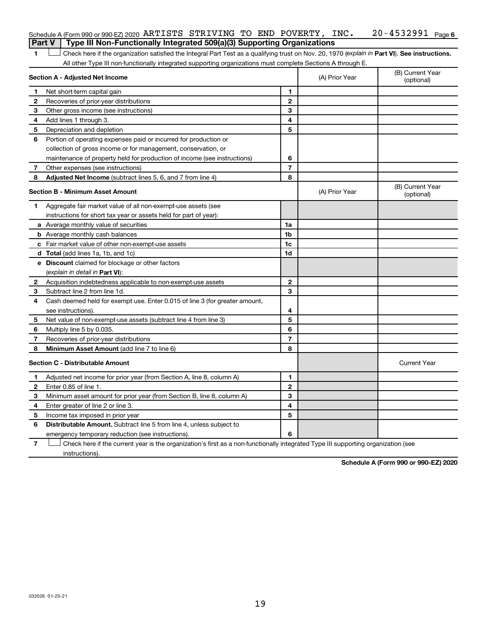1 **Letter See instructions.** Check here if the organization satisfied the Integral Part Test as a qualifying trust on Nov. 20, 1970 (*explain in* Part **VI**). See instructions. All other Type III non-functionally integrated supporting organizations must complete Sections A through E.

|              | Section A - Adjusted Net Income                                             |                | (A) Prior Year | (B) Current Year<br>(optional) |
|--------------|-----------------------------------------------------------------------------|----------------|----------------|--------------------------------|
| 1            | Net short-term capital gain                                                 | 1              |                |                                |
| 2            | Recoveries of prior-year distributions                                      | $\mathbf{2}$   |                |                                |
| 3            | Other gross income (see instructions)                                       | 3              |                |                                |
| 4            | Add lines 1 through 3.                                                      | 4              |                |                                |
| 5            | Depreciation and depletion                                                  | 5              |                |                                |
| 6            | Portion of operating expenses paid or incurred for production or            |                |                |                                |
|              | collection of gross income or for management, conservation, or              |                |                |                                |
|              | maintenance of property held for production of income (see instructions)    | 6              |                |                                |
| 7            | Other expenses (see instructions)                                           | $\overline{7}$ |                |                                |
| 8            | Adjusted Net Income (subtract lines 5, 6, and 7 from line 4)                | 8              |                |                                |
|              | <b>Section B - Minimum Asset Amount</b>                                     |                | (A) Prior Year | (B) Current Year<br>(optional) |
| 1.           | Aggregate fair market value of all non-exempt-use assets (see               |                |                |                                |
|              | instructions for short tax year or assets held for part of year):           |                |                |                                |
|              | a Average monthly value of securities                                       | 1a             |                |                                |
|              | <b>b</b> Average monthly cash balances                                      | 1b             |                |                                |
|              | <b>c</b> Fair market value of other non-exempt-use assets                   | 1c             |                |                                |
|              | d Total (add lines 1a, 1b, and 1c)                                          | 1d             |                |                                |
|              | e Discount claimed for blockage or other factors                            |                |                |                                |
|              | (explain in detail in Part VI):                                             |                |                |                                |
| $\mathbf{2}$ | Acquisition indebtedness applicable to non-exempt-use assets                | $\mathbf{2}$   |                |                                |
| 3            | Subtract line 2 from line 1d.                                               | 3              |                |                                |
| 4            | Cash deemed held for exempt use. Enter 0.015 of line 3 (for greater amount, |                |                |                                |
|              | see instructions)                                                           | 4              |                |                                |
| 5            | Net value of non-exempt-use assets (subtract line 4 from line 3)            | 5              |                |                                |
| 6            | Multiply line 5 by 0.035.                                                   | 6              |                |                                |
| 7            | Recoveries of prior-year distributions                                      | $\overline{7}$ |                |                                |
| 8            | Minimum Asset Amount (add line 7 to line 6)                                 | 8              |                |                                |
|              | <b>Section C - Distributable Amount</b>                                     |                |                | <b>Current Year</b>            |
| 1            | Adjusted net income for prior year (from Section A, line 8, column A)       | 1              |                |                                |
| 2            | Enter 0.85 of line 1.                                                       | $\mathbf{2}$   |                |                                |
| З            | Minimum asset amount for prior year (from Section B, line 8, column A)      | 3              |                |                                |
| 4            | Enter greater of line 2 or line 3.                                          | 4              |                |                                |
| 5            | Income tax imposed in prior year                                            | 5              |                |                                |
| 6            | <b>Distributable Amount.</b> Subtract line 5 from line 4, unless subject to |                |                |                                |
|              | emergency temporary reduction (see instructions).                           | 6              |                |                                |
|              |                                                                             |                |                |                                |

**7** Let Check here if the current year is the organization's first as a non-functionally integrated Type III supporting organization (see instructions).

**Schedule A (Form 990 or 990-EZ) 2020**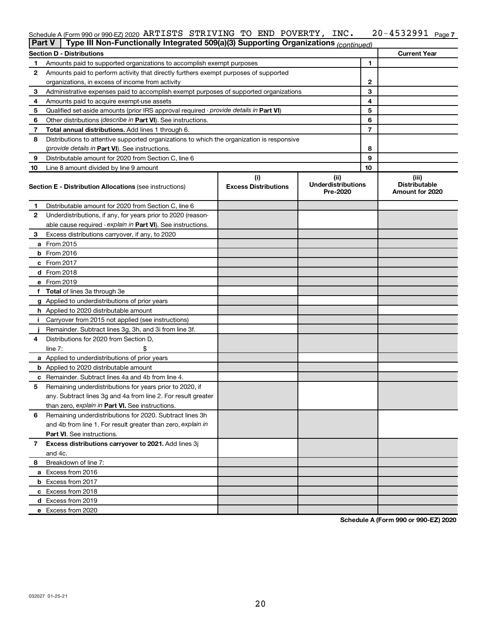## 20-4532991 Page 7 Schedule A (Form 990 or 990-EZ) 2020 Page ARTISTS STRIVING TO END POVERTY, INC. 20-4532991

| <b>Part V</b> | Type III Non-Functionally Integrated 509(a)(3) Supporting Organizations (continued)        |                             |                                       |                                         |
|---------------|--------------------------------------------------------------------------------------------|-----------------------------|---------------------------------------|-----------------------------------------|
|               | <b>Section D - Distributions</b>                                                           |                             |                                       | <b>Current Year</b>                     |
| 1             | Amounts paid to supported organizations to accomplish exempt purposes                      |                             | 1                                     |                                         |
| 2             | Amounts paid to perform activity that directly furthers exempt purposes of supported       |                             |                                       |                                         |
|               | organizations, in excess of income from activity                                           | 2                           |                                       |                                         |
| 3             | Administrative expenses paid to accomplish exempt purposes of supported organizations      |                             | 3                                     |                                         |
| 4             | Amounts paid to acquire exempt-use assets                                                  |                             | 4                                     |                                         |
| 5             | Qualified set-aside amounts (prior IRS approval required - provide details in Part VI)     |                             | 5                                     |                                         |
| 6             | Other distributions ( <i>describe in Part VI</i> ). See instructions.                      |                             | 6                                     |                                         |
| 7             | Total annual distributions. Add lines 1 through 6.                                         |                             | $\overline{7}$                        |                                         |
| 8             | Distributions to attentive supported organizations to which the organization is responsive |                             |                                       |                                         |
|               | (provide details in Part VI). See instructions.                                            |                             | 8                                     |                                         |
| 9             | Distributable amount for 2020 from Section C, line 6                                       |                             | 9                                     |                                         |
| 10            | Line 8 amount divided by line 9 amount                                                     |                             | 10                                    |                                         |
|               |                                                                                            | (i)                         | (ii)                                  | (iii)                                   |
|               | <b>Section E - Distribution Allocations (see instructions)</b>                             | <b>Excess Distributions</b> | <b>Underdistributions</b><br>Pre-2020 | <b>Distributable</b><br>Amount for 2020 |
| 1             | Distributable amount for 2020 from Section C, line 6                                       |                             |                                       |                                         |
| 2             | Underdistributions, if any, for years prior to 2020 (reason-                               |                             |                                       |                                         |
|               | able cause required - explain in Part VI). See instructions.                               |                             |                                       |                                         |
| 3             | Excess distributions carryover, if any, to 2020                                            |                             |                                       |                                         |
|               | a From 2015                                                                                |                             |                                       |                                         |
|               | <b>b</b> From 2016                                                                         |                             |                                       |                                         |
|               | c From 2017                                                                                |                             |                                       |                                         |
|               | d From 2018                                                                                |                             |                                       |                                         |
|               | e From 2019                                                                                |                             |                                       |                                         |
|               | f Total of lines 3a through 3e                                                             |                             |                                       |                                         |
|               | g Applied to underdistributions of prior years                                             |                             |                                       |                                         |
|               | <b>h</b> Applied to 2020 distributable amount                                              |                             |                                       |                                         |
| Ť.            | Carryover from 2015 not applied (see instructions)                                         |                             |                                       |                                         |
|               | Remainder. Subtract lines 3g, 3h, and 3i from line 3f.                                     |                             |                                       |                                         |
| 4             | Distributions for 2020 from Section D,                                                     |                             |                                       |                                         |
|               | $line 7$ :                                                                                 |                             |                                       |                                         |
|               | a Applied to underdistributions of prior years                                             |                             |                                       |                                         |
|               | <b>b</b> Applied to 2020 distributable amount                                              |                             |                                       |                                         |
| С             | Remainder. Subtract lines 4a and 4b from line 4.                                           |                             |                                       |                                         |
| 5             | Remaining underdistributions for years prior to 2020, if                                   |                             |                                       |                                         |
|               | any. Subtract lines 3g and 4a from line 2. For result greater                              |                             |                                       |                                         |
|               | than zero, explain in Part VI. See instructions.                                           |                             |                                       |                                         |
| 6             | Remaining underdistributions for 2020. Subtract lines 3h                                   |                             |                                       |                                         |
|               | and 4b from line 1. For result greater than zero, explain in                               |                             |                                       |                                         |
|               | <b>Part VI.</b> See instructions.                                                          |                             |                                       |                                         |
| 7             | Excess distributions carryover to 2021. Add lines 3j                                       |                             |                                       |                                         |
|               | and 4c.                                                                                    |                             |                                       |                                         |
| 8             | Breakdown of line 7:                                                                       |                             |                                       |                                         |
|               | a Excess from 2016                                                                         |                             |                                       |                                         |
|               | <b>b</b> Excess from 2017                                                                  |                             |                                       |                                         |
|               | c Excess from 2018                                                                         |                             |                                       |                                         |
|               | d Excess from 2019                                                                         |                             |                                       |                                         |
|               | e Excess from 2020                                                                         |                             |                                       |                                         |

**Schedule A (Form 990 or 990-EZ) 2020**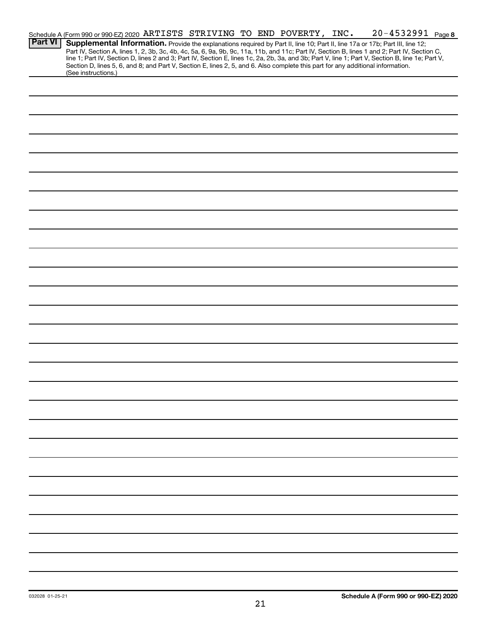|                | Schedule A (Form 990 or 990-EZ) 2020 ARTISTS STRIVING TO END POVERTY, INC.                                                      |  |  |  |  |  | 20-4532991 Page 8                                                                                                                                                                                                                                                                                |  |
|----------------|---------------------------------------------------------------------------------------------------------------------------------|--|--|--|--|--|--------------------------------------------------------------------------------------------------------------------------------------------------------------------------------------------------------------------------------------------------------------------------------------------------|--|
| <b>Part VI</b> |                                                                                                                                 |  |  |  |  |  | Supplemental Information. Provide the explanations required by Part II, line 10; Part II, line 17a or 17b; Part III, line 12;                                                                                                                                                                    |  |
|                |                                                                                                                                 |  |  |  |  |  | Part IV, Section A, lines 1, 2, 3b, 3c, 4b, 4c, 5a, 6, 9a, 9b, 9c, 11a, 11b, and 11c; Part IV, Section B, lines 1 and 2; Part IV, Section C,<br>line 1; Part IV, Section D, lines 2 and 3; Part IV, Section E, lines 1c, 2a, 2b, 3a, and 3b; Part V, line 1; Part V, Section B, line 1e; Part V, |  |
|                | Section D, lines 5, 6, and 8; and Part V, Section E, lines 2, 5, and 6. Also complete this part for any additional information. |  |  |  |  |  |                                                                                                                                                                                                                                                                                                  |  |
|                | (See instructions.)                                                                                                             |  |  |  |  |  |                                                                                                                                                                                                                                                                                                  |  |
|                |                                                                                                                                 |  |  |  |  |  |                                                                                                                                                                                                                                                                                                  |  |
|                |                                                                                                                                 |  |  |  |  |  |                                                                                                                                                                                                                                                                                                  |  |
|                |                                                                                                                                 |  |  |  |  |  |                                                                                                                                                                                                                                                                                                  |  |
|                |                                                                                                                                 |  |  |  |  |  |                                                                                                                                                                                                                                                                                                  |  |
|                |                                                                                                                                 |  |  |  |  |  |                                                                                                                                                                                                                                                                                                  |  |
|                |                                                                                                                                 |  |  |  |  |  |                                                                                                                                                                                                                                                                                                  |  |
|                |                                                                                                                                 |  |  |  |  |  |                                                                                                                                                                                                                                                                                                  |  |
|                |                                                                                                                                 |  |  |  |  |  |                                                                                                                                                                                                                                                                                                  |  |
|                |                                                                                                                                 |  |  |  |  |  |                                                                                                                                                                                                                                                                                                  |  |
|                |                                                                                                                                 |  |  |  |  |  |                                                                                                                                                                                                                                                                                                  |  |
|                |                                                                                                                                 |  |  |  |  |  |                                                                                                                                                                                                                                                                                                  |  |
|                |                                                                                                                                 |  |  |  |  |  |                                                                                                                                                                                                                                                                                                  |  |
|                |                                                                                                                                 |  |  |  |  |  |                                                                                                                                                                                                                                                                                                  |  |
|                |                                                                                                                                 |  |  |  |  |  |                                                                                                                                                                                                                                                                                                  |  |
|                |                                                                                                                                 |  |  |  |  |  |                                                                                                                                                                                                                                                                                                  |  |
|                |                                                                                                                                 |  |  |  |  |  |                                                                                                                                                                                                                                                                                                  |  |
|                |                                                                                                                                 |  |  |  |  |  |                                                                                                                                                                                                                                                                                                  |  |
|                |                                                                                                                                 |  |  |  |  |  |                                                                                                                                                                                                                                                                                                  |  |
|                |                                                                                                                                 |  |  |  |  |  |                                                                                                                                                                                                                                                                                                  |  |
|                |                                                                                                                                 |  |  |  |  |  |                                                                                                                                                                                                                                                                                                  |  |
|                |                                                                                                                                 |  |  |  |  |  |                                                                                                                                                                                                                                                                                                  |  |
|                |                                                                                                                                 |  |  |  |  |  |                                                                                                                                                                                                                                                                                                  |  |
|                |                                                                                                                                 |  |  |  |  |  |                                                                                                                                                                                                                                                                                                  |  |
|                |                                                                                                                                 |  |  |  |  |  |                                                                                                                                                                                                                                                                                                  |  |
|                |                                                                                                                                 |  |  |  |  |  |                                                                                                                                                                                                                                                                                                  |  |
|                |                                                                                                                                 |  |  |  |  |  |                                                                                                                                                                                                                                                                                                  |  |
|                |                                                                                                                                 |  |  |  |  |  |                                                                                                                                                                                                                                                                                                  |  |
|                |                                                                                                                                 |  |  |  |  |  |                                                                                                                                                                                                                                                                                                  |  |
|                |                                                                                                                                 |  |  |  |  |  |                                                                                                                                                                                                                                                                                                  |  |
|                |                                                                                                                                 |  |  |  |  |  |                                                                                                                                                                                                                                                                                                  |  |
|                |                                                                                                                                 |  |  |  |  |  |                                                                                                                                                                                                                                                                                                  |  |
|                |                                                                                                                                 |  |  |  |  |  |                                                                                                                                                                                                                                                                                                  |  |
|                |                                                                                                                                 |  |  |  |  |  |                                                                                                                                                                                                                                                                                                  |  |
|                |                                                                                                                                 |  |  |  |  |  |                                                                                                                                                                                                                                                                                                  |  |
|                |                                                                                                                                 |  |  |  |  |  |                                                                                                                                                                                                                                                                                                  |  |
|                |                                                                                                                                 |  |  |  |  |  |                                                                                                                                                                                                                                                                                                  |  |
|                |                                                                                                                                 |  |  |  |  |  |                                                                                                                                                                                                                                                                                                  |  |
|                |                                                                                                                                 |  |  |  |  |  |                                                                                                                                                                                                                                                                                                  |  |
|                |                                                                                                                                 |  |  |  |  |  |                                                                                                                                                                                                                                                                                                  |  |
|                |                                                                                                                                 |  |  |  |  |  |                                                                                                                                                                                                                                                                                                  |  |
|                |                                                                                                                                 |  |  |  |  |  |                                                                                                                                                                                                                                                                                                  |  |
|                |                                                                                                                                 |  |  |  |  |  |                                                                                                                                                                                                                                                                                                  |  |
|                |                                                                                                                                 |  |  |  |  |  |                                                                                                                                                                                                                                                                                                  |  |
|                |                                                                                                                                 |  |  |  |  |  |                                                                                                                                                                                                                                                                                                  |  |
|                |                                                                                                                                 |  |  |  |  |  |                                                                                                                                                                                                                                                                                                  |  |
|                |                                                                                                                                 |  |  |  |  |  |                                                                                                                                                                                                                                                                                                  |  |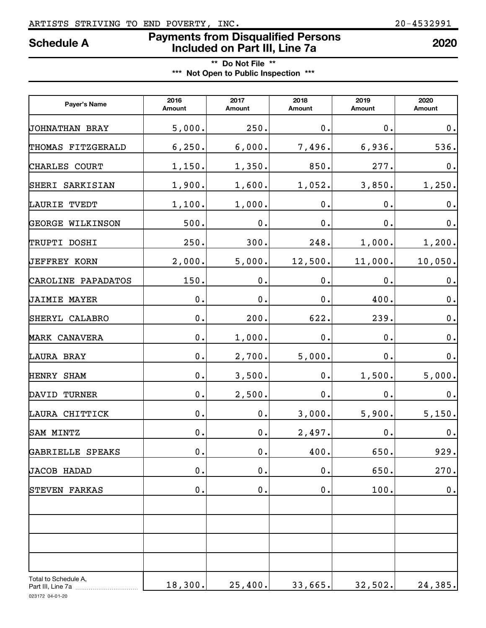## ARTISTS STRIVING TO END POVERTY, INC. 20-4532991

# **Payments from Disqualified Persons Included on Part III, Line 7a Schedule A <sup>2020</sup>**

**\*\* Do Not File \*\* \*\*\* Not Open to Public Inspection \*\*\***

| Payer's Name                              | 2016<br>Amount | 2017<br>Amount | 2018<br>Amount | 2019<br>Amount | 2020<br>Amount |
|-------------------------------------------|----------------|----------------|----------------|----------------|----------------|
| JOHNATHAN BRAY                            | 5,000.         | 250.           | 0.             | $\mathbf 0$ .  | $0$ .          |
| THOMAS FITZGERALD                         | 6, 250.        | 6,000.         | 7,496.         | 6,936.         | 536.           |
| CHARLES COURT                             | 1,150.         | 1,350.         | 850.           | 277.           | $\mathbf 0$ .  |
| SHERI SARKISIAN                           | 1,900.         | 1,600.         | 1,052.         | 3,850.         | 1,250.         |
| LAURIE TVEDT                              | 1,100.         | 1,000.         | 0.             | 0.             | $\mathbf 0$ .  |
| <b>GEORGE WILKINSON</b>                   | 500.           | $\mathbf 0$ .  | 0.             | 0.             | $\mathbf 0$ .  |
| TRUPTI DOSHI                              | 250.           | 300.           | 248.           | 1,000.         | 1,200.         |
| <b>JEFFREY KORN</b>                       | 2,000.         | 5,000.         | 12,500.        | 11,000.        | 10,050.        |
| CAROLINE PAPADATOS                        | 150.           | 0.             | 0.             | $\mathbf 0$ .  | $\mathbf 0$ .  |
| <b>JAIMIE MAYER</b>                       | $\mathbf 0$ .  | 0.             | $\mathbf 0$ .  | 400.           | 0.             |
| SHERYL CALABRO                            | 0.             | 200.           | 622.           | 239.           | 0.             |
| MARK CANAVERA                             | $\mathbf 0$ .  | 1,000.         | $\mathbf 0$ .  | 0.             | 0.             |
| LAURA BRAY                                | $\mathbf 0$ .  | 2,700.         | 5,000.         | 0.             | 0.             |
| HENRY SHAM                                | $\mathbf 0$ .  | 3,500.         | 0.             | 1,500.         | 5,000.         |
| DAVID TURNER                              | $\mathbf 0$ .  | 2,500.         | 0.             | 0.             | 0.             |
| LAURA CHITTICK                            | $\mathbf 0$ .  | 0.             | 3,000.         | 5,900.         | 5,150.         |
| SAM MINTZ                                 | $\mathbf 0$ .  | 0.             | 2,497.         | $\mathbf 0$ .  | 0.             |
| GABRIELLE SPEAKS                          | $0$ .          | $0$ .          | 400.           | 650.           | 929.           |
| JACOB HADAD                               | 0.             | $0$ .          | 0.             | 650.           | 270.           |
| STEVEN FARKAS                             | 0.             | 0.             | $0$ .          | 100.           | $0$ .          |
|                                           |                |                |                |                |                |
| Total to Schedule A,<br>Part III, Line 7a | 18,300.        | 25,400.        | 33,665.        | 32,502.        | 24,385.        |

023172 04-01-20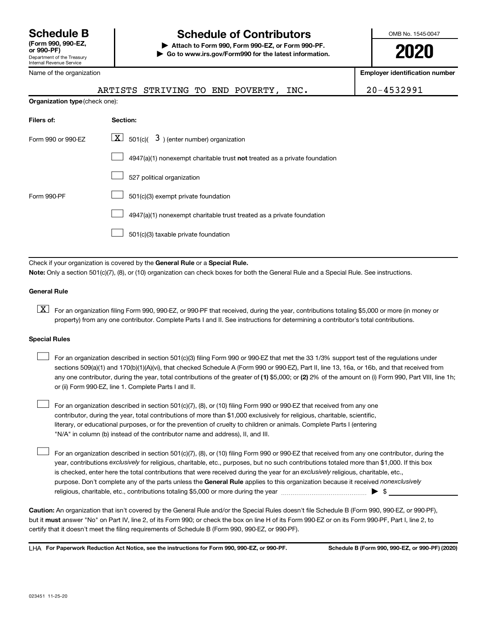## **Schedule B Schedule of Contributors**

**or 990-PF) | Attach to Form 990, Form 990-EZ, or Form 990-PF. | Go to www.irs.gov/Form990 for the latest information.** OMB No. 1545-0047

**2020**

**Employer identification number**

|                                |  | ARTISTS STRIVING TO END POVERTY, | INC. | 20-4532991 |
|--------------------------------|--|----------------------------------|------|------------|
| Organization type (check one): |  |                                  |      |            |

| Filers of:         | Section:                                                                           |
|--------------------|------------------------------------------------------------------------------------|
| Form 990 or 990-EZ | $ \mathbf{X} $ 501(c)( 3) (enter number) organization                              |
|                    | $4947(a)(1)$ nonexempt charitable trust <b>not</b> treated as a private foundation |
|                    | 527 political organization                                                         |
| Form 990-PF        | 501(c)(3) exempt private foundation                                                |
|                    | 4947(a)(1) nonexempt charitable trust treated as a private foundation              |
|                    | 501(c)(3) taxable private foundation                                               |
|                    |                                                                                    |

Check if your organization is covered by the General Rule or a Special Rule. **Note:**  Only a section 501(c)(7), (8), or (10) organization can check boxes for both the General Rule and a Special Rule. See instructions.

## **General Rule**

**K** For an organization filing Form 990, 990-EZ, or 990-PF that received, during the year, contributions totaling \$5,000 or more (in money or property) from any one contributor. Complete Parts I and II. See instructions for determining a contributor's total contributions.

## **Special Rules**

 $\Box$ 

any one contributor, during the year, total contributions of the greater of (1) \$5,000; or (2) 2% of the amount on (i) Form 990, Part VIII, line 1h; For an organization described in section 501(c)(3) filing Form 990 or 990-EZ that met the 33 1/3% support test of the regulations under sections 509(a)(1) and 170(b)(1)(A)(vi), that checked Schedule A (Form 990 or 990-EZ), Part II, line 13, 16a, or 16b, and that received from or (ii) Form 990-EZ, line 1. Complete Parts I and II.  $\Box$ 

For an organization described in section 501(c)(7), (8), or (10) filing Form 990 or 990-EZ that received from any one contributor, during the year, total contributions of more than \$1,000 exclusively for religious, charitable, scientific, literary, or educational purposes, or for the prevention of cruelty to children or animals. Complete Parts I (entering "N/A" in column (b) instead of the contributor name and address), II, and III.  $\Box$ 

purpose. Don't complete any of the parts unless the General Rule applies to this organization because it received nonexclusively year, contributions exclusively for religious, charitable, etc., purposes, but no such contributions totaled more than \$1,000. If this box is checked, enter here the total contributions that were received during the year for an exclusively religious, charitable, etc., For an organization described in section 501(c)(7), (8), or (10) filing Form 990 or 990-EZ that received from any one contributor, during the religious, charitable, etc., contributions totaling \$5,000 or more during the year  $\ldots$  $\ldots$  $\ldots$  $\ldots$  $\ldots$  $\ldots$ 

**Caution:**  An organization that isn't covered by the General Rule and/or the Special Rules doesn't file Schedule B (Form 990, 990-EZ, or 990-PF),  **must** but it answer "No" on Part IV, line 2, of its Form 990; or check the box on line H of its Form 990-EZ or on its Form 990-PF, Part I, line 2, to certify that it doesn't meet the filing requirements of Schedule B (Form 990, 990-EZ, or 990-PF).

**For Paperwork Reduction Act Notice, see the instructions for Form 990, 990-EZ, or 990-PF. Schedule B (Form 990, 990-EZ, or 990-PF) (2020)** LHA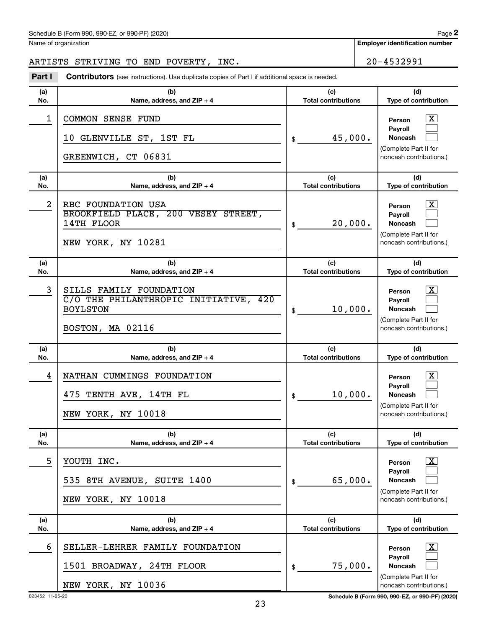## Schedule B (Form 990, 990-EZ, or 990-PF) (2020)

Name of organization

## ARTISTS STRIVING TO END POVERTY, INC. 20-4532991

**Part I** Contributors (see instructions). Use duplicate copies of Part I if additional space is needed.

| (a)        | (b)                                                                                                     | (c)                               | (d)                                                                                           |
|------------|---------------------------------------------------------------------------------------------------------|-----------------------------------|-----------------------------------------------------------------------------------------------|
| No.        | Name, address, and ZIP + 4                                                                              | <b>Total contributions</b>        | Type of contribution                                                                          |
| 1          | COMMON SENSE FUND<br>10 GLENVILLE ST, 1ST FL<br>GREENWICH, CT 06831                                     | 45,000.<br>\$                     | X.<br>Person<br>Payroll<br>Noncash<br>(Complete Part II for<br>noncash contributions.)        |
| (a)<br>No. | (b)<br>Name, address, and $ZIP + 4$                                                                     | (c)<br><b>Total contributions</b> | (d)<br>Type of contribution                                                                   |
| 2          | RBC FOUNDATION USA<br>BROOKFIELD PLACE, 200 VESEY STREET,<br>14TH FLOOR<br>NEW YORK, NY 10281           | 20,000.<br>\$                     | X.<br>Person<br>Payroll<br>Noncash<br>(Complete Part II for<br>noncash contributions.)        |
| (a)<br>No. | (b)<br>Name, address, and $ZIP + 4$                                                                     | (c)<br><b>Total contributions</b> | (d)<br>Type of contribution                                                                   |
| 3          | SILLS FAMILY FOUNDATION<br>C/O THE PHILANTHROPIC INITIATIVE, 420<br><b>BOYLSTON</b><br>BOSTON, MA 02116 | 10,000.<br>\$                     | X.<br>Person<br>Payroll<br><b>Noncash</b><br>(Complete Part II for<br>noncash contributions.) |
| (a)<br>No. | (b)<br>Name, address, and ZIP + 4                                                                       | (c)<br><b>Total contributions</b> | (d)<br>Type of contribution                                                                   |
| 4          | NATHAN CUMMINGS FOUNDATION<br>475 TENTH AVE, 14TH FL<br>NEW YORK, NY 10018                              | 10,000.<br>\$                     | X.<br>Person<br>Payroll<br><b>Noncash</b><br>(Complete Part II for<br>noncash contributions.) |
| (a)<br>No. | (b)<br>Name, address, and $ZIP + 4$                                                                     | (c)<br><b>Total contributions</b> | (d)<br>Type of contribution                                                                   |
| 5          | YOUTH INC.<br>535 8TH AVENUE, SUITE 1400                                                                | 65,000.<br>\$                     | <u>x</u><br>Person<br>Pavroll<br>Noncash<br>(Complete Part II for                             |
|            | NEW YORK, NY 10018                                                                                      |                                   | noncash contributions.)                                                                       |
| (a)<br>No. | (b)<br>Name, address, and $ZIP + 4$                                                                     | (c)<br><b>Total contributions</b> | (d)<br>Type of contribution                                                                   |

023452 11-25-20 **Schedule B (Form 990, 990-EZ, or 990-PF) (2020)**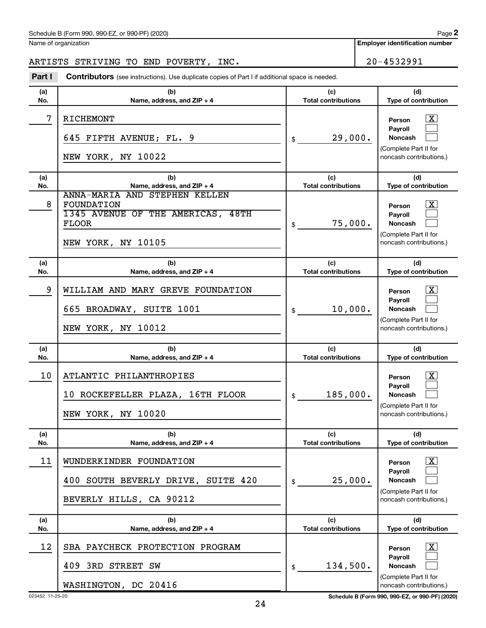## Schedule B (Form 990, 990-EZ, or 990-PF) (2020)

Name of organization

**Employer identification number**

## ARTISTS STRIVING TO END POVERTY, INC. 20-4532991

**Part I** Contributors (see instructions). Use duplicate copies of Part I if additional space is needed.

| (a) | (b)                                                                                                                           | (c)                        | (d)                                                                                                                   |
|-----|-------------------------------------------------------------------------------------------------------------------------------|----------------------------|-----------------------------------------------------------------------------------------------------------------------|
| No. | Name, address, and ZIP + 4                                                                                                    | <b>Total contributions</b> | Type of contribution                                                                                                  |
| 7   | RICHEMONT<br>645 FIFTH AVENUE; FL. 9<br>NEW YORK, NY 10022                                                                    | 29,000.<br>\$              | $\mathbf{X}$<br>Person<br><b>Payroll</b><br><b>Noncash</b><br>(Complete Part II for<br>noncash contributions.)        |
| (a) | (b)                                                                                                                           | (c)                        | (d)                                                                                                                   |
| No. | Name, address, and ZIP + 4                                                                                                    | <b>Total contributions</b> | Type of contribution                                                                                                  |
| 8   | ANNA-MARIA AND STEPHEN KELLEN<br><b>FOUNDATION</b><br>1345 AVENUE OF THE AMERICAS, 48TH<br><b>FLOOR</b><br>NEW YORK, NY 10105 | 75,000.<br>\$              | $\mathbf{X}$<br>Person<br><b>Payroll</b><br><b>Noncash</b><br>(Complete Part II for<br>noncash contributions.)        |
| (a) | (b)                                                                                                                           | (c)                        | (d)                                                                                                                   |
| No. | Name, address, and ZIP + 4                                                                                                    | <b>Total contributions</b> | Type of contribution                                                                                                  |
| 9   | WILLIAM AND MARY GREVE FOUNDATION<br>665 BROADWAY, SUITE 1001<br>NEW YORK, NY 10012                                           | 10,000.<br>\$              | $\mathbf{X}$<br>Person<br><b>Payroll</b><br><b>Noncash</b><br>(Complete Part II for<br>noncash contributions.)        |
| (a) | (b)                                                                                                                           | (c)                        | (d)                                                                                                                   |
| No. | Name, address, and ZIP + 4                                                                                                    | <b>Total contributions</b> | Type of contribution                                                                                                  |
| 10  | ATLANTIC PHILANTHROPIES<br>10 ROCKEFELLER PLAZA, 16TH FLOOR<br>NEW YORK, NY 10020                                             | 185,000.<br>\$             | $\mathbf{X}$<br>Person<br><b>Payroll</b><br><b>Noncash</b><br>(Complete Part II for<br>noncash contributions.)        |
| (a) | (b)                                                                                                                           | (c)                        | (d)                                                                                                                   |
| No. | Name, address, and ZIP + 4                                                                                                    | <b>Total contributions</b> | <b>Type of contribution</b>                                                                                           |
| 11  | WUNDERKINDER FOUNDATION<br>400 SOUTH BEVERLY DRIVE, SUITE 420<br>BEVERLY HILLS, CA 90212                                      | 25,000.<br>\$              | $\boxed{\textbf{X}}$<br>Person<br><b>Pavroll</b><br>Noncash<br>(Complete Part II for<br>noncash contributions.)       |
| (a) | (b)                                                                                                                           | (c)                        | (d)                                                                                                                   |
| No. | Name, address, and ZIP + 4                                                                                                    | <b>Total contributions</b> | <b>Type of contribution</b>                                                                                           |
| 12  | SBA PAYCHECK PROTECTION PROGRAM<br>409 3RD STREET SW<br>WASHINGTON, DC 20416                                                  | 134,500.<br>\$             | $\lfloor x \rfloor$<br>Person<br><b>Payroll</b><br><b>Noncash</b><br>(Complete Part II for<br>noncash contributions.) |

023452 11-25-20 **Schedule B (Form 990, 990-EZ, or 990-PF) (2020)**

24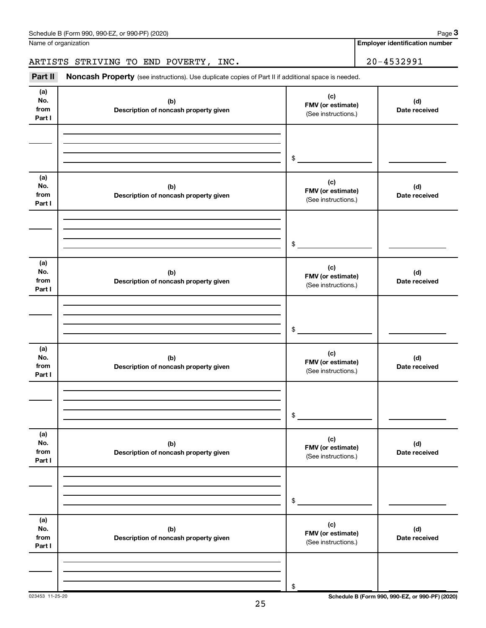| Schedule B (Form 990, 990-EZ, or 990-PF) (2020) | Page |
|-------------------------------------------------|------|
|-------------------------------------------------|------|

Name of organization

**Employer identification number**

ARTISTS STRIVING TO END POVERTY, INC. 20-4532991

| Part II                      | Noncash Property (see instructions). Use duplicate copies of Part II if additional space is needed. |                                                 |                      |  |  |  |  |  |
|------------------------------|-----------------------------------------------------------------------------------------------------|-------------------------------------------------|----------------------|--|--|--|--|--|
| (a)<br>No.<br>from<br>Part I | (b)<br>Description of noncash property given                                                        | (c)<br>FMV (or estimate)<br>(See instructions.) | (d)<br>Date received |  |  |  |  |  |
|                              |                                                                                                     | \$                                              |                      |  |  |  |  |  |
| (a)<br>No.<br>from<br>Part I | (b)<br>Description of noncash property given                                                        | (c)<br>FMV (or estimate)<br>(See instructions.) | (d)<br>Date received |  |  |  |  |  |
|                              |                                                                                                     | $\$$                                            |                      |  |  |  |  |  |
| (a)<br>No.<br>from<br>Part I | (b)<br>Description of noncash property given                                                        | (c)<br>FMV (or estimate)<br>(See instructions.) | (d)<br>Date received |  |  |  |  |  |
|                              |                                                                                                     | $\$$                                            |                      |  |  |  |  |  |
| (a)<br>No.<br>from<br>Part I | (b)<br>Description of noncash property given                                                        | (c)<br>FMV (or estimate)<br>(See instructions.) | (d)<br>Date received |  |  |  |  |  |
|                              |                                                                                                     | \$                                              |                      |  |  |  |  |  |
| (a)<br>No.<br>from<br>Part I | (b)<br>Description of noncash property given                                                        | (c)<br>FMV (or estimate)<br>(See instructions.) | (d)<br>Date received |  |  |  |  |  |
|                              |                                                                                                     | \$                                              |                      |  |  |  |  |  |
| (a)<br>No.<br>from<br>Part I | (b)<br>Description of noncash property given                                                        | (c)<br>FMV (or estimate)<br>(See instructions.) | (d)<br>Date received |  |  |  |  |  |
|                              |                                                                                                     | \$                                              |                      |  |  |  |  |  |

023453 11-25-20 **Schedule B (Form 990, 990-EZ, or 990-PF) (2020)**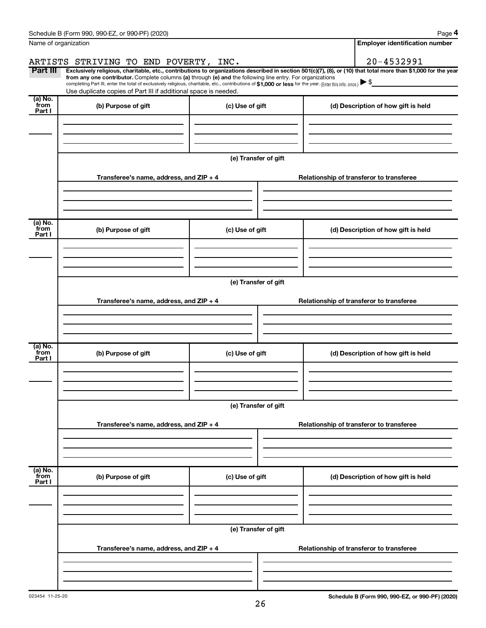|                           | Schedule B (Form 990, 990-EZ, or 990-PF) (2020)                                                                                                                                                                                                                        |                      | Page 4                                                                                                                                                         |  |  |  |
|---------------------------|------------------------------------------------------------------------------------------------------------------------------------------------------------------------------------------------------------------------------------------------------------------------|----------------------|----------------------------------------------------------------------------------------------------------------------------------------------------------------|--|--|--|
|                           | Name of organization                                                                                                                                                                                                                                                   |                      | <b>Employer identification number</b>                                                                                                                          |  |  |  |
|                           | ARTISTS STRIVING TO END POVERTY, INC.                                                                                                                                                                                                                                  |                      | 20-4532991                                                                                                                                                     |  |  |  |
| Part III                  |                                                                                                                                                                                                                                                                        |                      | Exclusively religious, charitable, etc., contributions to organizations described in section 501(c)(7), (8), or (10) that total more than \$1,000 for the year |  |  |  |
|                           | from any one contributor. Complete columns (a) through (e) and the following line entry. For organizations<br>completing Part III, enter the total of exclusively religious, charitable, etc., contributions of \$1,000 or less for the year. (Enter this info. once.) |                      |                                                                                                                                                                |  |  |  |
| (a) No.                   | Use duplicate copies of Part III if additional space is needed.                                                                                                                                                                                                        |                      |                                                                                                                                                                |  |  |  |
| from<br>Part I            | (b) Purpose of gift                                                                                                                                                                                                                                                    | (c) Use of gift      | (d) Description of how gift is held                                                                                                                            |  |  |  |
|                           |                                                                                                                                                                                                                                                                        |                      |                                                                                                                                                                |  |  |  |
|                           |                                                                                                                                                                                                                                                                        |                      |                                                                                                                                                                |  |  |  |
|                           |                                                                                                                                                                                                                                                                        |                      |                                                                                                                                                                |  |  |  |
|                           |                                                                                                                                                                                                                                                                        | (e) Transfer of gift |                                                                                                                                                                |  |  |  |
|                           | Transferee's name, address, and ZIP + 4                                                                                                                                                                                                                                |                      | Relationship of transferor to transferee                                                                                                                       |  |  |  |
|                           |                                                                                                                                                                                                                                                                        |                      |                                                                                                                                                                |  |  |  |
|                           |                                                                                                                                                                                                                                                                        |                      |                                                                                                                                                                |  |  |  |
| (a) No.<br>from<br>Part I | (b) Purpose of gift                                                                                                                                                                                                                                                    | (c) Use of gift      | (d) Description of how gift is held                                                                                                                            |  |  |  |
|                           |                                                                                                                                                                                                                                                                        |                      |                                                                                                                                                                |  |  |  |
|                           |                                                                                                                                                                                                                                                                        |                      |                                                                                                                                                                |  |  |  |
|                           |                                                                                                                                                                                                                                                                        |                      |                                                                                                                                                                |  |  |  |
|                           | (e) Transfer of gift                                                                                                                                                                                                                                                   |                      |                                                                                                                                                                |  |  |  |
|                           | Transferee's name, address, and $ZIP + 4$                                                                                                                                                                                                                              |                      | Relationship of transferor to transferee                                                                                                                       |  |  |  |
|                           |                                                                                                                                                                                                                                                                        |                      |                                                                                                                                                                |  |  |  |
|                           |                                                                                                                                                                                                                                                                        |                      |                                                                                                                                                                |  |  |  |
| (a) No.                   |                                                                                                                                                                                                                                                                        |                      |                                                                                                                                                                |  |  |  |
| from<br>Part I            | (b) Purpose of gift                                                                                                                                                                                                                                                    | (c) Use of gift      | (d) Description of how gift is held                                                                                                                            |  |  |  |
|                           |                                                                                                                                                                                                                                                                        |                      |                                                                                                                                                                |  |  |  |
|                           |                                                                                                                                                                                                                                                                        |                      |                                                                                                                                                                |  |  |  |
|                           |                                                                                                                                                                                                                                                                        |                      |                                                                                                                                                                |  |  |  |
|                           |                                                                                                                                                                                                                                                                        | (e) Transfer of gift |                                                                                                                                                                |  |  |  |
|                           | Transferee's name, address, and ZIP + 4                                                                                                                                                                                                                                |                      | Relationship of transferor to transferee                                                                                                                       |  |  |  |
|                           |                                                                                                                                                                                                                                                                        |                      |                                                                                                                                                                |  |  |  |
|                           |                                                                                                                                                                                                                                                                        |                      |                                                                                                                                                                |  |  |  |
|                           |                                                                                                                                                                                                                                                                        |                      |                                                                                                                                                                |  |  |  |
| (a) No.<br>from<br>Part I | (b) Purpose of gift                                                                                                                                                                                                                                                    | (c) Use of gift      | (d) Description of how gift is held                                                                                                                            |  |  |  |
|                           |                                                                                                                                                                                                                                                                        |                      |                                                                                                                                                                |  |  |  |
|                           |                                                                                                                                                                                                                                                                        |                      |                                                                                                                                                                |  |  |  |
|                           |                                                                                                                                                                                                                                                                        |                      |                                                                                                                                                                |  |  |  |
|                           |                                                                                                                                                                                                                                                                        | (e) Transfer of gift |                                                                                                                                                                |  |  |  |
|                           | Transferee's name, address, and ZIP + 4                                                                                                                                                                                                                                |                      | Relationship of transferor to transferee                                                                                                                       |  |  |  |
|                           |                                                                                                                                                                                                                                                                        |                      |                                                                                                                                                                |  |  |  |
|                           |                                                                                                                                                                                                                                                                        |                      |                                                                                                                                                                |  |  |  |
|                           |                                                                                                                                                                                                                                                                        |                      |                                                                                                                                                                |  |  |  |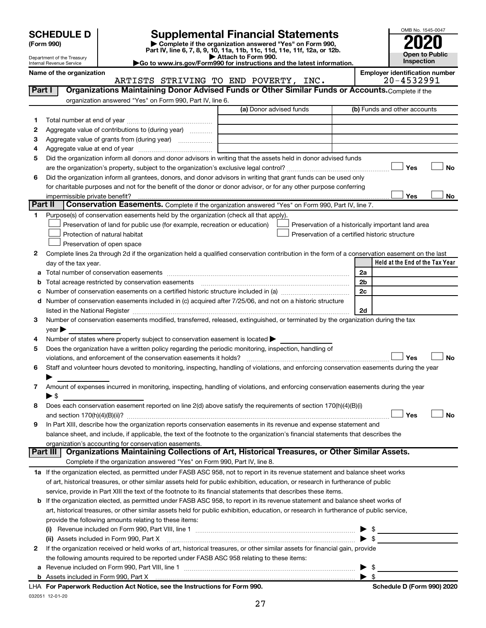| (Form 990) |  |
|------------|--|
|------------|--|

# **SCHEDULE D Supplemental Financial Statements**<br> **Form 990 2020**<br> **Part IV** line 6.7.8.9.10, 11a, 11b, 11d, 11d, 11d, 11d, 11d, 12a, 0r, 12b

**(Form 990) | Complete if the organization answered "Yes" on Form 990, Part IV, line 6, 7, 8, 9, 10, 11a, 11b, 11c, 11d, 11e, 11f, 12a, or 12b.**

**| Attach to Form 990. |Go to www.irs.gov/Form990 for instructions and the latest information.**

ARTISTS STRIVING TO END POVERTY, INC.



Department of the Treasury Internal Revenue Service

Name of the organization<br>**ARTISTS STRIVING TO END POVERTY, INC.** 20-4532991

| Part I       | Organizations Maintaining Donor Advised Funds or Other Similar Funds or Accounts. Complete if the                                                                                                                             |                         |                                                    |
|--------------|-------------------------------------------------------------------------------------------------------------------------------------------------------------------------------------------------------------------------------|-------------------------|----------------------------------------------------|
|              | organization answered "Yes" on Form 990, Part IV, line 6.                                                                                                                                                                     |                         |                                                    |
|              |                                                                                                                                                                                                                               | (a) Donor advised funds | (b) Funds and other accounts                       |
| 1            |                                                                                                                                                                                                                               |                         |                                                    |
| 2            | Aggregate value of contributions to (during year)                                                                                                                                                                             |                         |                                                    |
| з            | Aggregate value of grants from (during year)                                                                                                                                                                                  |                         |                                                    |
| 4            |                                                                                                                                                                                                                               |                         |                                                    |
| 5            | Did the organization inform all donors and donor advisors in writing that the assets held in donor advised funds                                                                                                              |                         |                                                    |
|              |                                                                                                                                                                                                                               |                         | Yes<br>No                                          |
| 6            | Did the organization inform all grantees, donors, and donor advisors in writing that grant funds can be used only                                                                                                             |                         |                                                    |
|              | for charitable purposes and not for the benefit of the donor or donor advisor, or for any other purpose conferring                                                                                                            |                         |                                                    |
|              |                                                                                                                                                                                                                               |                         | Yes<br>No                                          |
| Part II      | Conservation Easements. Complete if the organization answered "Yes" on Form 990, Part IV, line 7.                                                                                                                             |                         |                                                    |
| 1            | Purpose(s) of conservation easements held by the organization (check all that apply).                                                                                                                                         |                         |                                                    |
|              | Preservation of land for public use (for example, recreation or education)                                                                                                                                                    |                         | Preservation of a historically important land area |
|              | Protection of natural habitat                                                                                                                                                                                                 |                         | Preservation of a certified historic structure     |
|              | Preservation of open space                                                                                                                                                                                                    |                         |                                                    |
| 2            | Complete lines 2a through 2d if the organization held a qualified conservation contribution in the form of a conservation easement on the last                                                                                |                         |                                                    |
|              | day of the tax year.                                                                                                                                                                                                          |                         | Held at the End of the Tax Year                    |
| а            |                                                                                                                                                                                                                               |                         | 2a                                                 |
| b            |                                                                                                                                                                                                                               |                         | 2 <sub>b</sub>                                     |
|              |                                                                                                                                                                                                                               |                         | 2c                                                 |
|              | d Number of conservation easements included in (c) acquired after 7/25/06, and not on a historic structure                                                                                                                    |                         |                                                    |
|              | listed in the National Register [111] Marshall Register [11] Marshall Register [11] Marshall Register [11] Marshall Register [11] Marshall Register [11] Marshall Register [11] Marshall Register [11] Marshall Register [11] |                         | 2d                                                 |
| 3            | Number of conservation easements modified, transferred, released, extinguished, or terminated by the organization during the tax                                                                                              |                         |                                                    |
|              | $year \triangleright$                                                                                                                                                                                                         |                         |                                                    |
| 4            | Number of states where property subject to conservation easement is located >                                                                                                                                                 |                         |                                                    |
| 5            | Does the organization have a written policy regarding the periodic monitoring, inspection, handling of                                                                                                                        |                         |                                                    |
|              | violations, and enforcement of the conservation easements it holds?                                                                                                                                                           |                         | Yes<br><b>No</b>                                   |
| 6            | Staff and volunteer hours devoted to monitoring, inspecting, handling of violations, and enforcing conservation easements during the year                                                                                     |                         |                                                    |
|              |                                                                                                                                                                                                                               |                         |                                                    |
| 7            | Amount of expenses incurred in monitoring, inspecting, handling of violations, and enforcing conservation easements during the year                                                                                           |                         |                                                    |
|              | ► \$                                                                                                                                                                                                                          |                         |                                                    |
| 8            | Does each conservation easement reported on line 2(d) above satisfy the requirements of section 170(h)(4)(B)(i)                                                                                                               |                         | Yes<br><b>No</b>                                   |
| 9            | In Part XIII, describe how the organization reports conservation easements in its revenue and expense statement and                                                                                                           |                         |                                                    |
|              | balance sheet, and include, if applicable, the text of the footnote to the organization's financial statements that describes the                                                                                             |                         |                                                    |
|              | organization's accounting for conservation easements.                                                                                                                                                                         |                         |                                                    |
|              | Organizations Maintaining Collections of Art, Historical Treasures, or Other Similar Assets.<br>Part III                                                                                                                      |                         |                                                    |
|              | Complete if the organization answered "Yes" on Form 990, Part IV, line 8.                                                                                                                                                     |                         |                                                    |
|              | 1a If the organization elected, as permitted under FASB ASC 958, not to report in its revenue statement and balance sheet works                                                                                               |                         |                                                    |
|              | of art, historical treasures, or other similar assets held for public exhibition, education, or research in furtherance of public                                                                                             |                         |                                                    |
|              | service, provide in Part XIII the text of the footnote to its financial statements that describes these items.                                                                                                                |                         |                                                    |
|              | b If the organization elected, as permitted under FASB ASC 958, to report in its revenue statement and balance sheet works of                                                                                                 |                         |                                                    |
|              | art, historical treasures, or other similar assets held for public exhibition, education, or research in furtherance of public service,                                                                                       |                         |                                                    |
|              | provide the following amounts relating to these items:                                                                                                                                                                        |                         |                                                    |
|              |                                                                                                                                                                                                                               |                         | - \$                                               |
|              | (i)<br>(ii) Assets included in Form 990, Part X                                                                                                                                                                               |                         | ▶<br>$\blacktriangleright$ \$                      |
| $\mathbf{2}$ | If the organization received or held works of art, historical treasures, or other similar assets for financial gain, provide                                                                                                  |                         |                                                    |
|              | the following amounts required to be reported under FASB ASC 958 relating to these items:                                                                                                                                     |                         |                                                    |
|              |                                                                                                                                                                                                                               |                         | $\blacktriangleright$ \$                           |
|              |                                                                                                                                                                                                                               |                         |                                                    |
|              | convert Deduction Act Notice, ace the Instructions for Form 000                                                                                                                                                               |                         | Cahadula D (Faum 000) 0000                         |

032051 12-01-20 **For Paperwork Reduction Act Notice, see the Instructions for Form 990. Schedule D (Form 990) 2020** LHA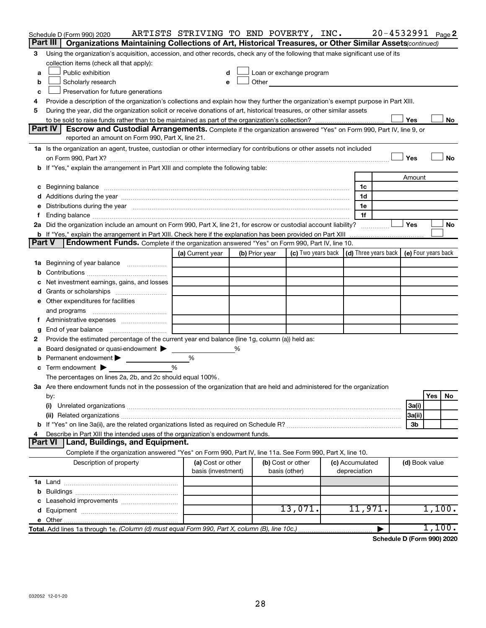|        | Schedule D (Form 990) 2020<br>Part III  <br>Organizations Maintaining Collections of Art, Historical Treasures, or Other Similar Assets (continued)                                                                            | ARTISTS STRIVING TO END POVERTY, INC. |   |                |                                                                                                                                                                                                                               |  |                 |  |                  | $20 - 4532991$ Page 2 |
|--------|--------------------------------------------------------------------------------------------------------------------------------------------------------------------------------------------------------------------------------|---------------------------------------|---|----------------|-------------------------------------------------------------------------------------------------------------------------------------------------------------------------------------------------------------------------------|--|-----------------|--|------------------|-----------------------|
| 3      | Using the organization's acquisition, accession, and other records, check any of the following that make significant use of its                                                                                                |                                       |   |                |                                                                                                                                                                                                                               |  |                 |  |                  |                       |
|        | collection items (check all that apply):                                                                                                                                                                                       |                                       |   |                |                                                                                                                                                                                                                               |  |                 |  |                  |                       |
| a      | Public exhibition                                                                                                                                                                                                              |                                       |   |                | Loan or exchange program                                                                                                                                                                                                      |  |                 |  |                  |                       |
| b      | Scholarly research                                                                                                                                                                                                             |                                       |   |                | Other and the contract of the contract of the contract of the contract of the contract of the contract of the contract of the contract of the contract of the contract of the contract of the contract of the contract of the |  |                 |  |                  |                       |
| c      | Preservation for future generations                                                                                                                                                                                            |                                       |   |                |                                                                                                                                                                                                                               |  |                 |  |                  |                       |
| 4      | Provide a description of the organization's collections and explain how they further the organization's exempt purpose in Part XIII.                                                                                           |                                       |   |                |                                                                                                                                                                                                                               |  |                 |  |                  |                       |
| 5      | During the year, did the organization solicit or receive donations of art, historical treasures, or other similar assets                                                                                                       |                                       |   |                |                                                                                                                                                                                                                               |  |                 |  |                  |                       |
|        |                                                                                                                                                                                                                                |                                       |   |                |                                                                                                                                                                                                                               |  |                 |  | Yes              | No                    |
|        | Part IV<br><b>Escrow and Custodial Arrangements.</b> Complete if the organization answered "Yes" on Form 990, Part IV, line 9, or                                                                                              |                                       |   |                |                                                                                                                                                                                                                               |  |                 |  |                  |                       |
|        | reported an amount on Form 990, Part X, line 21.                                                                                                                                                                               |                                       |   |                |                                                                                                                                                                                                                               |  |                 |  |                  |                       |
|        | 1a Is the organization an agent, trustee, custodian or other intermediary for contributions or other assets not included                                                                                                       |                                       |   |                |                                                                                                                                                                                                                               |  |                 |  |                  |                       |
|        |                                                                                                                                                                                                                                |                                       |   |                |                                                                                                                                                                                                                               |  |                 |  | Yes              | No                    |
|        | b If "Yes," explain the arrangement in Part XIII and complete the following table:                                                                                                                                             |                                       |   |                |                                                                                                                                                                                                                               |  |                 |  |                  |                       |
|        |                                                                                                                                                                                                                                |                                       |   |                |                                                                                                                                                                                                                               |  |                 |  | Amount           |                       |
|        |                                                                                                                                                                                                                                |                                       |   |                |                                                                                                                                                                                                                               |  | 1c              |  |                  |                       |
|        |                                                                                                                                                                                                                                |                                       |   |                |                                                                                                                                                                                                                               |  | 1d              |  |                  |                       |
|        | e Distributions during the year manufactured and continuum control of the control of the control of the control of the control of the control of the control of the control of the control of the control of the control of th |                                       |   |                |                                                                                                                                                                                                                               |  | 1е              |  |                  |                       |
| Ť.     |                                                                                                                                                                                                                                |                                       |   |                |                                                                                                                                                                                                                               |  | 1f              |  |                  |                       |
|        | 2a Did the organization include an amount on Form 990, Part X, line 21, for escrow or custodial account liability?                                                                                                             |                                       |   |                |                                                                                                                                                                                                                               |  |                 |  | Yes              | No                    |
|        |                                                                                                                                                                                                                                |                                       |   |                |                                                                                                                                                                                                                               |  |                 |  |                  |                       |
| Part V | <b>Endowment Funds.</b> Complete if the organization answered "Yes" on Form 990, Part IV, line 10.                                                                                                                             |                                       |   |                |                                                                                                                                                                                                                               |  |                 |  |                  |                       |
|        |                                                                                                                                                                                                                                | (a) Current year                      |   | (b) Prior year | (c) Two years back $\vert$ (d) Three years back $\vert$ (e) Four years back                                                                                                                                                   |  |                 |  |                  |                       |
|        | 1a Beginning of year balance                                                                                                                                                                                                   |                                       |   |                |                                                                                                                                                                                                                               |  |                 |  |                  |                       |
| b      |                                                                                                                                                                                                                                |                                       |   |                |                                                                                                                                                                                                                               |  |                 |  |                  |                       |
|        | Net investment earnings, gains, and losses                                                                                                                                                                                     |                                       |   |                |                                                                                                                                                                                                                               |  |                 |  |                  |                       |
| d      | Grants or scholarships                                                                                                                                                                                                         |                                       |   |                |                                                                                                                                                                                                                               |  |                 |  |                  |                       |
|        | e Other expenditures for facilities                                                                                                                                                                                            |                                       |   |                |                                                                                                                                                                                                                               |  |                 |  |                  |                       |
|        | and programs                                                                                                                                                                                                                   |                                       |   |                |                                                                                                                                                                                                                               |  |                 |  |                  |                       |
|        |                                                                                                                                                                                                                                |                                       |   |                |                                                                                                                                                                                                                               |  |                 |  |                  |                       |
| g      |                                                                                                                                                                                                                                |                                       |   |                |                                                                                                                                                                                                                               |  |                 |  |                  |                       |
| 2      | Provide the estimated percentage of the current year end balance (line 1g, column (a)) held as:                                                                                                                                |                                       |   |                |                                                                                                                                                                                                                               |  |                 |  |                  |                       |
| а      | Board designated or quasi-endowment >                                                                                                                                                                                          |                                       | % |                |                                                                                                                                                                                                                               |  |                 |  |                  |                       |
| b      | Permanent endowment                                                                                                                                                                                                            | %                                     |   |                |                                                                                                                                                                                                                               |  |                 |  |                  |                       |
|        | $\mathbf c$ Term endowment $\blacktriangleright$                                                                                                                                                                               | %                                     |   |                |                                                                                                                                                                                                                               |  |                 |  |                  |                       |
|        | The percentages on lines 2a, 2b, and 2c should equal 100%.                                                                                                                                                                     |                                       |   |                |                                                                                                                                                                                                                               |  |                 |  |                  |                       |
|        | 3a Are there endowment funds not in the possession of the organization that are held and administered for the organization                                                                                                     |                                       |   |                |                                                                                                                                                                                                                               |  |                 |  |                  | Yes                   |
|        | by:<br>(i)                                                                                                                                                                                                                     |                                       |   |                |                                                                                                                                                                                                                               |  |                 |  |                  | No                    |
|        |                                                                                                                                                                                                                                |                                       |   |                |                                                                                                                                                                                                                               |  |                 |  | 3a(i)<br> 3a(ii) |                       |
|        | (ii) Related organizations [11] Related organizations [11] Maximum material contract to the contract of the contract of the contract of the contract of the contract of the contract of the contract of the contract of the co |                                       |   |                |                                                                                                                                                                                                                               |  |                 |  | 3b               |                       |
| 4      | Describe in Part XIII the intended uses of the organization's endowment funds.                                                                                                                                                 |                                       |   |                |                                                                                                                                                                                                                               |  |                 |  |                  |                       |
|        | <b>Land, Buildings, and Equipment.</b><br><b>Part VI</b>                                                                                                                                                                       |                                       |   |                |                                                                                                                                                                                                                               |  |                 |  |                  |                       |
|        | Complete if the organization answered "Yes" on Form 990, Part IV, line 11a. See Form 990, Part X, line 10.                                                                                                                     |                                       |   |                |                                                                                                                                                                                                                               |  |                 |  |                  |                       |
|        | Description of property                                                                                                                                                                                                        | (a) Cost or other                     |   |                | (b) Cost or other                                                                                                                                                                                                             |  | (c) Accumulated |  | (d) Book value   |                       |
|        |                                                                                                                                                                                                                                | basis (investment)                    |   | basis (other)  |                                                                                                                                                                                                                               |  | depreciation    |  |                  |                       |
|        |                                                                                                                                                                                                                                |                                       |   |                |                                                                                                                                                                                                                               |  |                 |  |                  |                       |
|        |                                                                                                                                                                                                                                |                                       |   |                |                                                                                                                                                                                                                               |  |                 |  |                  |                       |
|        |                                                                                                                                                                                                                                |                                       |   |                |                                                                                                                                                                                                                               |  |                 |  |                  |                       |
|        |                                                                                                                                                                                                                                |                                       |   |                | 13,071.                                                                                                                                                                                                                       |  | 11,971.         |  |                  | 1,100.                |
|        |                                                                                                                                                                                                                                |                                       |   |                |                                                                                                                                                                                                                               |  |                 |  |                  |                       |
|        | Total. Add lines 1a through 1e. (Column (d) must equal Form 990, Part X, column (B), line 10c.)                                                                                                                                |                                       |   |                |                                                                                                                                                                                                                               |  |                 |  |                  | 1,100.                |

**Schedule D (Form 990) 2020**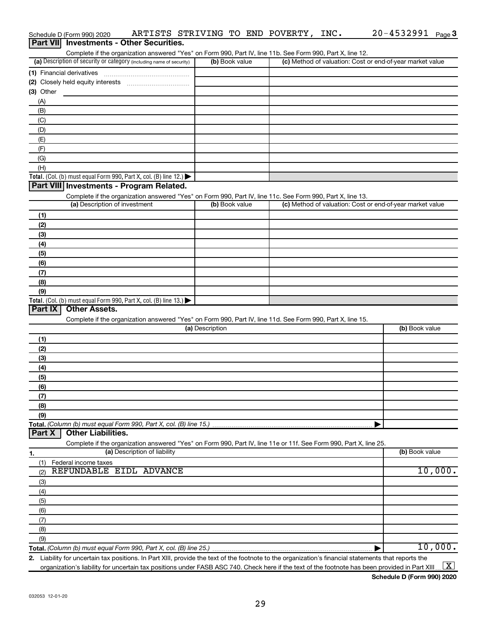| Part VII Investments - Other Securities.                                                                                                                                           |                 |                                                           |                |
|------------------------------------------------------------------------------------------------------------------------------------------------------------------------------------|-----------------|-----------------------------------------------------------|----------------|
| Complete if the organization answered "Yes" on Form 990, Part IV, line 11b. See Form 990, Part X, line 12.<br>(a) Description of security or category (including name of security) | (b) Book value  | (c) Method of valuation: Cost or end-of-year market value |                |
| (1) Financial derivatives                                                                                                                                                          |                 |                                                           |                |
|                                                                                                                                                                                    |                 |                                                           |                |
| $(3)$ Other                                                                                                                                                                        |                 |                                                           |                |
| (A)                                                                                                                                                                                |                 |                                                           |                |
| (B)                                                                                                                                                                                |                 |                                                           |                |
| (C)                                                                                                                                                                                |                 |                                                           |                |
| (D)                                                                                                                                                                                |                 |                                                           |                |
| (E)                                                                                                                                                                                |                 |                                                           |                |
| (F)                                                                                                                                                                                |                 |                                                           |                |
| (G)                                                                                                                                                                                |                 |                                                           |                |
| (H)                                                                                                                                                                                |                 |                                                           |                |
| Total. (Col. (b) must equal Form 990, Part X, col. (B) line 12.)                                                                                                                   |                 |                                                           |                |
| Part VIII Investments - Program Related.                                                                                                                                           |                 |                                                           |                |
| Complete if the organization answered "Yes" on Form 990, Part IV, line 11c. See Form 990, Part X, line 13.                                                                         |                 |                                                           |                |
| (a) Description of investment                                                                                                                                                      | (b) Book value  | (c) Method of valuation: Cost or end-of-year market value |                |
| (1)                                                                                                                                                                                |                 |                                                           |                |
| (2)                                                                                                                                                                                |                 |                                                           |                |
| (3)                                                                                                                                                                                |                 |                                                           |                |
| (4)                                                                                                                                                                                |                 |                                                           |                |
| (5)                                                                                                                                                                                |                 |                                                           |                |
| (6)                                                                                                                                                                                |                 |                                                           |                |
| (7)                                                                                                                                                                                |                 |                                                           |                |
| (8)                                                                                                                                                                                |                 |                                                           |                |
| (9)                                                                                                                                                                                |                 |                                                           |                |
| Total. (Col. (b) must equal Form 990, Part X, col. (B) line 13.)<br><b>Other Assets.</b>                                                                                           |                 |                                                           |                |
| Part IX                                                                                                                                                                            |                 |                                                           |                |
| Complete if the organization answered "Yes" on Form 990, Part IV, line 11d. See Form 990, Part X, line 15.                                                                         | (a) Description |                                                           | (b) Book value |
|                                                                                                                                                                                    |                 |                                                           |                |
| (1)                                                                                                                                                                                |                 |                                                           |                |
| (2)                                                                                                                                                                                |                 |                                                           |                |
| (3)                                                                                                                                                                                |                 |                                                           |                |
| (4)<br>(5)                                                                                                                                                                         |                 |                                                           |                |
| (6)                                                                                                                                                                                |                 |                                                           |                |
| (7)                                                                                                                                                                                |                 |                                                           |                |
| (8)                                                                                                                                                                                |                 |                                                           |                |
| (9)                                                                                                                                                                                |                 |                                                           |                |
| Total. (Column (b) must equal Form 990, Part X, col. (B) line 15.)                                                                                                                 |                 |                                                           |                |
| <b>Other Liabilities.</b><br>Part X                                                                                                                                                |                 |                                                           |                |
| Complete if the organization answered "Yes" on Form 990, Part IV, line 11e or 11f. See Form 990, Part X, line 25.                                                                  |                 |                                                           |                |
| (a) Description of liability<br>1.                                                                                                                                                 |                 |                                                           | (b) Book value |
| Federal income taxes<br>(1)                                                                                                                                                        |                 |                                                           |                |
| REFUNDABLE EIDL ADVANCE<br>(2)                                                                                                                                                     |                 |                                                           | 10,000.        |
| (3)                                                                                                                                                                                |                 |                                                           |                |
| (4)                                                                                                                                                                                |                 |                                                           |                |
| (5)                                                                                                                                                                                |                 |                                                           |                |
| (6)                                                                                                                                                                                |                 |                                                           |                |
| (7)                                                                                                                                                                                |                 |                                                           |                |
| (8)                                                                                                                                                                                |                 |                                                           |                |
| (9)                                                                                                                                                                                |                 |                                                           |                |
|                                                                                                                                                                                    |                 |                                                           | 10,000.        |
| 2. Liability for uncertain tax positions. In Part XIII, provide the text of the footnote to the organization's financial statements that reports the                               |                 |                                                           |                |

Schedule D (Form 990) 2020  $\;$  <code>ARTISTS STRIVING TO END POVERTY</code> , <code>INC.</code>  $\;$  <code>20–4532991</code> <code>Page</code>

organization's liability for uncertain tax positions under FASB ASC 740. Check here if the text of the footnote has been provided in Part XIII…  $\boxed{\mathrm{X}}$ 

**Schedule D (Form 990) 2020**

20-4532991 Page 3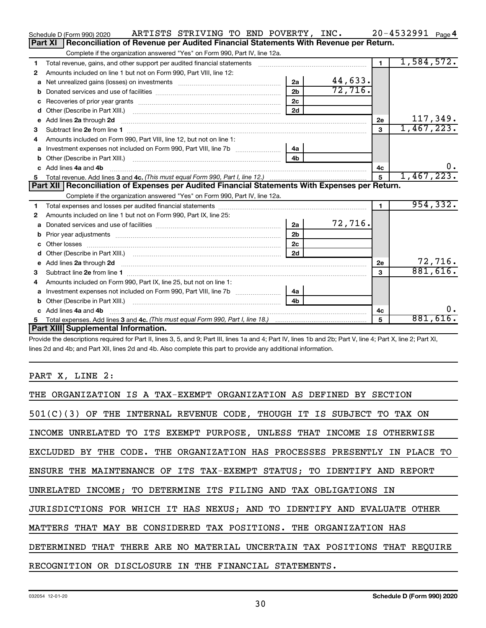|   | ARTISTS STRIVING TO END POVERTY, INC.<br>Schedule D (Form 990) 2020                                                                                                                                                                                                          |                |         |              | $20 - 4532991$ Page 4 |
|---|------------------------------------------------------------------------------------------------------------------------------------------------------------------------------------------------------------------------------------------------------------------------------|----------------|---------|--------------|-----------------------|
|   | Reconciliation of Revenue per Audited Financial Statements With Revenue per Return.<br>Part XI                                                                                                                                                                               |                |         |              |                       |
|   | Complete if the organization answered "Yes" on Form 990, Part IV, line 12a.                                                                                                                                                                                                  |                |         |              |                       |
| 1 | Total revenue, gains, and other support per audited financial statements                                                                                                                                                                                                     |                |         | $\mathbf{1}$ | 1,584,572.            |
| 2 | Amounts included on line 1 but not on Form 990, Part VIII, line 12:                                                                                                                                                                                                          |                |         |              |                       |
| a | Net unrealized gains (losses) on investments [111] Met unrealized main states and investments [11] Metamas and the university of the unrealized main states and the unrealized main states and the unrealized main states and                                                | 2a             | 44,633. |              |                       |
| b |                                                                                                                                                                                                                                                                              | 2 <sub>b</sub> | 72,716. |              |                       |
| c |                                                                                                                                                                                                                                                                              | 2 <sub>c</sub> |         |              |                       |
| d |                                                                                                                                                                                                                                                                              | 2d             |         |              |                       |
| е | Add lines 2a through 2d <b>continuum continuum contracts</b> and an analysis of the contract of the contract of the contract of the contract of the contract of the contract of the contract of the contract of the contract of the                                          |                |         | 2e           | 117,349.              |
| 3 |                                                                                                                                                                                                                                                                              |                |         | 3            | 1,467,223.            |
| 4 | Amounts included on Form 990, Part VIII, line 12, but not on line 1:                                                                                                                                                                                                         |                |         |              |                       |
|   |                                                                                                                                                                                                                                                                              | 4a             |         |              |                       |
|   |                                                                                                                                                                                                                                                                              | 4 <sub>b</sub> |         |              |                       |
|   | c Add lines 4a and 4b                                                                                                                                                                                                                                                        |                |         | 4с           | 0.                    |
|   |                                                                                                                                                                                                                                                                              |                |         | 5            | 1,467,223.            |
|   |                                                                                                                                                                                                                                                                              |                |         |              |                       |
|   | Part XII   Reconciliation of Expenses per Audited Financial Statements With Expenses per Return.                                                                                                                                                                             |                |         |              |                       |
|   | Complete if the organization answered "Yes" on Form 990, Part IV, line 12a.                                                                                                                                                                                                  |                |         |              |                       |
| 1 |                                                                                                                                                                                                                                                                              |                |         | $\mathbf{1}$ | 954, 332.             |
| 2 | Amounts included on line 1 but not on Form 990, Part IX, line 25:                                                                                                                                                                                                            |                |         |              |                       |
| a |                                                                                                                                                                                                                                                                              | 2a             | 72,716. |              |                       |
| b |                                                                                                                                                                                                                                                                              | 2 <sub>b</sub> |         |              |                       |
| c |                                                                                                                                                                                                                                                                              | 2 <sub>c</sub> |         |              |                       |
| d |                                                                                                                                                                                                                                                                              | 2d             |         |              |                       |
|   | e Add lines 2a through 2d <b>[10]</b> [20] <b>All and Provide 20</b> [20] <b>All and Provide 20</b> [30] <b>All and Provide 20</b> [30] <b>All and Provide 20</b> [30] <b>All and Provide 20</b> [30] <b>All and Provide 20</b> [30] <b>All and Provide 20</b> [30] <b>A</b> |                |         | 2e           | 72,716.               |
| 3 |                                                                                                                                                                                                                                                                              |                |         | 3            | 881,616.              |
| 4 | Amounts included on Form 990, Part IX, line 25, but not on line 1:                                                                                                                                                                                                           |                |         |              |                       |
| a |                                                                                                                                                                                                                                                                              | 4a             |         |              |                       |
|   |                                                                                                                                                                                                                                                                              | 4b             |         |              |                       |
|   | c Add lines 4a and 4b                                                                                                                                                                                                                                                        |                |         | 4с           | 0.                    |
|   | Part XIII Supplemental Information.                                                                                                                                                                                                                                          |                |         | 5            | 881,616.              |

Provide the descriptions required for Part II, lines 3, 5, and 9; Part III, lines 1a and 4; Part IV, lines 1b and 2b; Part V, line 4; Part X, line 2; Part XI, lines 2d and 4b; and Part XII, lines 2d and 4b. Also complete this part to provide any additional information.

## PART X, LINE 2:

| THE ORGANIZATION IS A TAX-EXEMPT ORGANIZATION AS DEFINED BY SECTION        |
|----------------------------------------------------------------------------|
| $501(C)(3)$ OF THE INTERNAL REVENUE CODE, THOUGH IT IS SUBJECT TO TAX ON   |
| INCOME UNRELATED TO ITS EXEMPT PURPOSE, UNLESS THAT INCOME IS OTHERWISE    |
| EXCLUDED BY THE CODE. THE ORGANIZATION HAS PROCESSES PRESENTLY IN PLACE TO |
| ENSURE THE MAINTENANCE OF ITS TAX-EXEMPT STATUS; TO IDENTIFY AND REPORT    |
| UNRELATED INCOME; TO DETERMINE ITS FILING AND TAX OBLIGATIONS IN           |
| JURISDICTIONS FOR WHICH IT HAS NEXUS; AND TO IDENTIFY AND EVALUATE OTHER   |
| MATTERS THAT MAY BE CONSIDERED TAX POSITIONS. THE ORGANIZATION HAS         |
| DETERMINED THAT THERE ARE NO MATERIAL UNCERTAIN TAX POSITIONS THAT REOUIRE |
| RECOGNITION OR DISCLOSURE IN THE FINANCIAL STATEMENTS.                     |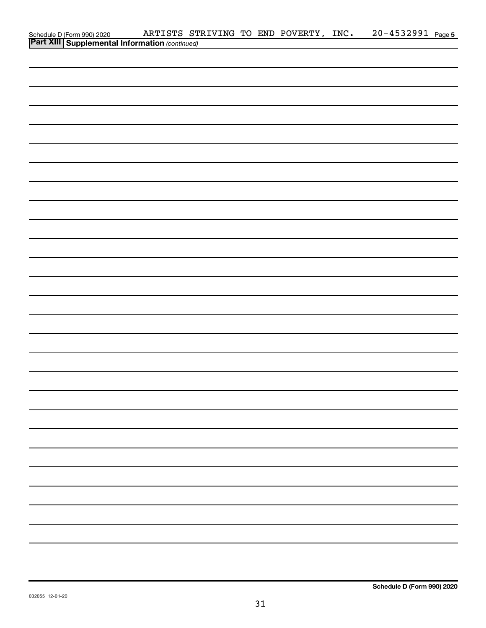|                                                                                                |  |  | ARTISTS STRIVING TO END POVERTY, INC. | 20-4532991 Page 5 |  |
|------------------------------------------------------------------------------------------------|--|--|---------------------------------------|-------------------|--|
| Schedule D (Form 990) 2020 ARTISTS ST<br><b>Part XIII Supplemental Information</b> (continued) |  |  |                                       |                   |  |
|                                                                                                |  |  |                                       |                   |  |
|                                                                                                |  |  |                                       |                   |  |
|                                                                                                |  |  |                                       |                   |  |
|                                                                                                |  |  |                                       |                   |  |
|                                                                                                |  |  |                                       |                   |  |
|                                                                                                |  |  |                                       |                   |  |
|                                                                                                |  |  |                                       |                   |  |
|                                                                                                |  |  |                                       |                   |  |
|                                                                                                |  |  |                                       |                   |  |
|                                                                                                |  |  |                                       |                   |  |
|                                                                                                |  |  |                                       |                   |  |
|                                                                                                |  |  |                                       |                   |  |
|                                                                                                |  |  |                                       |                   |  |
|                                                                                                |  |  |                                       |                   |  |
|                                                                                                |  |  |                                       |                   |  |
|                                                                                                |  |  |                                       |                   |  |
|                                                                                                |  |  |                                       |                   |  |
|                                                                                                |  |  |                                       |                   |  |
|                                                                                                |  |  |                                       |                   |  |
|                                                                                                |  |  |                                       |                   |  |
|                                                                                                |  |  |                                       |                   |  |
|                                                                                                |  |  |                                       |                   |  |
|                                                                                                |  |  |                                       |                   |  |
|                                                                                                |  |  |                                       |                   |  |
|                                                                                                |  |  |                                       |                   |  |
|                                                                                                |  |  |                                       |                   |  |
|                                                                                                |  |  |                                       |                   |  |
|                                                                                                |  |  |                                       |                   |  |
|                                                                                                |  |  |                                       |                   |  |
|                                                                                                |  |  |                                       |                   |  |
|                                                                                                |  |  |                                       |                   |  |
|                                                                                                |  |  |                                       |                   |  |
|                                                                                                |  |  |                                       |                   |  |
|                                                                                                |  |  |                                       |                   |  |
|                                                                                                |  |  |                                       |                   |  |
|                                                                                                |  |  |                                       |                   |  |
|                                                                                                |  |  |                                       |                   |  |
|                                                                                                |  |  |                                       |                   |  |
|                                                                                                |  |  |                                       |                   |  |
|                                                                                                |  |  |                                       |                   |  |
|                                                                                                |  |  |                                       |                   |  |
|                                                                                                |  |  |                                       |                   |  |
|                                                                                                |  |  |                                       |                   |  |
|                                                                                                |  |  |                                       |                   |  |
|                                                                                                |  |  |                                       |                   |  |
|                                                                                                |  |  |                                       |                   |  |
|                                                                                                |  |  |                                       |                   |  |
|                                                                                                |  |  |                                       |                   |  |
|                                                                                                |  |  |                                       |                   |  |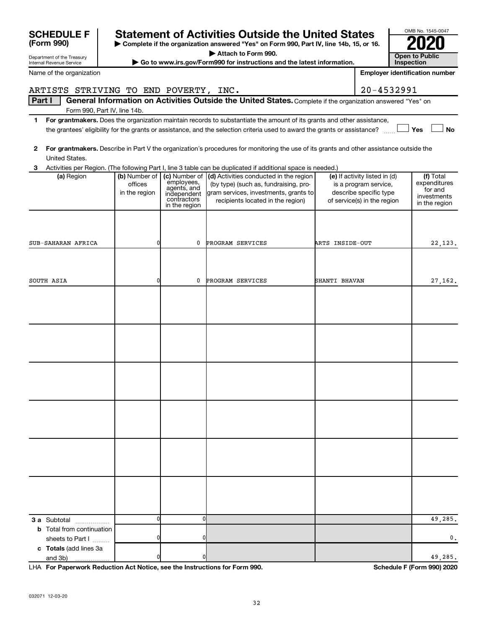| <b>SCHEDULE F</b>                                    |               |                                     | <b>Statement of Activities Outside the United States</b>                                                                                |                 |                                                 | OMB No. 1545-0047                     |
|------------------------------------------------------|---------------|-------------------------------------|-----------------------------------------------------------------------------------------------------------------------------------------|-----------------|-------------------------------------------------|---------------------------------------|
| (Form 990)                                           |               |                                     | Complete if the organization answered "Yes" on Form 990, Part IV, line 14b, 15, or 16.                                                  |                 |                                                 |                                       |
| Department of the Treasury                           |               |                                     | Attach to Form 990.                                                                                                                     |                 |                                                 | <b>Open to Public</b>                 |
| Internal Revenue Service                             |               |                                     | Go to www.irs.gov/Form990 for instructions and the latest information.                                                                  |                 |                                                 | Inspection                            |
| Name of the organization                             |               |                                     |                                                                                                                                         |                 |                                                 | <b>Employer identification number</b> |
| ARTISTS STRIVING TO END POVERTY, INC.                |               |                                     |                                                                                                                                         |                 | 20-4532991                                      |                                       |
| Part I                                               |               |                                     | General Information on Activities Outside the United States. Complete if the organization answered "Yes" on                             |                 |                                                 |                                       |
| Form 990, Part IV, line 14b.                         |               |                                     |                                                                                                                                         |                 |                                                 |                                       |
| 1                                                    |               |                                     | For grantmakers. Does the organization maintain records to substantiate the amount of its grants and other assistance,                  |                 |                                                 |                                       |
|                                                      |               |                                     | the grantees' eligibility for the grants or assistance, and the selection criteria used to award the grants or assistance?              |                 |                                                 | Yes<br>No                             |
| $\mathbf{2}$                                         |               |                                     | For grantmakers. Describe in Part V the organization's procedures for monitoring the use of its grants and other assistance outside the |                 |                                                 |                                       |
| United States.                                       |               |                                     |                                                                                                                                         |                 |                                                 |                                       |
| 3                                                    |               |                                     | Activities per Region. (The following Part I, line 3 table can be duplicated if additional space is needed.)                            |                 |                                                 |                                       |
| (a) Region                                           |               | (b) Number of $\vert$ (c) Number of | (d) Activities conducted in the region                                                                                                  |                 | (e) If activity listed in (d)                   | (f) Total                             |
|                                                      | offices       | employees,<br>agents, and           | (by type) (such as, fundraising, pro-<br>gram services, investments, grants to                                                          |                 | is a program service,<br>describe specific type | expenditures<br>for and               |
|                                                      | in the region | independent<br>contractors          | recipients located in the region)                                                                                                       |                 | of service(s) in the region                     | investments                           |
|                                                      |               | in the region                       |                                                                                                                                         |                 |                                                 | in the region                         |
|                                                      |               |                                     |                                                                                                                                         |                 |                                                 |                                       |
|                                                      |               |                                     |                                                                                                                                         |                 |                                                 |                                       |
| SUB-SAHARAN AFRICA                                   | 0             | 0                                   | PROGRAM SERVICES                                                                                                                        | ARTS INSIDE-OUT |                                                 | 22, 123.                              |
|                                                      |               |                                     |                                                                                                                                         |                 |                                                 |                                       |
|                                                      |               |                                     |                                                                                                                                         |                 |                                                 |                                       |
|                                                      |               |                                     |                                                                                                                                         |                 |                                                 |                                       |
| SOUTH ASIA                                           | 0             | 0                                   | PROGRAM SERVICES                                                                                                                        | SHANTI BHAVAN   |                                                 | 27,162.                               |
|                                                      |               |                                     |                                                                                                                                         |                 |                                                 |                                       |
|                                                      |               |                                     |                                                                                                                                         |                 |                                                 |                                       |
|                                                      |               |                                     |                                                                                                                                         |                 |                                                 |                                       |
|                                                      |               |                                     |                                                                                                                                         |                 |                                                 |                                       |
|                                                      |               |                                     |                                                                                                                                         |                 |                                                 |                                       |
|                                                      |               |                                     |                                                                                                                                         |                 |                                                 |                                       |
|                                                      |               |                                     |                                                                                                                                         |                 |                                                 |                                       |
|                                                      |               |                                     |                                                                                                                                         |                 |                                                 |                                       |
|                                                      |               |                                     |                                                                                                                                         |                 |                                                 |                                       |
|                                                      |               |                                     |                                                                                                                                         |                 |                                                 |                                       |
|                                                      |               |                                     |                                                                                                                                         |                 |                                                 |                                       |
|                                                      |               |                                     |                                                                                                                                         |                 |                                                 |                                       |
|                                                      |               |                                     |                                                                                                                                         |                 |                                                 |                                       |
|                                                      |               |                                     |                                                                                                                                         |                 |                                                 |                                       |
|                                                      |               |                                     |                                                                                                                                         |                 |                                                 |                                       |
|                                                      |               |                                     |                                                                                                                                         |                 |                                                 |                                       |
|                                                      |               |                                     |                                                                                                                                         |                 |                                                 |                                       |
|                                                      |               |                                     |                                                                                                                                         |                 |                                                 |                                       |
|                                                      |               |                                     |                                                                                                                                         |                 |                                                 |                                       |
|                                                      |               |                                     |                                                                                                                                         |                 |                                                 |                                       |
|                                                      |               |                                     |                                                                                                                                         |                 |                                                 |                                       |
| <b>3 a</b> Subtotal<br>.                             | 0             | 0                                   |                                                                                                                                         |                 |                                                 | 49,285.                               |
| <b>b</b> Total from continuation<br>sheets to Part I | 0             |                                     |                                                                                                                                         |                 |                                                 | 0.                                    |
| c Totals (add lines 3a                               |               |                                     |                                                                                                                                         |                 |                                                 |                                       |
| and 3b)                                              |               |                                     |                                                                                                                                         |                 |                                                 | 49,285.                               |

**For Paperwork Reduction Act Notice, see the Instructions for Form 990. Schedule F (Form 990) 2020** LHA

OMB No. 1545-0047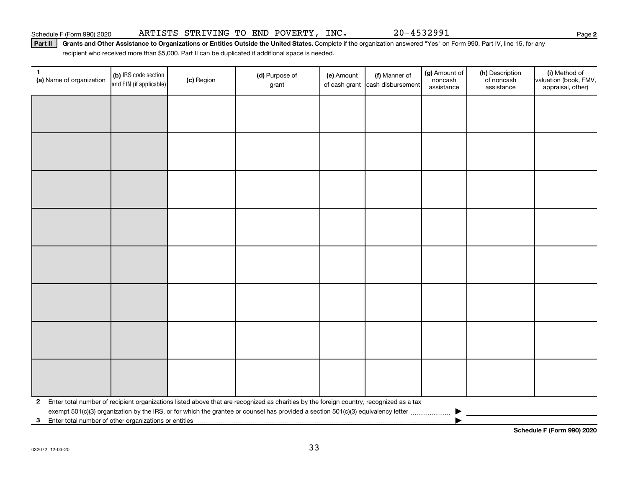Part II | Grants and Other Assistance to Organizations or Entities Outside the United States. Complete if the organization answered "Yes" on Form 990, Part IV, line 15, for any recipient who received more than \$5,000. Part II can be duplicated if additional space is needed.

| 1<br>(a) Name of organization                              | (b) IRS code section<br>and EIN (if applicable) | (c) Region | (d) Purpose of<br>grant                                                                                                                 | (e) Amount | (f) Manner of<br>of cash grant cash disbursement | (g) Amount of<br>noncash<br>assistance | (h) Description<br>of noncash<br>assistance | (i) Method of<br>valuation (book, FMV,<br>appraisal, other) |
|------------------------------------------------------------|-------------------------------------------------|------------|-----------------------------------------------------------------------------------------------------------------------------------------|------------|--------------------------------------------------|----------------------------------------|---------------------------------------------|-------------------------------------------------------------|
|                                                            |                                                 |            |                                                                                                                                         |            |                                                  |                                        |                                             |                                                             |
|                                                            |                                                 |            |                                                                                                                                         |            |                                                  |                                        |                                             |                                                             |
|                                                            |                                                 |            |                                                                                                                                         |            |                                                  |                                        |                                             |                                                             |
|                                                            |                                                 |            |                                                                                                                                         |            |                                                  |                                        |                                             |                                                             |
|                                                            |                                                 |            |                                                                                                                                         |            |                                                  |                                        |                                             |                                                             |
|                                                            |                                                 |            |                                                                                                                                         |            |                                                  |                                        |                                             |                                                             |
|                                                            |                                                 |            |                                                                                                                                         |            |                                                  |                                        |                                             |                                                             |
|                                                            |                                                 |            |                                                                                                                                         |            |                                                  |                                        |                                             |                                                             |
|                                                            |                                                 |            |                                                                                                                                         |            |                                                  |                                        |                                             |                                                             |
|                                                            |                                                 |            |                                                                                                                                         |            |                                                  |                                        |                                             |                                                             |
|                                                            |                                                 |            |                                                                                                                                         |            |                                                  |                                        |                                             |                                                             |
|                                                            |                                                 |            |                                                                                                                                         |            |                                                  |                                        |                                             |                                                             |
|                                                            |                                                 |            |                                                                                                                                         |            |                                                  |                                        |                                             |                                                             |
|                                                            |                                                 |            |                                                                                                                                         |            |                                                  |                                        |                                             |                                                             |
|                                                            |                                                 |            |                                                                                                                                         |            |                                                  |                                        |                                             |                                                             |
|                                                            |                                                 |            |                                                                                                                                         |            |                                                  |                                        |                                             |                                                             |
| $\mathbf{2}$                                               |                                                 |            | Enter total number of recipient organizations listed above that are recognized as charities by the foreign country, recognized as a tax |            |                                                  |                                        |                                             |                                                             |
| Enter total number of other organizations or entities<br>3 |                                                 |            |                                                                                                                                         |            |                                                  |                                        |                                             |                                                             |

**Schedule F (Form 990) 2020**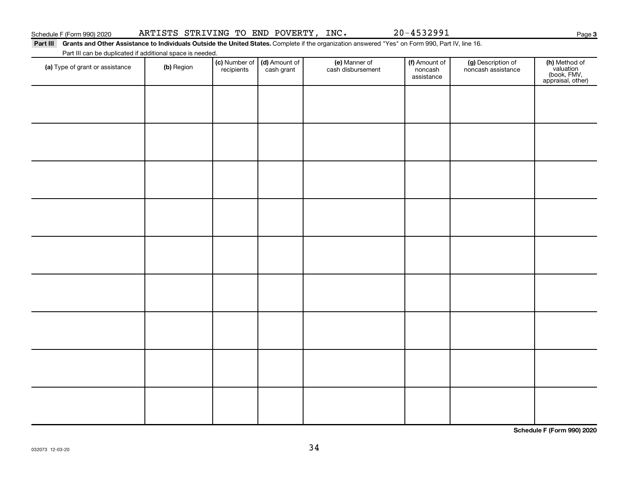| Schedule F (Form 990) 2020 |  |  |  |  |  |  |  |  |  |  |
|----------------------------|--|--|--|--|--|--|--|--|--|--|

(f) Amount of noncash assistance

(g) Description of noncash assistance

(e) Manner of cash disbursement

Part III Grants and Other Assistance to Individuals Outside the United States. Complete if the organization answered "Yes" on Form 990, Part IV, line 16. Part III can be duplicated if additional space is needed.

> (c) Number of **recipients**

(a) Type of grant or assistance (b) Region (b) Region (c) Number of (d) Amount of (e) Manner of (f) Amount of (f)<br>Region (cash grant cash dishursement popcash noncash assistance v

(d) Amount of cash grant

Schedule F (Form 990) 2020 ARTISTS STRIVING TO END POVERTY, INC.  $20-4532991$ 

**(h)** Method of<br>valuation<br>(book, FMV,<br>appraisal, other)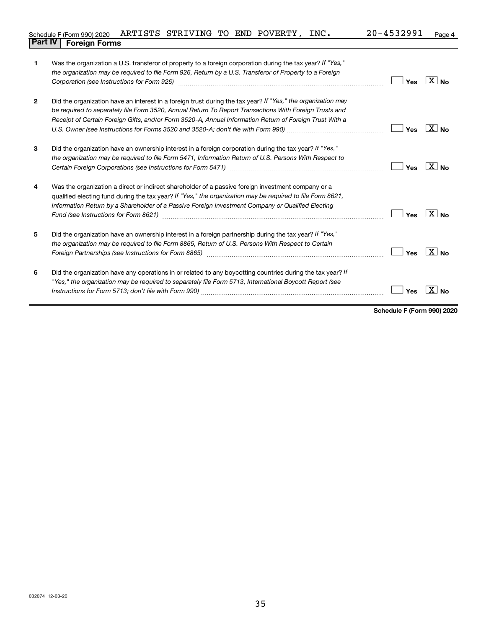| Schedule F (Form 990) 2020 ARTISTS STRIVING TO END POVERTY, |  |  | INC. | 20-4532991 | Page 4 |
|-------------------------------------------------------------|--|--|------|------------|--------|
| <b>Part IV   Foreign Forms</b>                              |  |  |      |            |        |

| 1            | Was the organization a U.S. transferor of property to a foreign corporation during the tax year? If "Yes,"<br>the organization may be required to file Form 926, Return by a U.S. Transferor of Property to a Foreign                                                                                                             | Yes | $\overline{X}$ No |
|--------------|-----------------------------------------------------------------------------------------------------------------------------------------------------------------------------------------------------------------------------------------------------------------------------------------------------------------------------------|-----|-------------------|
| $\mathbf{2}$ | Did the organization have an interest in a foreign trust during the tax year? If "Yes," the organization may<br>be required to separately file Form 3520, Annual Return To Report Transactions With Foreign Trusts and<br>Receipt of Certain Foreign Gifts, and/or Form 3520-A, Annual Information Return of Foreign Trust With a | Yes | $X _{N_{\Omega}}$ |
| 3            | Did the organization have an ownership interest in a foreign corporation during the tax year? If "Yes,"<br>the organization may be required to file Form 5471, Information Return of U.S. Persons With Respect to                                                                                                                 | Yes | $\overline{X}$ No |
| 4            | Was the organization a direct or indirect shareholder of a passive foreign investment company or a<br>qualified electing fund during the tax year? If "Yes," the organization may be required to file Form 8621,<br>Information Return by a Shareholder of a Passive Foreign Investment Company or Qualified Electing             | Yes | $\overline{X}$ No |
| 5            | Did the organization have an ownership interest in a foreign partnership during the tax year? If "Yes,"<br>the organization may be required to file Form 8865, Return of U.S. Persons With Respect to Certain<br>Foreign Partnerships (see Instructions for Form 8865)                                                            | Yes | $X _{\text{No}}$  |
| 6            | Did the organization have any operations in or related to any boycotting countries during the tax year? If<br>"Yes," the organization may be required to separately file Form 5713, International Boycott Report (see                                                                                                             | Yes |                   |

**Schedule F (Form 990) 2020**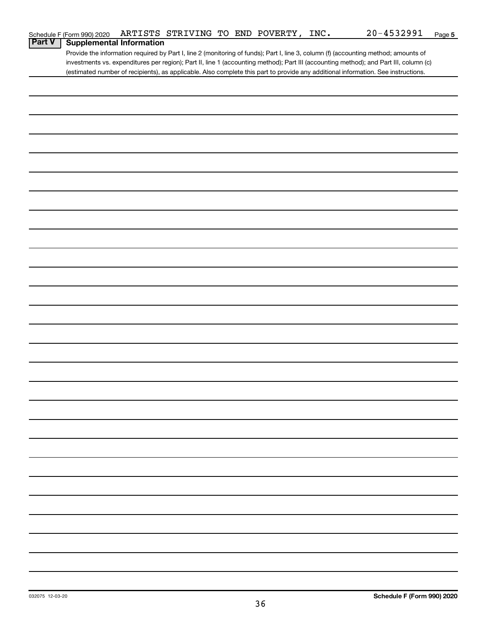|               | Schedule F (Form 990) 2020      |  | ARTISTS STRIVING TO END POVERTY, | INC. | $20 - 4532991$                                                                                                                        | Page 5 |
|---------------|---------------------------------|--|----------------------------------|------|---------------------------------------------------------------------------------------------------------------------------------------|--------|
| <b>Part V</b> | <b>Supplemental Information</b> |  |                                  |      |                                                                                                                                       |        |
|               |                                 |  |                                  |      | Provide the information required by Part I, line 2 (monitoring of funds); Part I, line 3, column (f) (accounting method; amounts of   |        |
|               |                                 |  |                                  |      | investments vs. expenditures per region); Part II, line 1 (accounting method); Part III (accounting method); and Part III, column (c) |        |
|               |                                 |  |                                  |      | (estimated number of recipients), as applicable. Also complete this part to provide any additional information. See instructions.     |        |
|               |                                 |  |                                  |      |                                                                                                                                       |        |
|               |                                 |  |                                  |      |                                                                                                                                       |        |
|               |                                 |  |                                  |      |                                                                                                                                       |        |
|               |                                 |  |                                  |      |                                                                                                                                       |        |
|               |                                 |  |                                  |      |                                                                                                                                       |        |
|               |                                 |  |                                  |      |                                                                                                                                       |        |
|               |                                 |  |                                  |      |                                                                                                                                       |        |
|               |                                 |  |                                  |      |                                                                                                                                       |        |
|               |                                 |  |                                  |      |                                                                                                                                       |        |
|               |                                 |  |                                  |      |                                                                                                                                       |        |
|               |                                 |  |                                  |      |                                                                                                                                       |        |
|               |                                 |  |                                  |      |                                                                                                                                       |        |
|               |                                 |  |                                  |      |                                                                                                                                       |        |
|               |                                 |  |                                  |      |                                                                                                                                       |        |
|               |                                 |  |                                  |      |                                                                                                                                       |        |
|               |                                 |  |                                  |      |                                                                                                                                       |        |
|               |                                 |  |                                  |      |                                                                                                                                       |        |
|               |                                 |  |                                  |      |                                                                                                                                       |        |
|               |                                 |  |                                  |      |                                                                                                                                       |        |
|               |                                 |  |                                  |      |                                                                                                                                       |        |
|               |                                 |  |                                  |      |                                                                                                                                       |        |
|               |                                 |  |                                  |      |                                                                                                                                       |        |
|               |                                 |  |                                  |      |                                                                                                                                       |        |
|               |                                 |  |                                  |      |                                                                                                                                       |        |
|               |                                 |  |                                  |      |                                                                                                                                       |        |
|               |                                 |  |                                  |      |                                                                                                                                       |        |
|               |                                 |  |                                  |      |                                                                                                                                       |        |
|               |                                 |  |                                  |      |                                                                                                                                       |        |
|               |                                 |  |                                  |      |                                                                                                                                       |        |
|               |                                 |  |                                  |      |                                                                                                                                       |        |
|               |                                 |  |                                  |      |                                                                                                                                       |        |
|               |                                 |  |                                  |      |                                                                                                                                       |        |
|               |                                 |  |                                  |      |                                                                                                                                       |        |
|               |                                 |  |                                  |      |                                                                                                                                       |        |
|               |                                 |  |                                  |      |                                                                                                                                       |        |
|               |                                 |  |                                  |      |                                                                                                                                       |        |
|               |                                 |  |                                  |      |                                                                                                                                       |        |
|               |                                 |  |                                  |      |                                                                                                                                       |        |
|               |                                 |  |                                  |      |                                                                                                                                       |        |
|               |                                 |  |                                  |      |                                                                                                                                       |        |
|               |                                 |  |                                  |      |                                                                                                                                       |        |
|               |                                 |  |                                  |      |                                                                                                                                       |        |
|               |                                 |  |                                  |      |                                                                                                                                       |        |
|               |                                 |  |                                  |      |                                                                                                                                       |        |
|               |                                 |  |                                  |      |                                                                                                                                       |        |
|               |                                 |  |                                  |      |                                                                                                                                       |        |
|               |                                 |  |                                  |      |                                                                                                                                       |        |
|               |                                 |  |                                  |      |                                                                                                                                       |        |
|               |                                 |  |                                  |      |                                                                                                                                       |        |
|               |                                 |  |                                  |      |                                                                                                                                       |        |
|               |                                 |  |                                  |      |                                                                                                                                       |        |
|               |                                 |  |                                  |      |                                                                                                                                       |        |
|               |                                 |  |                                  |      |                                                                                                                                       |        |
|               |                                 |  |                                  |      |                                                                                                                                       |        |
|               |                                 |  |                                  |      |                                                                                                                                       |        |
|               |                                 |  |                                  |      |                                                                                                                                       |        |
|               |                                 |  |                                  |      |                                                                                                                                       |        |
|               |                                 |  |                                  |      |                                                                                                                                       |        |
|               |                                 |  |                                  |      |                                                                                                                                       |        |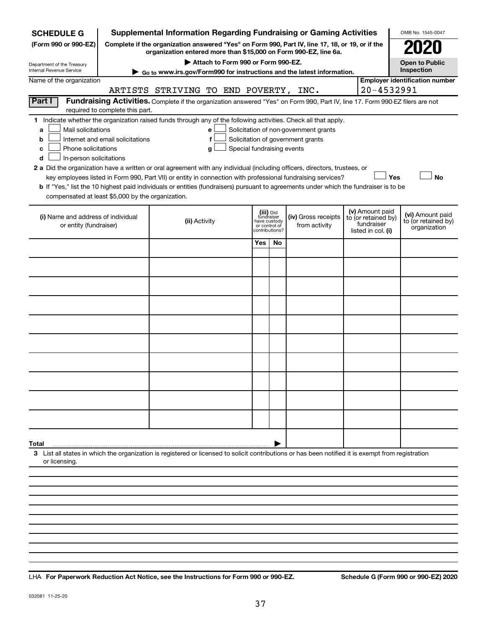| <b>SCHEDULE G</b>                                                                                                                                                                                                                                                                                                                                                                                                                                                                                                                                  |                                  |                                       |                                    |                            |                                                                            | <b>Supplemental Information Regarding Fundraising or Gaming Activities</b>                                                                                                                |  | OMB No. 1545-0047                                       |
|----------------------------------------------------------------------------------------------------------------------------------------------------------------------------------------------------------------------------------------------------------------------------------------------------------------------------------------------------------------------------------------------------------------------------------------------------------------------------------------------------------------------------------------------------|----------------------------------|---------------------------------------|------------------------------------|----------------------------|----------------------------------------------------------------------------|-------------------------------------------------------------------------------------------------------------------------------------------------------------------------------------------|--|---------------------------------------------------------|
| (Form 990 or 990-EZ)                                                                                                                                                                                                                                                                                                                                                                                                                                                                                                                               |                                  |                                       |                                    |                            |                                                                            | Complete if the organization answered "Yes" on Form 990, Part IV, line 17, 18, or 19, or if the<br>organization entered more than \$15,000 on Form 990-EZ, line 6a.                       |  |                                                         |
| Department of the Treasury<br>Internal Revenue Service                                                                                                                                                                                                                                                                                                                                                                                                                                                                                             |                                  |                                       | Attach to Form 990 or Form 990-EZ. |                            |                                                                            |                                                                                                                                                                                           |  | <b>Open to Public</b><br>Inspection                     |
| Name of the organization                                                                                                                                                                                                                                                                                                                                                                                                                                                                                                                           |                                  |                                       |                                    |                            |                                                                            | ► Go to www.irs.gov/Form990 for instructions and the latest information.                                                                                                                  |  | <b>Employer identification number</b>                   |
|                                                                                                                                                                                                                                                                                                                                                                                                                                                                                                                                                    |                                  | ARTISTS STRIVING TO END POVERTY, INC. |                                    |                            |                                                                            |                                                                                                                                                                                           |  | 20-4532991                                              |
| Part I                                                                                                                                                                                                                                                                                                                                                                                                                                                                                                                                             | required to complete this part.  |                                       |                                    |                            |                                                                            | Fundraising Activities. Complete if the organization answered "Yes" on Form 990, Part IV, line 17. Form 990-EZ filers are not                                                             |  |                                                         |
| Indicate whether the organization raised funds through any of the following activities. Check all that apply.<br>1.<br>Mail solicitations<br>a<br>b<br>Phone solicitations<br>с<br>In-person solicitations<br>d<br>2 a Did the organization have a written or oral agreement with any individual (including officers, directors, trustees, or<br><b>b</b> If "Yes," list the 10 highest paid individuals or entities (fundraisers) pursuant to agreements under which the fundraiser is to be<br>compensated at least \$5,000 by the organization. | Internet and email solicitations |                                       | е<br>f<br>g                        | Special fundraising events |                                                                            | Solicitation of non-government grants<br>Solicitation of government grants<br>key employees listed in Form 990, Part VII) or entity in connection with professional fundraising services? |  | <b>No</b><br>Yes                                        |
| (i) Name and address of individual<br>or entity (fundraiser)                                                                                                                                                                                                                                                                                                                                                                                                                                                                                       |                                  | (ii) Activity                         |                                    |                            | (iii) Did<br>fundraiser<br>have custody<br>or control of<br>contributions? | (v) Amount paid<br>(iv) Gross receipts<br>to (or retained by)<br>fundraiser<br>from activity<br>listed in col. (i)                                                                        |  | (vi) Amount paid<br>to (or retained by)<br>organization |
|                                                                                                                                                                                                                                                                                                                                                                                                                                                                                                                                                    |                                  |                                       |                                    | Yes                        | No                                                                         |                                                                                                                                                                                           |  |                                                         |
|                                                                                                                                                                                                                                                                                                                                                                                                                                                                                                                                                    |                                  |                                       |                                    |                            |                                                                            |                                                                                                                                                                                           |  |                                                         |
|                                                                                                                                                                                                                                                                                                                                                                                                                                                                                                                                                    |                                  |                                       |                                    |                            |                                                                            |                                                                                                                                                                                           |  |                                                         |
|                                                                                                                                                                                                                                                                                                                                                                                                                                                                                                                                                    |                                  |                                       |                                    |                            |                                                                            |                                                                                                                                                                                           |  |                                                         |
|                                                                                                                                                                                                                                                                                                                                                                                                                                                                                                                                                    |                                  |                                       |                                    |                            |                                                                            |                                                                                                                                                                                           |  |                                                         |
|                                                                                                                                                                                                                                                                                                                                                                                                                                                                                                                                                    |                                  |                                       |                                    |                            |                                                                            |                                                                                                                                                                                           |  |                                                         |
|                                                                                                                                                                                                                                                                                                                                                                                                                                                                                                                                                    |                                  |                                       |                                    |                            |                                                                            |                                                                                                                                                                                           |  |                                                         |
|                                                                                                                                                                                                                                                                                                                                                                                                                                                                                                                                                    |                                  |                                       |                                    |                            |                                                                            |                                                                                                                                                                                           |  |                                                         |
|                                                                                                                                                                                                                                                                                                                                                                                                                                                                                                                                                    |                                  |                                       |                                    |                            |                                                                            |                                                                                                                                                                                           |  |                                                         |
|                                                                                                                                                                                                                                                                                                                                                                                                                                                                                                                                                    |                                  |                                       |                                    |                            |                                                                            |                                                                                                                                                                                           |  |                                                         |
| Total                                                                                                                                                                                                                                                                                                                                                                                                                                                                                                                                              |                                  |                                       |                                    |                            |                                                                            |                                                                                                                                                                                           |  |                                                         |
| 3 List all states in which the organization is registered or licensed to solicit contributions or has been notified it is exempt from registration<br>or licensing.                                                                                                                                                                                                                                                                                                                                                                                |                                  |                                       |                                    |                            |                                                                            |                                                                                                                                                                                           |  |                                                         |
|                                                                                                                                                                                                                                                                                                                                                                                                                                                                                                                                                    |                                  |                                       |                                    |                            |                                                                            |                                                                                                                                                                                           |  |                                                         |
|                                                                                                                                                                                                                                                                                                                                                                                                                                                                                                                                                    |                                  |                                       |                                    |                            |                                                                            |                                                                                                                                                                                           |  |                                                         |
|                                                                                                                                                                                                                                                                                                                                                                                                                                                                                                                                                    |                                  |                                       |                                    |                            |                                                                            |                                                                                                                                                                                           |  |                                                         |
|                                                                                                                                                                                                                                                                                                                                                                                                                                                                                                                                                    |                                  |                                       |                                    |                            |                                                                            |                                                                                                                                                                                           |  |                                                         |

**For Paperwork Reduction Act Notice, see the Instructions for Form 990 or 990-EZ. Schedule G (Form 990 or 990-EZ) 2020** LHA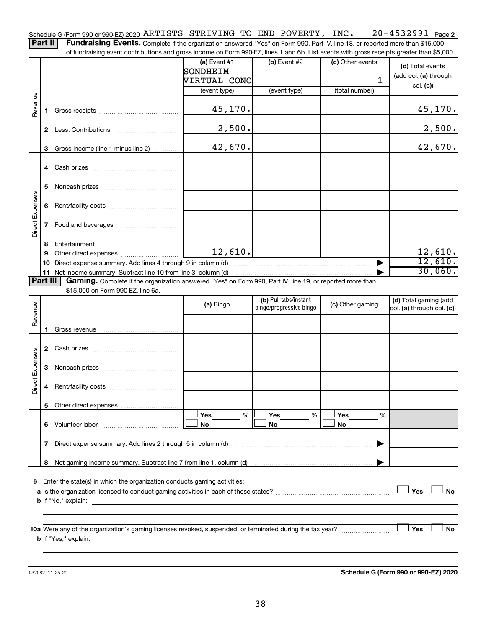20-4532991 Page 2 Schedule G (Form 990 or 990-EZ) 2020  $\verb|ARTISTS|$   $\verb|STRIVING|$  to  $\verb|END|$   $\verb|POVERTY|$ ,  $\verb|INC.|$  20–4532991  $\verb|Page|$ 

Part II | Fundraising Events. Complete if the organization answered "Yes" on Form 990, Part IV, line 18, or reported more than \$15,000 of fundraising event contributions and gross income on Form 990-EZ, lines 1 and 6b. List events with gross receipts greater than \$5,000.

|                 |              |                                                                                                                                                      | $(a)$ Event #1                                                             | (b) Event #2            | (c) Other events | (d) Total events           |
|-----------------|--------------|------------------------------------------------------------------------------------------------------------------------------------------------------|----------------------------------------------------------------------------|-------------------------|------------------|----------------------------|
|                 |              |                                                                                                                                                      | SONDHEIM                                                                   |                         |                  | (add col. (a) through      |
|                 |              |                                                                                                                                                      | VIRTUAL CONC                                                               |                         | 1                | col. (c))                  |
|                 |              |                                                                                                                                                      | (event type)                                                               | (event type)            | (total number)   |                            |
|                 |              |                                                                                                                                                      |                                                                            |                         |                  |                            |
| Revenue         | 1.           |                                                                                                                                                      | 45,170.                                                                    |                         |                  | 45,170.                    |
|                 |              |                                                                                                                                                      |                                                                            |                         |                  |                            |
|                 | $\mathbf{2}$ |                                                                                                                                                      | 2,500.                                                                     |                         |                  | 2,500.                     |
|                 |              |                                                                                                                                                      |                                                                            |                         |                  |                            |
|                 |              | 3 Gross income (line 1 minus line 2)                                                                                                                 | 42,670.                                                                    |                         |                  | 42,670.                    |
|                 |              |                                                                                                                                                      |                                                                            |                         |                  |                            |
|                 |              |                                                                                                                                                      |                                                                            |                         |                  |                            |
|                 |              |                                                                                                                                                      |                                                                            |                         |                  |                            |
|                 | 5            |                                                                                                                                                      |                                                                            |                         |                  |                            |
| Direct Expenses |              |                                                                                                                                                      |                                                                            |                         |                  |                            |
|                 | 6            |                                                                                                                                                      |                                                                            |                         |                  |                            |
|                 |              |                                                                                                                                                      |                                                                            |                         |                  |                            |
|                 | 7            | Food and beverages                                                                                                                                   |                                                                            |                         |                  |                            |
|                 |              |                                                                                                                                                      |                                                                            |                         |                  |                            |
|                 | 8            |                                                                                                                                                      | 12,610.                                                                    |                         |                  | 12,610.                    |
|                 | 9            |                                                                                                                                                      |                                                                            |                         |                  | 12,610.                    |
|                 | 10           | Direct expense summary. Add lines 4 through 9 in column (d)<br>11 Net income summary. Subtract line 10 from line 3, column (d)                       |                                                                            |                         |                  | 30,060.                    |
| <b>Part III</b> |              | Gaming. Complete if the organization answered "Yes" on Form 990, Part IV, line 19, or reported more than                                             |                                                                            |                         |                  |                            |
|                 |              | \$15,000 on Form 990-EZ, line 6a.                                                                                                                    |                                                                            |                         |                  |                            |
|                 |              |                                                                                                                                                      |                                                                            | (b) Pull tabs/instant   |                  | (d) Total gaming (add      |
| Revenue         |              |                                                                                                                                                      | (a) Bingo                                                                  | bingo/progressive bingo | (c) Other gaming | col. (a) through col. (c)) |
|                 |              |                                                                                                                                                      |                                                                            |                         |                  |                            |
|                 |              |                                                                                                                                                      |                                                                            |                         |                  |                            |
|                 |              |                                                                                                                                                      |                                                                            |                         |                  |                            |
|                 |              |                                                                                                                                                      |                                                                            |                         |                  |                            |
|                 |              |                                                                                                                                                      |                                                                            |                         |                  |                            |
| Direct Expenses | 3            |                                                                                                                                                      |                                                                            |                         |                  |                            |
|                 |              |                                                                                                                                                      |                                                                            |                         |                  |                            |
|                 | 4            |                                                                                                                                                      |                                                                            |                         |                  |                            |
|                 |              |                                                                                                                                                      |                                                                            |                         |                  |                            |
|                 |              |                                                                                                                                                      |                                                                            |                         |                  |                            |
|                 |              |                                                                                                                                                      | Yes<br>%                                                                   | Yes<br>%                | Yes<br>%         |                            |
|                 | 6            | Volunteer labor                                                                                                                                      | No                                                                         | No                      | No               |                            |
|                 |              |                                                                                                                                                      |                                                                            |                         |                  |                            |
|                 | 7            | Direct expense summary. Add lines 2 through 5 in column (d)                                                                                          |                                                                            |                         |                  |                            |
|                 |              |                                                                                                                                                      |                                                                            |                         |                  |                            |
|                 | 8            |                                                                                                                                                      |                                                                            |                         |                  |                            |
| 9               |              | Enter the state(s) in which the organization conducts gaming activities:                                                                             |                                                                            |                         |                  |                            |
|                 |              |                                                                                                                                                      |                                                                            |                         |                  | Yes<br>No                  |
|                 |              | <b>b</b> If "No," explain:                                                                                                                           |                                                                            |                         |                  |                            |
|                 |              |                                                                                                                                                      | the control of the control of the control of the control of the control of |                         |                  |                            |
|                 |              |                                                                                                                                                      |                                                                            |                         |                  |                            |
|                 |              |                                                                                                                                                      |                                                                            |                         |                  | Yes<br>No                  |
|                 |              | <b>b</b> If "Yes," explain:<br><u> 1980 - Jan Sterling von Berling von Berling von Berling von Berling von Berling von Berling von Berling von B</u> |                                                                            |                         |                  |                            |
|                 |              |                                                                                                                                                      |                                                                            |                         |                  |                            |
|                 |              |                                                                                                                                                      |                                                                            |                         |                  |                            |

032082 11-25-20

**Schedule G (Form 990 or 990-EZ) 2020**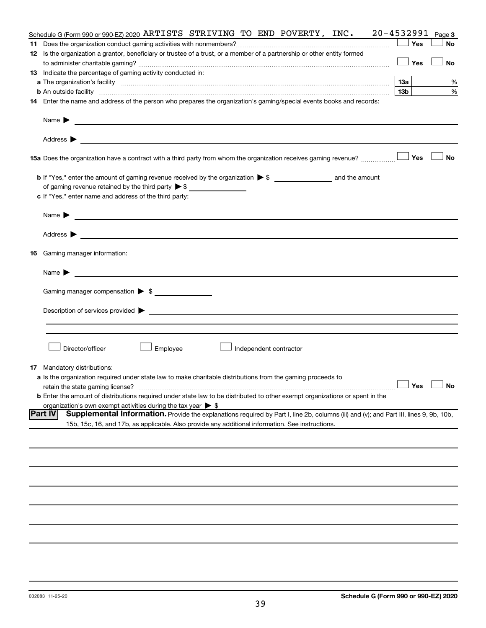| Schedule G (Form 990 or 990-EZ) 2020 ARTISTS STRIVING TO END POVERTY, INC.                                                                               | 20-4532991      | Page 3               |
|----------------------------------------------------------------------------------------------------------------------------------------------------------|-----------------|----------------------|
|                                                                                                                                                          | Yes             | <b>No</b>            |
| 12 Is the organization a grantor, beneficiary or trustee of a trust, or a member of a partnership or other entity formed                                 |                 |                      |
|                                                                                                                                                          | Yes             | <b>No</b>            |
| 13 Indicate the percentage of gaming activity conducted in:                                                                                              |                 |                      |
|                                                                                                                                                          | 13a             | %                    |
|                                                                                                                                                          | 13 <sub>b</sub> | %                    |
| 14 Enter the name and address of the person who prepares the organization's gaming/special events books and records:                                     |                 |                      |
|                                                                                                                                                          |                 |                      |
| Name $\blacktriangleright$ $\blacksquare$                                                                                                                |                 |                      |
|                                                                                                                                                          |                 |                      |
| 15a Does the organization have a contract with a third party from whom the organization receives gaming revenue?                                         | Yes             | <b>No</b>            |
|                                                                                                                                                          |                 |                      |
| of gaming revenue retained by the third party $\triangleright$ \$                                                                                        |                 |                      |
| c If "Yes," enter name and address of the third party:                                                                                                   |                 |                      |
|                                                                                                                                                          |                 |                      |
| Name $\blacktriangleright$<br><u> 1980 - Johann Barbara, martin amerikan basar dan berasal dan berasal dalam basar dalam basar dalam basar dala</u>      |                 |                      |
|                                                                                                                                                          |                 |                      |
| <b>16</b> Gaming manager information:                                                                                                                    |                 |                      |
| Name $\blacktriangleright$                                                                                                                               |                 |                      |
| Gaming manager compensation > \$                                                                                                                         |                 |                      |
|                                                                                                                                                          |                 |                      |
| Description of services provided > example and the contract of the contract of the contract of the contract of                                           |                 |                      |
|                                                                                                                                                          |                 |                      |
|                                                                                                                                                          |                 |                      |
| Director/officer<br>Employee<br>Independent contractor                                                                                                   |                 |                      |
| <b>17</b> Mandatory distributions:                                                                                                                       |                 |                      |
| <b>a</b> Is the organization required under state law to make charitable distributions from the gaming proceeds to                                       |                 |                      |
| retain the state gaming license?                                                                                                                         |                 | $\Box$ Yes $\Box$ No |
| <b>b</b> Enter the amount of distributions required under state law to be distributed to other exempt organizations or spent in the                      |                 |                      |
| organization's own exempt activities during the tax year $\triangleright$ \$                                                                             |                 |                      |
| <b>Part IV</b><br>Supplemental Information. Provide the explanations required by Part I, line 2b, columns (iii) and (v); and Part III, lines 9, 9b, 10b, |                 |                      |
| 15b, 15c, 16, and 17b, as applicable. Also provide any additional information. See instructions.                                                         |                 |                      |
|                                                                                                                                                          |                 |                      |
|                                                                                                                                                          |                 |                      |
|                                                                                                                                                          |                 |                      |
|                                                                                                                                                          |                 |                      |
|                                                                                                                                                          |                 |                      |
|                                                                                                                                                          |                 |                      |
|                                                                                                                                                          |                 |                      |
|                                                                                                                                                          |                 |                      |
|                                                                                                                                                          |                 |                      |
|                                                                                                                                                          |                 |                      |
|                                                                                                                                                          |                 |                      |
|                                                                                                                                                          |                 |                      |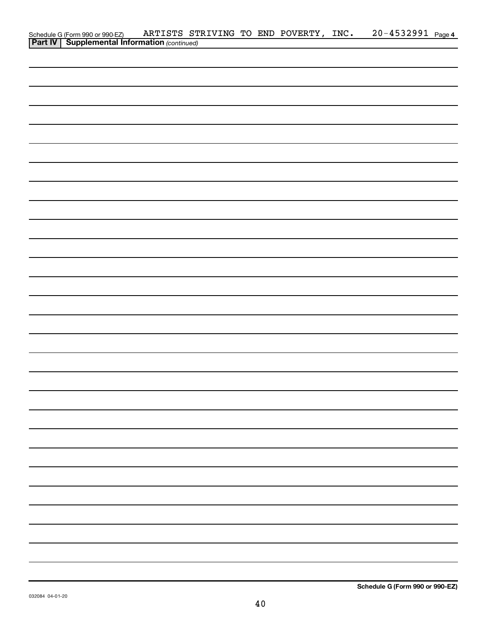| Schedule G (Form 990 or 990-EZ) ARTISTS ST<br><b>Part IV   Supplemental Information</b> (continued) |  |  | ARTISTS STRIVING TO END POVERTY, INC. | 20-4532991 Page 4 |
|-----------------------------------------------------------------------------------------------------|--|--|---------------------------------------|-------------------|
|                                                                                                     |  |  |                                       |                   |
|                                                                                                     |  |  |                                       |                   |
|                                                                                                     |  |  |                                       |                   |
|                                                                                                     |  |  |                                       |                   |
|                                                                                                     |  |  |                                       |                   |
|                                                                                                     |  |  |                                       |                   |
|                                                                                                     |  |  |                                       |                   |
|                                                                                                     |  |  |                                       |                   |
|                                                                                                     |  |  |                                       |                   |
|                                                                                                     |  |  |                                       |                   |
|                                                                                                     |  |  |                                       |                   |
|                                                                                                     |  |  |                                       |                   |
|                                                                                                     |  |  |                                       |                   |
|                                                                                                     |  |  |                                       |                   |
|                                                                                                     |  |  |                                       |                   |
|                                                                                                     |  |  |                                       |                   |
|                                                                                                     |  |  |                                       |                   |
|                                                                                                     |  |  |                                       |                   |
|                                                                                                     |  |  |                                       |                   |
|                                                                                                     |  |  |                                       |                   |
|                                                                                                     |  |  |                                       |                   |
|                                                                                                     |  |  |                                       |                   |
|                                                                                                     |  |  |                                       |                   |
|                                                                                                     |  |  |                                       |                   |
|                                                                                                     |  |  |                                       |                   |
|                                                                                                     |  |  |                                       |                   |
|                                                                                                     |  |  |                                       |                   |
|                                                                                                     |  |  |                                       |                   |
|                                                                                                     |  |  |                                       |                   |
|                                                                                                     |  |  |                                       |                   |
|                                                                                                     |  |  |                                       |                   |
|                                                                                                     |  |  |                                       |                   |
|                                                                                                     |  |  |                                       |                   |
|                                                                                                     |  |  |                                       |                   |
|                                                                                                     |  |  |                                       |                   |
|                                                                                                     |  |  |                                       |                   |
|                                                                                                     |  |  |                                       |                   |
|                                                                                                     |  |  |                                       |                   |
|                                                                                                     |  |  |                                       |                   |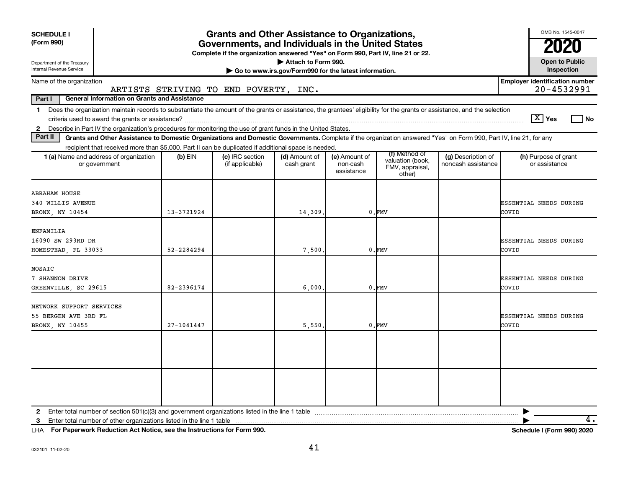| <b>SCHEDULE I</b><br>(Form 990)<br>Department of the Treasury<br>Internal Revenue Service                                                                                                                                                                                                                  | <b>Grants and Other Assistance to Organizations,</b><br>Governments, and Individuals in the United States<br>Complete if the organization answered "Yes" on Form 990, Part IV, line 21 or 22.<br>Attach to Form 990.<br>Go to www.irs.gov/Form990 for the latest information. |                                       |                             |                                         |                                                                |                                          |                                                     |  |  |  |  |  |  |
|------------------------------------------------------------------------------------------------------------------------------------------------------------------------------------------------------------------------------------------------------------------------------------------------------------|-------------------------------------------------------------------------------------------------------------------------------------------------------------------------------------------------------------------------------------------------------------------------------|---------------------------------------|-----------------------------|-----------------------------------------|----------------------------------------------------------------|------------------------------------------|-----------------------------------------------------|--|--|--|--|--|--|
| Name of the organization                                                                                                                                                                                                                                                                                   |                                                                                                                                                                                                                                                                               |                                       |                             |                                         |                                                                |                                          | <b>Employer identification number</b><br>20-4532991 |  |  |  |  |  |  |
| Part I<br><b>General Information on Grants and Assistance</b>                                                                                                                                                                                                                                              |                                                                                                                                                                                                                                                                               | ARTISTS STRIVING TO END POVERTY, INC. |                             |                                         |                                                                |                                          |                                                     |  |  |  |  |  |  |
| Does the organization maintain records to substantiate the amount of the grants or assistance, the grantees' eligibility for the grants or assistance, and the selection<br>$\mathbf 1$<br>2 Describe in Part IV the organization's procedures for monitoring the use of grant funds in the United States. |                                                                                                                                                                                                                                                                               |                                       |                             |                                         |                                                                |                                          | $\boxed{\text{X}}$ Yes<br>l No                      |  |  |  |  |  |  |
| Part II<br>Grants and Other Assistance to Domestic Organizations and Domestic Governments. Complete if the organization answered "Yes" on Form 990, Part IV, line 21, for any                                                                                                                              |                                                                                                                                                                                                                                                                               |                                       |                             |                                         |                                                                |                                          |                                                     |  |  |  |  |  |  |
| recipient that received more than \$5,000. Part II can be duplicated if additional space is needed.<br>1 (a) Name and address of organization<br>or government                                                                                                                                             | $(b)$ EIN                                                                                                                                                                                                                                                                     | (c) IRC section<br>(if applicable)    | (d) Amount of<br>cash grant | (e) Amount of<br>non-cash<br>assistance | (f) Method of<br>valuation (book,<br>FMV, appraisal,<br>other) | (g) Description of<br>noncash assistance | (h) Purpose of grant<br>or assistance               |  |  |  |  |  |  |
| <b>ABRAHAM HOUSE</b><br>340 WILLIS AVENUE<br>BRONX, NY 10454                                                                                                                                                                                                                                               | 13-3721924                                                                                                                                                                                                                                                                    |                                       | 14,309.                     |                                         | 0.FMV                                                          |                                          | ESSENTIAL NEEDS DURING<br>COVID                     |  |  |  |  |  |  |
| ENFAMILIA<br>16090 SW 293RD DR<br>HOMESTEAD, FL 33033                                                                                                                                                                                                                                                      | 52-2284294                                                                                                                                                                                                                                                                    |                                       | 7,500                       |                                         | $0.$ $FMV$                                                     |                                          | ESSENTIAL NEEDS DURING<br>COVID                     |  |  |  |  |  |  |
| MOSAIC<br>7 SHANNON DRIVE<br>GREENVILLE, SC 29615                                                                                                                                                                                                                                                          | 82-2396174                                                                                                                                                                                                                                                                    |                                       | 6,000,                      |                                         | $0.$ FMV                                                       |                                          | ESSENTIAL NEEDS DURING<br>COVID                     |  |  |  |  |  |  |
| NETWORK SUPPORT SERVICES<br>55 BERGEN AVE 3RD FL<br>BRONX, NY 10455                                                                                                                                                                                                                                        | $27 - 1041447$                                                                                                                                                                                                                                                                |                                       | 5,550,                      |                                         | $0.$ FMV                                                       |                                          | ESSENTIAL NEEDS DURING<br>COVID                     |  |  |  |  |  |  |
|                                                                                                                                                                                                                                                                                                            |                                                                                                                                                                                                                                                                               |                                       |                             |                                         |                                                                |                                          |                                                     |  |  |  |  |  |  |

**3** Enter total number of other organizations listed in the line 1 table |

**For Paperwork Reduction Act Notice, see the Instructions for Form 990. Schedule I (Form 990) 2020** LHA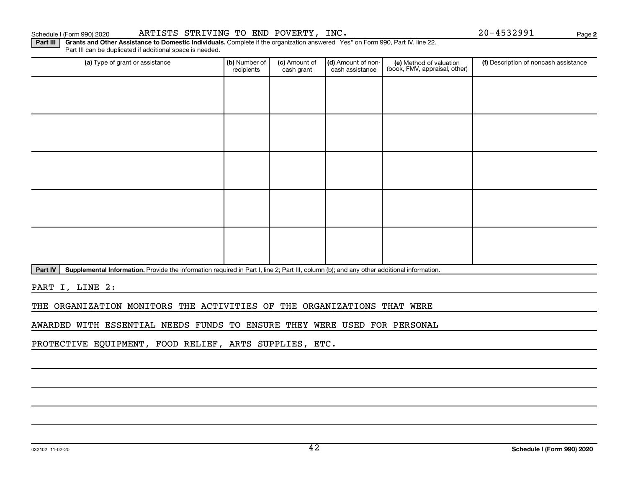032102 11-02-20

42

## Schedule I (Form 990) 2020 ARTISTS STRIVING TO END POVERTY, INC.  $20-4532991$  Page

Part III can be duplicated if additional space is needed.

Part III | Grants and Other Assistance to Domestic Individuals. Complete if the organization answered "Yes" on Form 990, Part IV, line 22.

(a) Type of grant or assistance **(b)** Number of  $|$  **(c)** Amount of  $|$  **(d)** Amount of non- $|$  **(e)** Method of valuation  $|$  **(f)** (e) Method of valuation (book, FMV, appraisal, other) recipients (c) Amount of cash grant (d) Amount of noncash assistance (f) Description of noncash assistance

Part IV | Supplemental Information. Provide the information required in Part I, line 2; Part III, column (b); and any other additional information.

PART I, LINE 2:

THE ORGANIZATION MONITORS THE ACTIVITIES OF THE ORGANIZATIONS THAT WERE

AWARDED WITH ESSENTIAL NEEDS FUNDS TO ENSURE THEY WERE USED FOR PERSONAL

PROTECTIVE EQUIPMENT, FOOD RELIEF, ARTS SUPPLIES, ETC.

**2**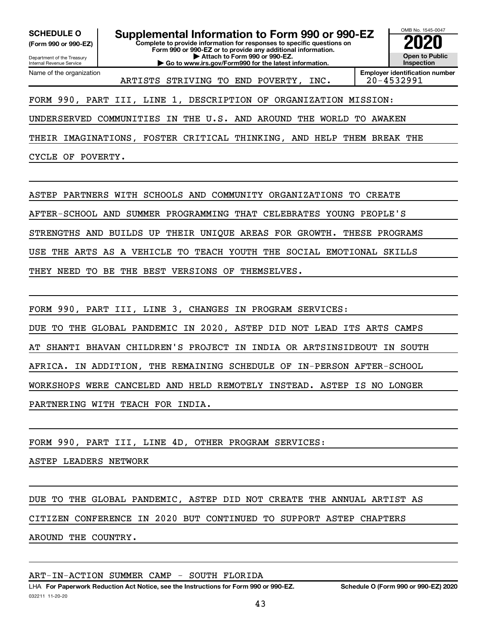**(Form 990 or 990-EZ)**

Department of the Treasury Internal Revenue Service

Name of the organization

**Complete to provide information for responses to specific questions on Form 990 or 990-EZ or to provide any additional information. | Attach to Form 990 or 990-EZ. | Go to www.irs.gov/Form990 for the latest information. SCHEDULE O Supplemental Information to Form 990 or 990-EZ 2020**<br>(Form 990 or 990-EZ) Complete to provide information for responses to specific questions on



ARTISTS STRIVING TO END POVERTY, INC. 20-4532991

FORM 990, PART III, LINE 1, DESCRIPTION OF ORGANIZATION MISSION:

UNDERSERVED COMMUNITIES IN THE U.S. AND AROUND THE WORLD TO AWAKEN

THEIR IMAGINATIONS, FOSTER CRITICAL THINKING, AND HELP THEM BREAK THE

CYCLE OF POVERTY.

ASTEP PARTNERS WITH SCHOOLS AND COMMUNITY ORGANIZATIONS TO CREATE

AFTER-SCHOOL AND SUMMER PROGRAMMING THAT CELEBRATES YOUNG PEOPLE'S

STRENGTHS AND BUILDS UP THEIR UNIQUE AREAS FOR GROWTH. THESE PROGRAMS

USE THE ARTS AS A VEHICLE TO TEACH YOUTH THE SOCIAL EMOTIONAL SKILLS

THEY NEED TO BE THE BEST VERSIONS OF THEMSELVES.

FORM 990, PART III, LINE 3, CHANGES IN PROGRAM SERVICES:

DUE TO THE GLOBAL PANDEMIC IN 2020, ASTEP DID NOT LEAD ITS ARTS CAMPS

AT SHANTI BHAVAN CHILDREN'S PROJECT IN INDIA OR ARTSINSIDEOUT IN SOUTH

AFRICA. IN ADDITION, THE REMAINING SCHEDULE OF IN-PERSON AFTER-SCHOOL

WORKSHOPS WERE CANCELED AND HELD REMOTELY INSTEAD. ASTEP IS NO LONGER

PARTNERING WITH TEACH FOR INDIA.

FORM 990, PART III, LINE 4D, OTHER PROGRAM SERVICES:

ASTEP LEADERS NETWORK

DUE TO THE GLOBAL PANDEMIC, ASTEP DID NOT CREATE THE ANNUAL ARTIST AS

CITIZEN CONFERENCE IN 2020 BUT CONTINUED TO SUPPORT ASTEP CHAPTERS

AROUND THE COUNTRY.

ART-IN-ACTION SUMMER CAMP - SOUTH FLORIDA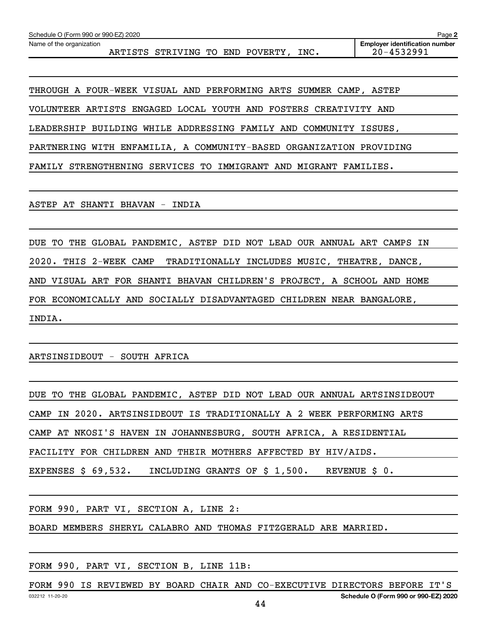Name of the organization

ARTISTS STRIVING TO END POVERTY, INC. 20-4532991

**Employer identification number**

THROUGH A FOUR-WEEK VISUAL AND PERFORMING ARTS SUMMER CAMP, ASTEP

VOLUNTEER ARTISTS ENGAGED LOCAL YOUTH AND FOSTERS CREATIVITY AND

LEADERSHIP BUILDING WHILE ADDRESSING FAMILY AND COMMUNITY ISSUES,

PARTNERING WITH ENFAMILIA, A COMMUNITY-BASED ORGANIZATION PROVIDING

FAMILY STRENGTHENING SERVICES TO IMMIGRANT AND MIGRANT FAMILIES.

ASTEP AT SHANTI BHAVAN - INDIA

DUE TO THE GLOBAL PANDEMIC, ASTEP DID NOT LEAD OUR ANNUAL ART CAMPS IN 2020. THIS 2-WEEK CAMP TRADITIONALLY INCLUDES MUSIC, THEATRE, DANCE, AND VISUAL ART FOR SHANTI BHAVAN CHILDREN'S PROJECT, A SCHOOL AND HOME FOR ECONOMICALLY AND SOCIALLY DISADVANTAGED CHILDREN NEAR BANGALORE, INDIA.

ARTSINSIDEOUT - SOUTH AFRICA

DUE TO THE GLOBAL PANDEMIC, ASTEP DID NOT LEAD OUR ANNUAL ARTSINSIDEOUT CAMP IN 2020. ARTSINSIDEOUT IS TRADITIONALLY A 2 WEEK PERFORMING ARTS CAMP AT NKOSI'S HAVEN IN JOHANNESBURG, SOUTH AFRICA, A RESIDENTIAL FACILITY FOR CHILDREN AND THEIR MOTHERS AFFECTED BY HIV/AIDS. EXPENSES \$ 69,532. INCLUDING GRANTS OF \$ 1,500. REVENUE \$ 0.

FORM 990, PART VI, SECTION A, LINE 2:

BOARD MEMBERS SHERYL CALABRO AND THOMAS FITZGERALD ARE MARRIED.

FORM 990, PART VI, SECTION B, LINE 11B:

032212 11-20-20 **Schedule O (Form 990 or 990-EZ) 2020** FORM 990 IS REVIEWED BY BOARD CHAIR AND CO-EXECUTIVE DIRECTORS BEFORE IT'S